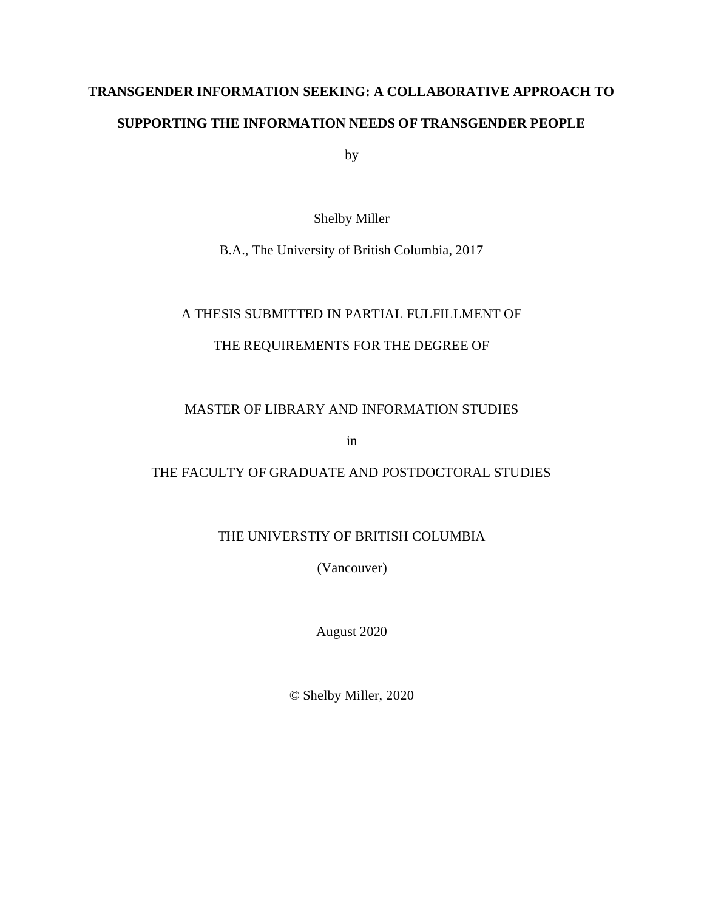# **TRANSGENDER INFORMATION SEEKING: A COLLABORATIVE APPROACH TO SUPPORTING THE INFORMATION NEEDS OF TRANSGENDER PEOPLE**

by

Shelby Miller

B.A., The University of British Columbia, 2017

## A THESIS SUBMITTED IN PARTIAL FULFILLMENT OF

## THE REQUIREMENTS FOR THE DEGREE OF

## MASTER OF LIBRARY AND INFORMATION STUDIES

in

## THE FACULTY OF GRADUATE AND POSTDOCTORAL STUDIES

## THE UNIVERSTIY OF BRITISH COLUMBIA

(Vancouver)

August 2020

© Shelby Miller, 2020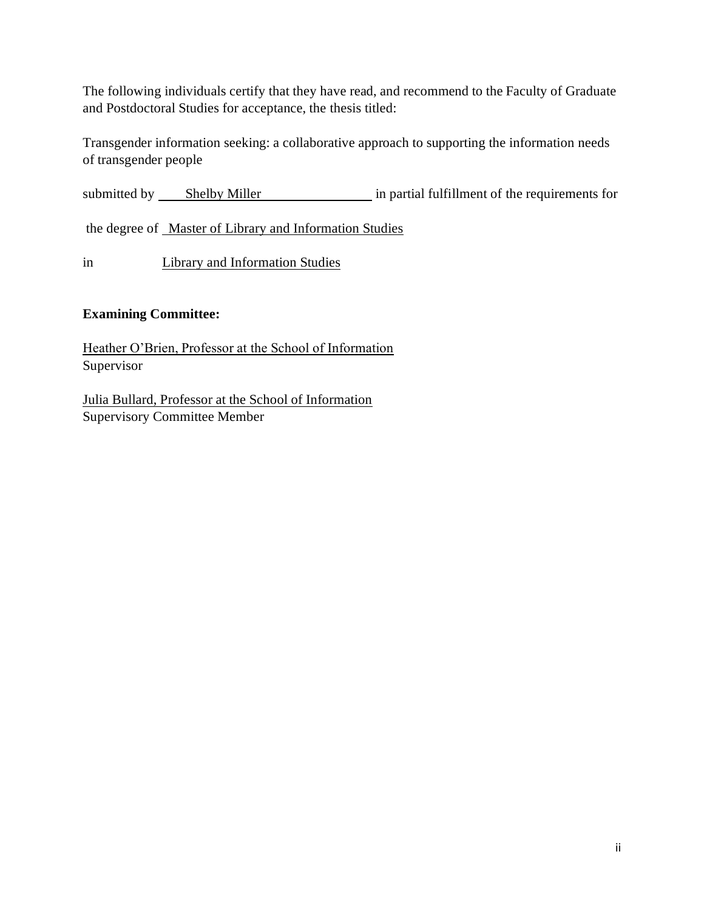The following individuals certify that they have read, and recommend to the Faculty of Graduate and Postdoctoral Studies for acceptance, the thesis titled:

Transgender information seeking: a collaborative approach to supporting the information needs of transgender people

submitted by Shelby Miller in partial fulfillment of the requirements for

the degree of Master of Library and Information Studies

in Library and Information Studies

### **Examining Committee:**

Heather O'Brien, Professor at the School of Information Supervisor

Julia Bullard, Professor at the School of Information Supervisory Committee Member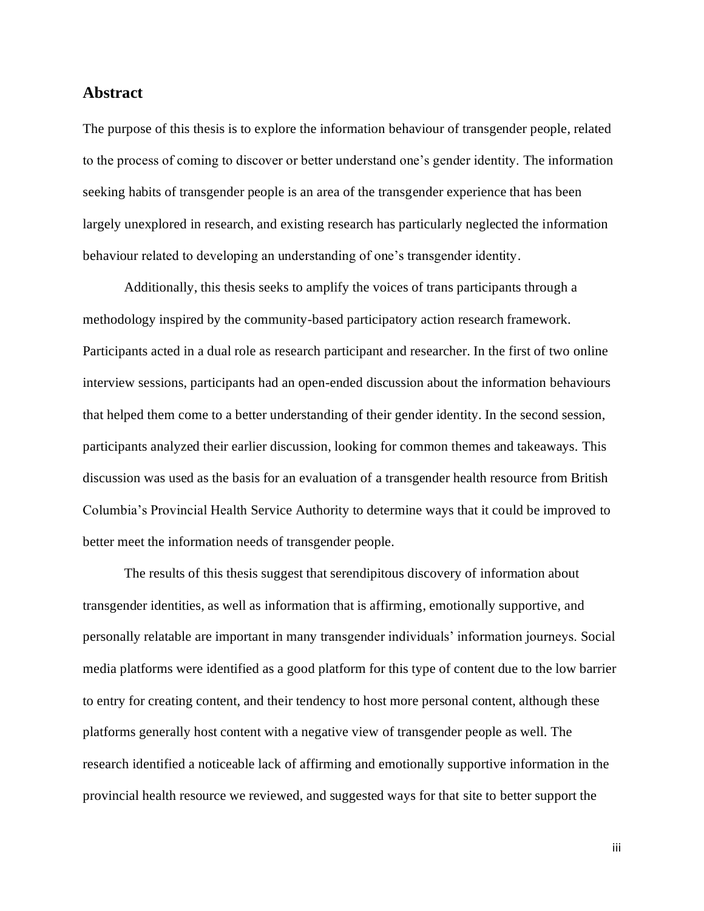### <span id="page-2-0"></span>**Abstract**

The purpose of this thesis is to explore the information behaviour of transgender people, related to the process of coming to discover or better understand one's gender identity. The information seeking habits of transgender people is an area of the transgender experience that has been largely unexplored in research, and existing research has particularly neglected the information behaviour related to developing an understanding of one's transgender identity.

Additionally, this thesis seeks to amplify the voices of trans participants through a methodology inspired by the community-based participatory action research framework. Participants acted in a dual role as research participant and researcher. In the first of two online interview sessions, participants had an open-ended discussion about the information behaviours that helped them come to a better understanding of their gender identity. In the second session, participants analyzed their earlier discussion, looking for common themes and takeaways. This discussion was used as the basis for an evaluation of a transgender health resource from British Columbia's Provincial Health Service Authority to determine ways that it could be improved to better meet the information needs of transgender people.

The results of this thesis suggest that serendipitous discovery of information about transgender identities, as well as information that is affirming, emotionally supportive, and personally relatable are important in many transgender individuals' information journeys. Social media platforms were identified as a good platform for this type of content due to the low barrier to entry for creating content, and their tendency to host more personal content, although these platforms generally host content with a negative view of transgender people as well. The research identified a noticeable lack of affirming and emotionally supportive information in the provincial health resource we reviewed, and suggested ways for that site to better support the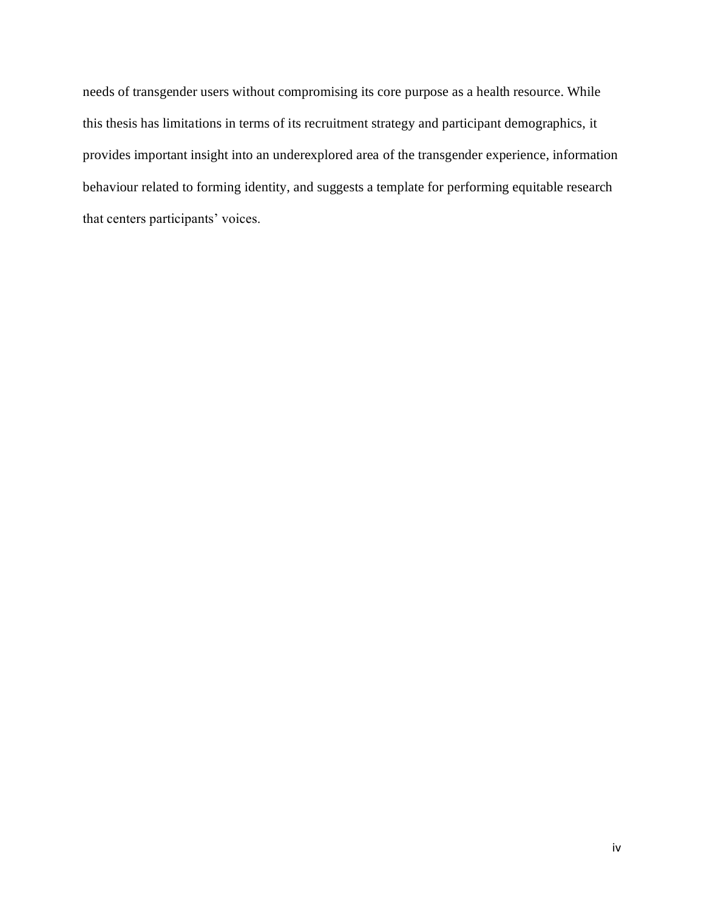needs of transgender users without compromising its core purpose as a health resource. While this thesis has limitations in terms of its recruitment strategy and participant demographics, it provides important insight into an underexplored area of the transgender experience, information behaviour related to forming identity, and suggests a template for performing equitable research that centers participants' voices.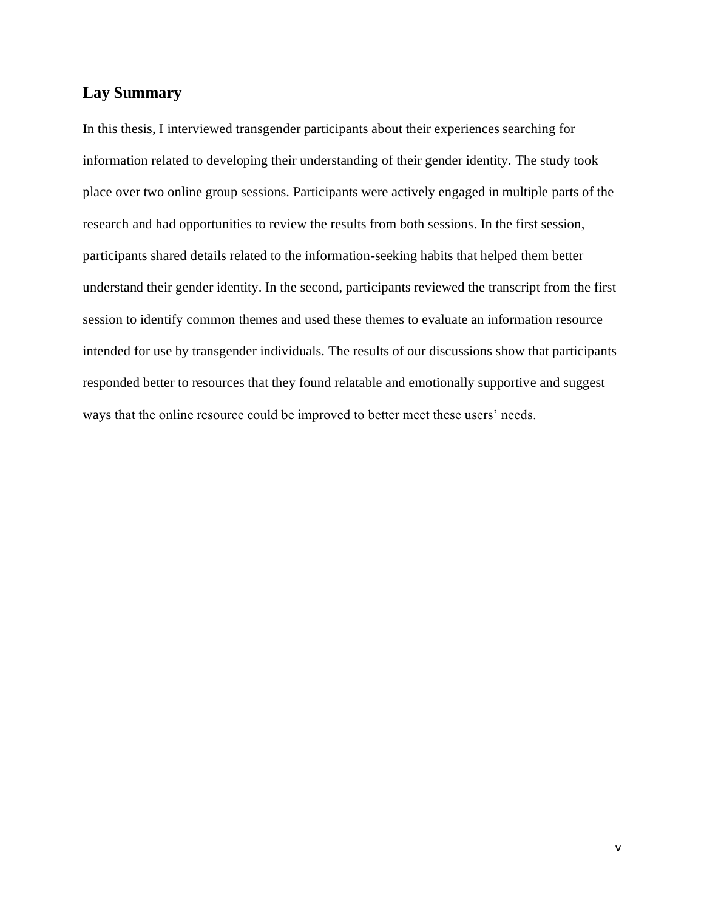## <span id="page-4-0"></span>**Lay Summary**

In this thesis, I interviewed transgender participants about their experiences searching for information related to developing their understanding of their gender identity. The study took place over two online group sessions. Participants were actively engaged in multiple parts of the research and had opportunities to review the results from both sessions. In the first session, participants shared details related to the information-seeking habits that helped them better understand their gender identity. In the second, participants reviewed the transcript from the first session to identify common themes and used these themes to evaluate an information resource intended for use by transgender individuals. The results of our discussions show that participants responded better to resources that they found relatable and emotionally supportive and suggest ways that the online resource could be improved to better meet these users' needs.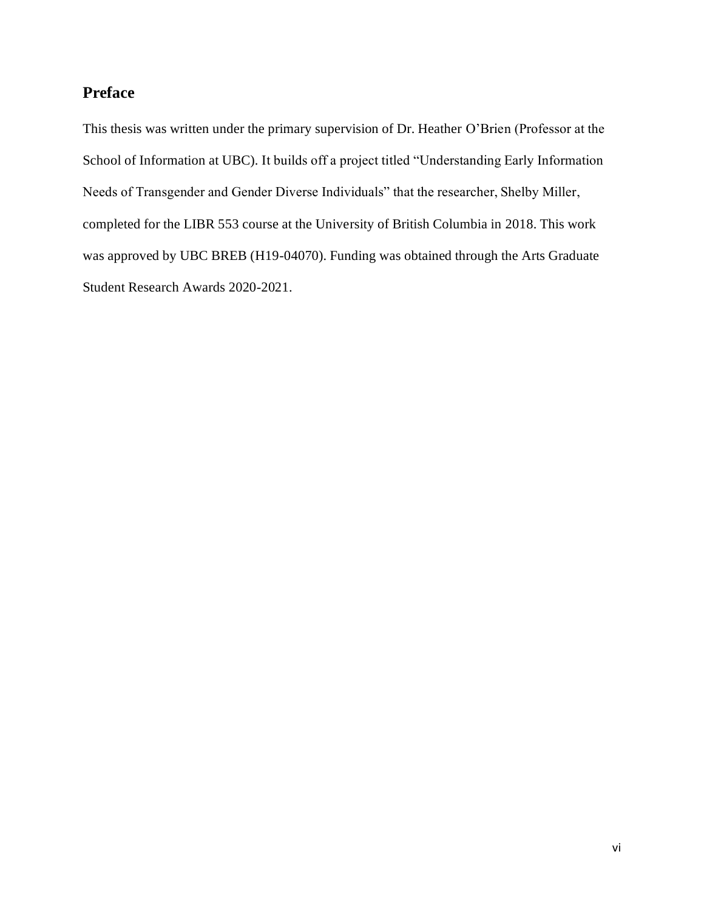## <span id="page-5-0"></span>**Preface**

This thesis was written under the primary supervision of Dr. Heather O'Brien (Professor at the School of Information at UBC). It builds off a project titled "Understanding Early Information Needs of Transgender and Gender Diverse Individuals" that the researcher, Shelby Miller, completed for the LIBR 553 course at the University of British Columbia in 2018. This work was approved by UBC BREB (H19-04070). Funding was obtained through the Arts Graduate Student Research Awards 2020-2021.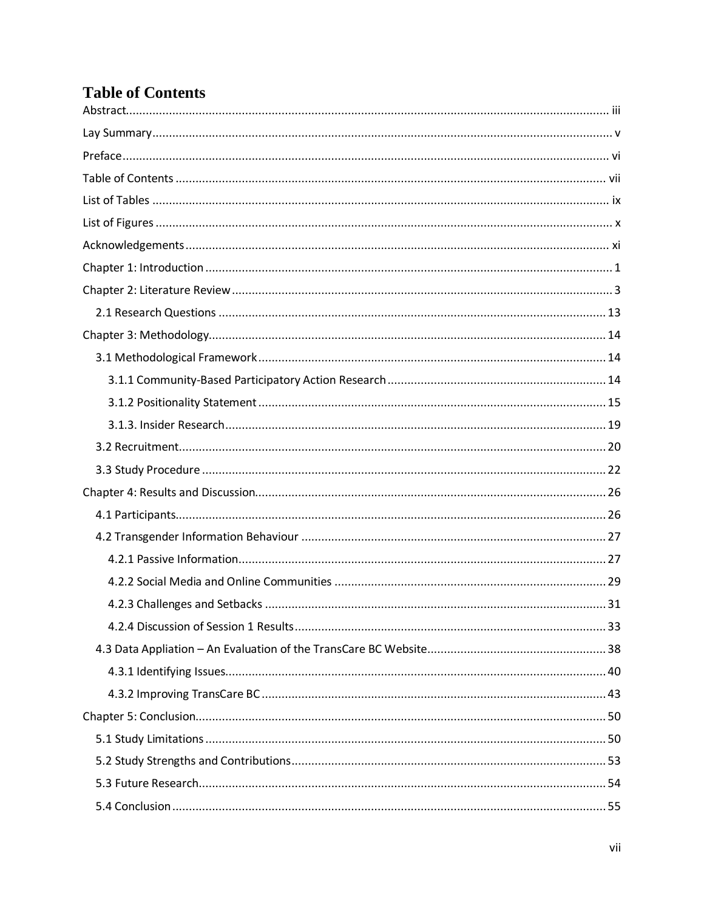# <span id="page-6-0"></span>**Table of Contents**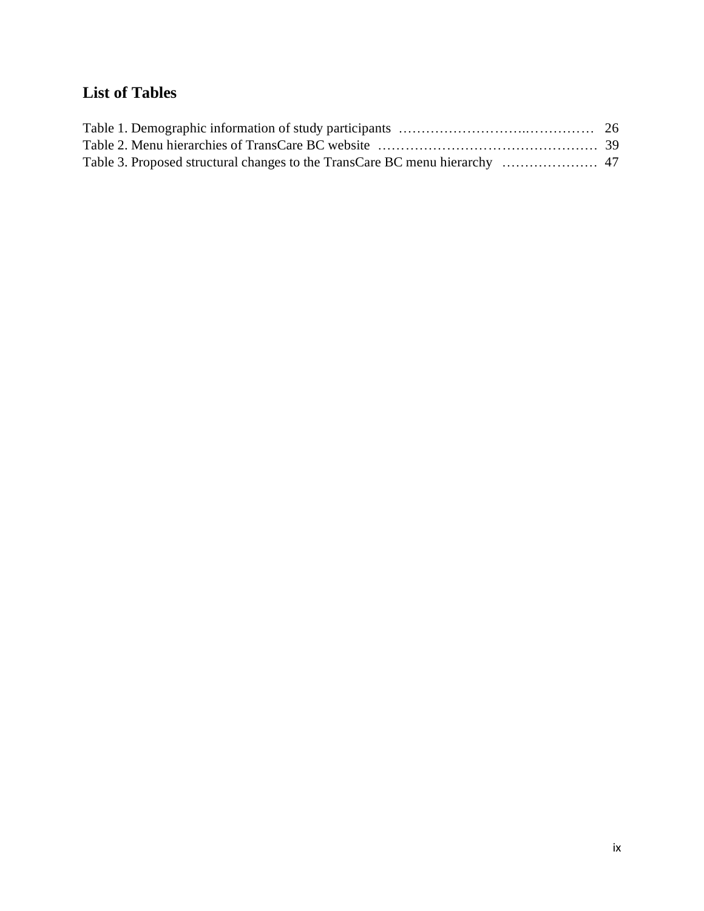# <span id="page-8-0"></span>**List of Tables**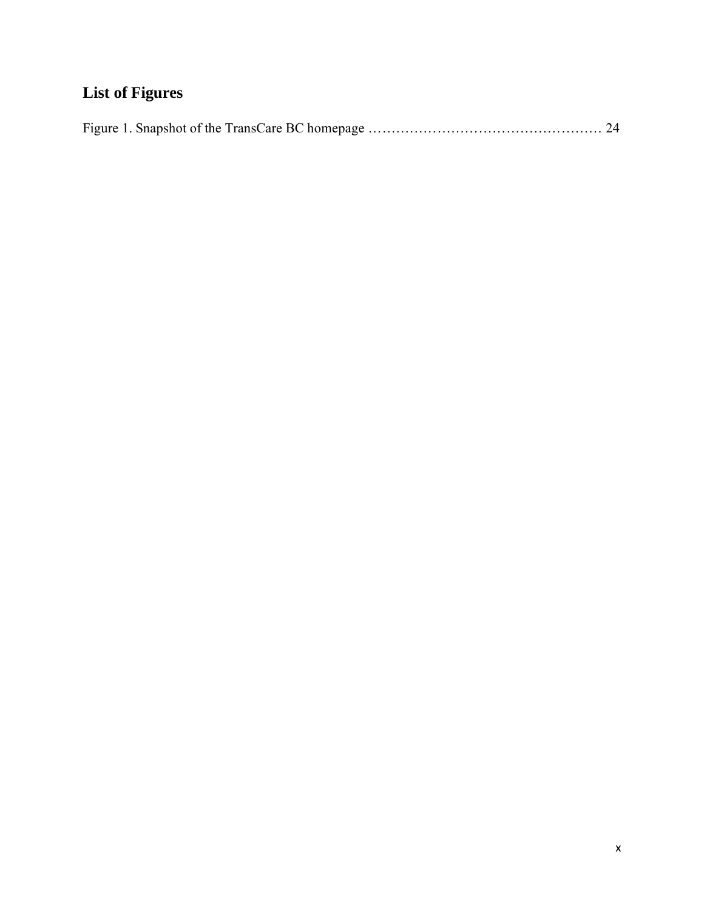# <span id="page-9-0"></span>**List of Figures**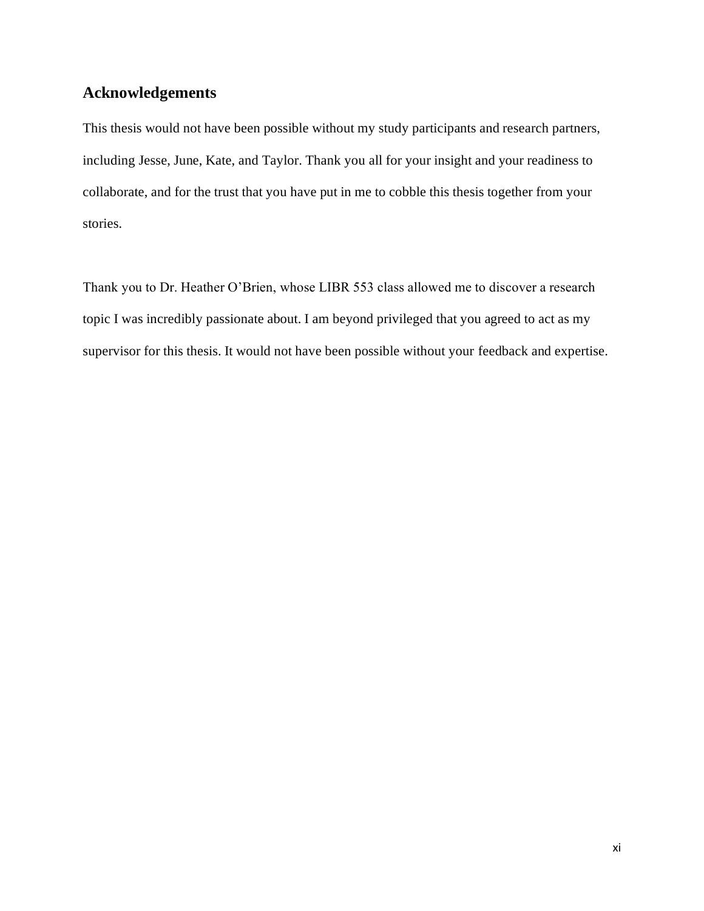## <span id="page-10-0"></span>**Acknowledgements**

This thesis would not have been possible without my study participants and research partners, including Jesse, June, Kate, and Taylor. Thank you all for your insight and your readiness to collaborate, and for the trust that you have put in me to cobble this thesis together from your stories.

Thank you to Dr. Heather O'Brien, whose LIBR 553 class allowed me to discover a research topic I was incredibly passionate about. I am beyond privileged that you agreed to act as my supervisor for this thesis. It would not have been possible without your feedback and expertise.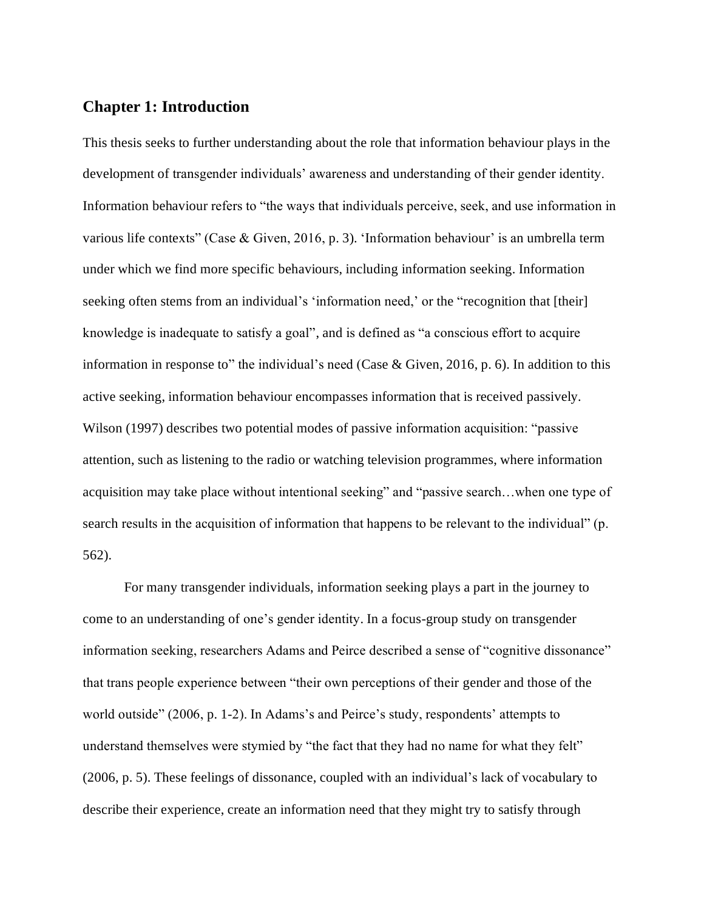### <span id="page-11-0"></span>**Chapter 1: Introduction**

This thesis seeks to further understanding about the role that information behaviour plays in the development of transgender individuals' awareness and understanding of their gender identity. Information behaviour refers to "the ways that individuals perceive, seek, and use information in various life contexts" (Case & Given, 2016, p. 3). 'Information behaviour' is an umbrella term under which we find more specific behaviours, including information seeking. Information seeking often stems from an individual's 'information need,' or the "recognition that [their] knowledge is inadequate to satisfy a goal", and is defined as "a conscious effort to acquire information in response to" the individual's need (Case & Given, 2016, p. 6). In addition to this active seeking, information behaviour encompasses information that is received passively. Wilson (1997) describes two potential modes of passive information acquisition: "passive attention, such as listening to the radio or watching television programmes, where information acquisition may take place without intentional seeking" and "passive search…when one type of search results in the acquisition of information that happens to be relevant to the individual" (p. 562).

For many transgender individuals, information seeking plays a part in the journey to come to an understanding of one's gender identity. In a focus-group study on transgender information seeking, researchers Adams and Peirce described a sense of "cognitive dissonance" that trans people experience between "their own perceptions of their gender and those of the world outside" (2006, p. 1-2). In Adams's and Peirce's study, respondents' attempts to understand themselves were stymied by "the fact that they had no name for what they felt" (2006, p. 5). These feelings of dissonance, coupled with an individual's lack of vocabulary to describe their experience, create an information need that they might try to satisfy through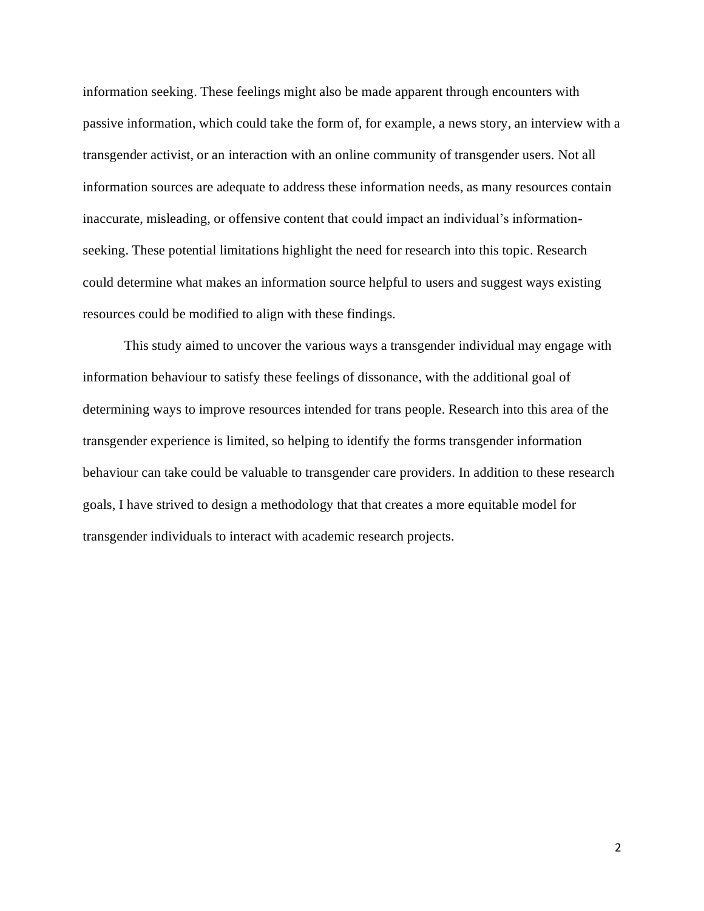information seeking. These feelings might also be made apparent through encounters with passive information, which could take the form of, for example, a news story, an interview with a transgender activist, or an interaction with an online community of transgender users. Not all information sources are adequate to address these information needs, as many resources contain inaccurate, misleading, or offensive content that could impact an individual's informationseeking. These potential limitations highlight the need for research into this topic. Research could determine what makes an information source helpful to users and suggest ways existing resources could be modified to align with these findings.

This study aimed to uncover the various ways a transgender individual may engage with information behaviour to satisfy these feelings of dissonance, with the additional goal of determining ways to improve resources intended for trans people. Research into this area of the transgender experience is limited, so helping to identify the forms transgender information behaviour can take could be valuable to transgender care providers. In addition to these research goals, I have strived to design a methodology that that creates a more equitable model for transgender individuals to interact with academic research projects.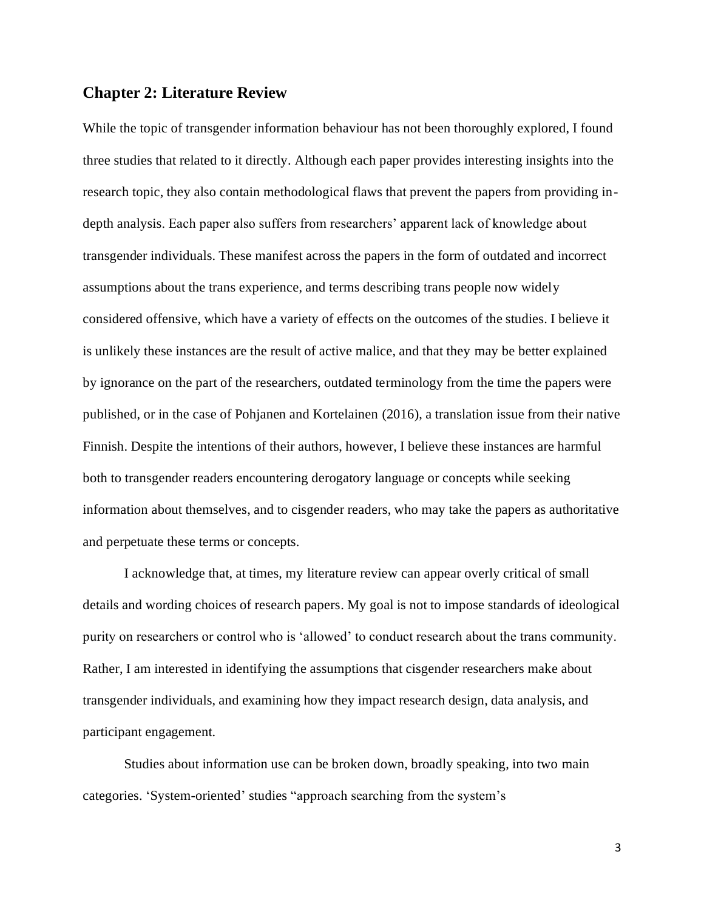### <span id="page-13-0"></span>**Chapter 2: Literature Review**

While the topic of transgender information behaviour has not been thoroughly explored, I found three studies that related to it directly. Although each paper provides interesting insights into the research topic, they also contain methodological flaws that prevent the papers from providing indepth analysis. Each paper also suffers from researchers' apparent lack of knowledge about transgender individuals. These manifest across the papers in the form of outdated and incorrect assumptions about the trans experience, and terms describing trans people now widely considered offensive, which have a variety of effects on the outcomes of the studies. I believe it is unlikely these instances are the result of active malice, and that they may be better explained by ignorance on the part of the researchers, outdated terminology from the time the papers were published, or in the case of Pohjanen and Kortelainen (2016), a translation issue from their native Finnish. Despite the intentions of their authors, however, I believe these instances are harmful both to transgender readers encountering derogatory language or concepts while seeking information about themselves, and to cisgender readers, who may take the papers as authoritative and perpetuate these terms or concepts.

I acknowledge that, at times, my literature review can appear overly critical of small details and wording choices of research papers. My goal is not to impose standards of ideological purity on researchers or control who is 'allowed' to conduct research about the trans community. Rather, I am interested in identifying the assumptions that cisgender researchers make about transgender individuals, and examining how they impact research design, data analysis, and participant engagement.

Studies about information use can be broken down, broadly speaking, into two main categories. 'System-oriented' studies "approach searching from the system's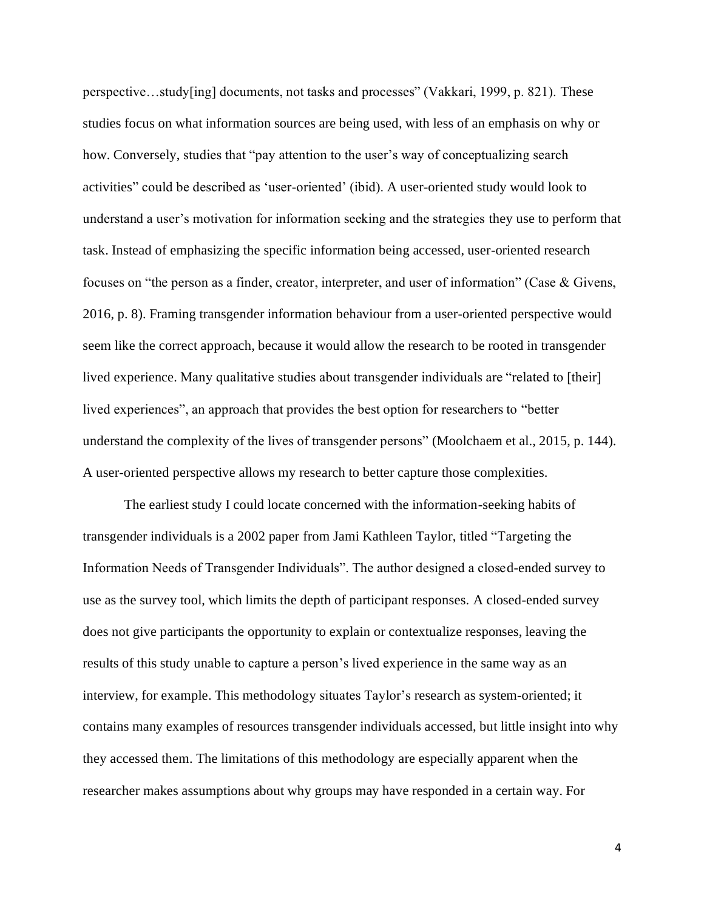perspective…study[ing] documents, not tasks and processes" (Vakkari, 1999, p. 821). These studies focus on what information sources are being used, with less of an emphasis on why or how. Conversely, studies that "pay attention to the user's way of conceptualizing search activities" could be described as 'user-oriented' (ibid). A user-oriented study would look to understand a user's motivation for information seeking and the strategies they use to perform that task. Instead of emphasizing the specific information being accessed, user-oriented research focuses on "the person as a finder, creator, interpreter, and user of information" (Case & Givens, 2016, p. 8). Framing transgender information behaviour from a user-oriented perspective would seem like the correct approach, because it would allow the research to be rooted in transgender lived experience. Many qualitative studies about transgender individuals are "related to [their] lived experiences", an approach that provides the best option for researchers to "better understand the complexity of the lives of transgender persons" (Moolchaem et al., 2015, p. 144). A user-oriented perspective allows my research to better capture those complexities.

The earliest study I could locate concerned with the information-seeking habits of transgender individuals is a 2002 paper from Jami Kathleen Taylor, titled "Targeting the Information Needs of Transgender Individuals". The author designed a closed-ended survey to use as the survey tool, which limits the depth of participant responses. A closed-ended survey does not give participants the opportunity to explain or contextualize responses, leaving the results of this study unable to capture a person's lived experience in the same way as an interview, for example. This methodology situates Taylor's research as system-oriented; it contains many examples of resources transgender individuals accessed, but little insight into why they accessed them. The limitations of this methodology are especially apparent when the researcher makes assumptions about why groups may have responded in a certain way. For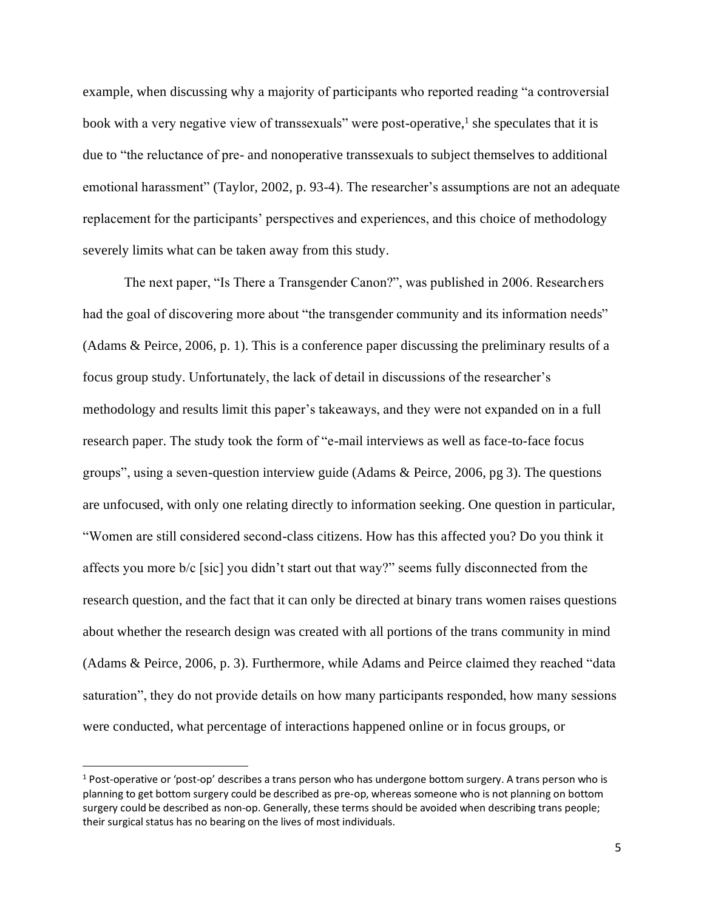example, when discussing why a majority of participants who reported reading "a controversial book with a very negative view of transsexuals" were post-operative,<sup>1</sup> she speculates that it is due to "the reluctance of pre- and nonoperative transsexuals to subject themselves to additional emotional harassment" (Taylor, 2002, p. 93-4). The researcher's assumptions are not an adequate replacement for the participants' perspectives and experiences, and this choice of methodology severely limits what can be taken away from this study.

The next paper, "Is There a Transgender Canon?", was published in 2006. Researchers had the goal of discovering more about "the transgender community and its information needs" (Adams & Peirce, 2006, p. 1). This is a conference paper discussing the preliminary results of a focus group study. Unfortunately, the lack of detail in discussions of the researcher's methodology and results limit this paper's takeaways, and they were not expanded on in a full research paper. The study took the form of "e-mail interviews as well as face-to-face focus groups", using a seven-question interview guide (Adams & Peirce, 2006, pg 3). The questions are unfocused, with only one relating directly to information seeking. One question in particular, "Women are still considered second-class citizens. How has this affected you? Do you think it affects you more b/c [sic] you didn't start out that way?" seems fully disconnected from the research question, and the fact that it can only be directed at binary trans women raises questions about whether the research design was created with all portions of the trans community in mind (Adams & Peirce, 2006, p. 3). Furthermore, while Adams and Peirce claimed they reached "data saturation", they do not provide details on how many participants responded, how many sessions were conducted, what percentage of interactions happened online or in focus groups, or

 $1$  Post-operative or 'post-op' describes a trans person who has undergone bottom surgery. A trans person who is planning to get bottom surgery could be described as pre-op, whereas someone who is not planning on bottom surgery could be described as non-op. Generally, these terms should be avoided when describing trans people; their surgical status has no bearing on the lives of most individuals.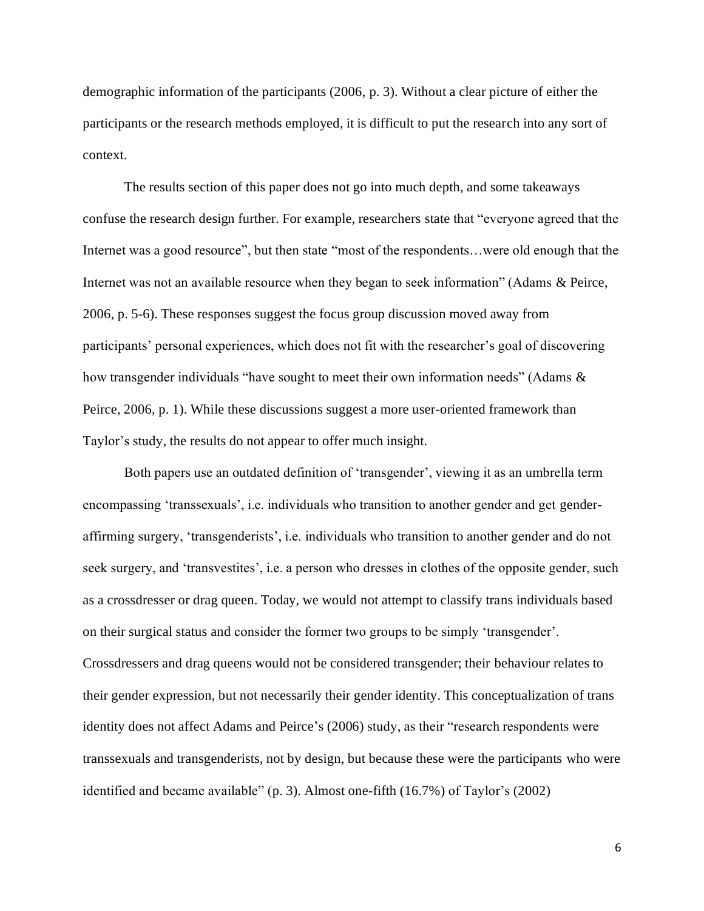demographic information of the participants (2006, p. 3). Without a clear picture of either the participants or the research methods employed, it is difficult to put the research into any sort of context.

The results section of this paper does not go into much depth, and some takeaways confuse the research design further. For example, researchers state that "everyone agreed that the Internet was a good resource", but then state "most of the respondents...were old enough that the Internet was not an available resource when they began to seek information" (Adams & Peirce, 2006, p. 5-6). These responses suggest the focus group discussion moved away from participants' personal experiences, which does not fit with the researcher's goal of discovering how transgender individuals "have sought to meet their own information needs" (Adams & Peirce, 2006, p. 1). While these discussions suggest a more user-oriented framework than Taylor's study, the results do not appear to offer much insight.

Both papers use an outdated definition of 'transgender', viewing it as an umbrella term encompassing 'transsexuals', i.e. individuals who transition to another gender and get genderaffirming surgery, 'transgenderists', i.e. individuals who transition to another gender and do not seek surgery, and 'transvestites', i.e. a person who dresses in clothes of the opposite gender, such as a crossdresser or drag queen. Today, we would not attempt to classify trans individuals based on their surgical status and consider the former two groups to be simply 'transgender'. Crossdressers and drag queens would not be considered transgender; their behaviour relates to their gender expression, but not necessarily their gender identity. This conceptualization of trans identity does not affect Adams and Peirce's (2006) study, as their "research respondents were transsexuals and transgenderists, not by design, but because these were the participants who were identified and became available" (p. 3). Almost one-fifth (16.7%) of Taylor's (2002)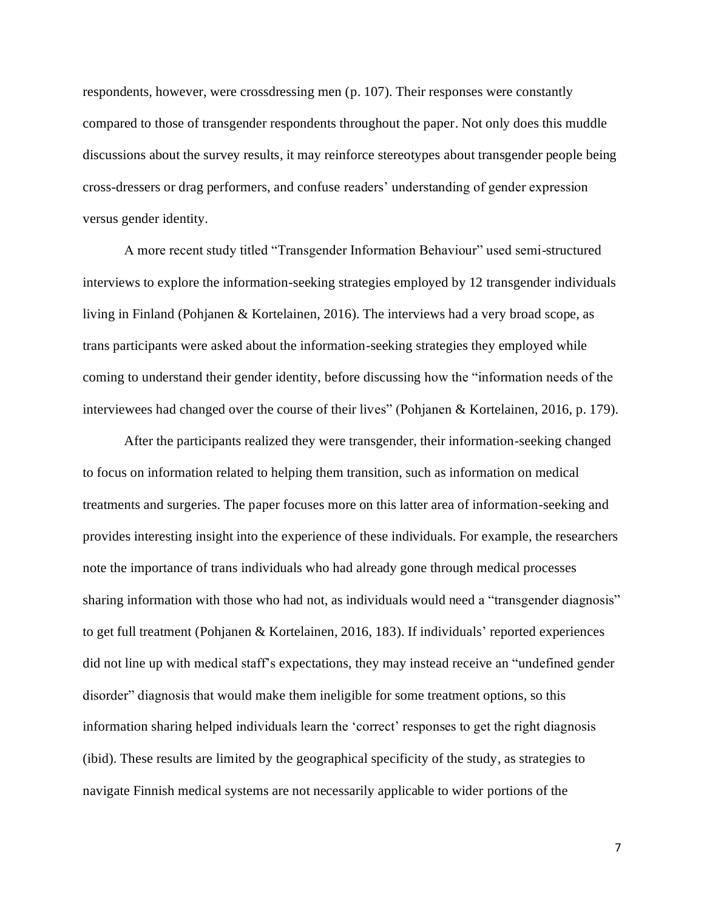respondents, however, were crossdressing men (p. 107). Their responses were constantly compared to those of transgender respondents throughout the paper. Not only does this muddle discussions about the survey results, it may reinforce stereotypes about transgender people being cross-dressers or drag performers, and confuse readers' understanding of gender expression versus gender identity.

A more recent study titled "Transgender Information Behaviour" used semi-structured interviews to explore the information-seeking strategies employed by 12 transgender individuals living in Finland (Pohjanen & Kortelainen, 2016). The interviews had a very broad scope, as trans participants were asked about the information-seeking strategies they employed while coming to understand their gender identity, before discussing how the "information needs of the interviewees had changed over the course of their lives" (Pohjanen & Kortelainen, 2016, p. 179).

After the participants realized they were transgender, their information-seeking changed to focus on information related to helping them transition, such as information on medical treatments and surgeries. The paper focuses more on this latter area of information-seeking and provides interesting insight into the experience of these individuals. For example, the researchers note the importance of trans individuals who had already gone through medical processes sharing information with those who had not, as individuals would need a "transgender diagnosis" to get full treatment (Pohjanen & Kortelainen, 2016, 183). If individuals' reported experiences did not line up with medical staff's expectations, they may instead receive an "undefined gender disorder" diagnosis that would make them ineligible for some treatment options, so this information sharing helped individuals learn the 'correct' responses to get the right diagnosis (ibid). These results are limited by the geographical specificity of the study, as strategies to navigate Finnish medical systems are not necessarily applicable to wider portions of the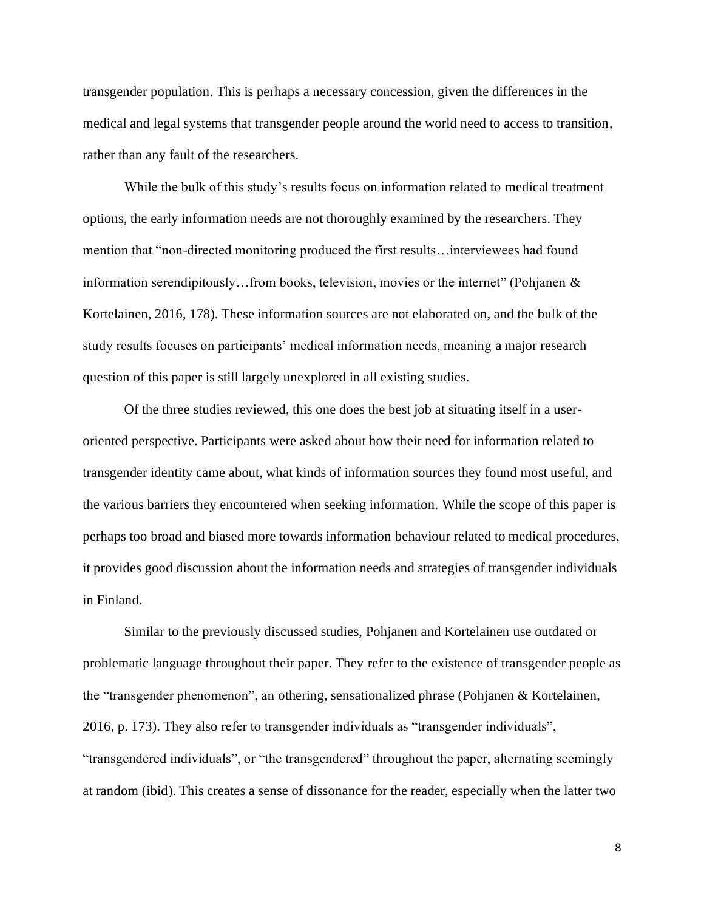transgender population. This is perhaps a necessary concession, given the differences in the medical and legal systems that transgender people around the world need to access to transition, rather than any fault of the researchers.

While the bulk of this study's results focus on information related to medical treatment options, the early information needs are not thoroughly examined by the researchers. They mention that "non-directed monitoring produced the first results…interviewees had found information serendipitously…from books, television, movies or the internet" (Pohjanen & Kortelainen, 2016, 178). These information sources are not elaborated on, and the bulk of the study results focuses on participants' medical information needs, meaning a major research question of this paper is still largely unexplored in all existing studies.

Of the three studies reviewed, this one does the best job at situating itself in a useroriented perspective. Participants were asked about how their need for information related to transgender identity came about, what kinds of information sources they found most useful, and the various barriers they encountered when seeking information. While the scope of this paper is perhaps too broad and biased more towards information behaviour related to medical procedures, it provides good discussion about the information needs and strategies of transgender individuals in Finland.

Similar to the previously discussed studies, Pohjanen and Kortelainen use outdated or problematic language throughout their paper. They refer to the existence of transgender people as the "transgender phenomenon", an othering, sensationalized phrase (Pohjanen & Kortelainen, 2016, p. 173). They also refer to transgender individuals as "transgender individuals", "transgendered individuals", or "the transgendered" throughout the paper, alternating seemingly at random (ibid). This creates a sense of dissonance for the reader, especially when the latter two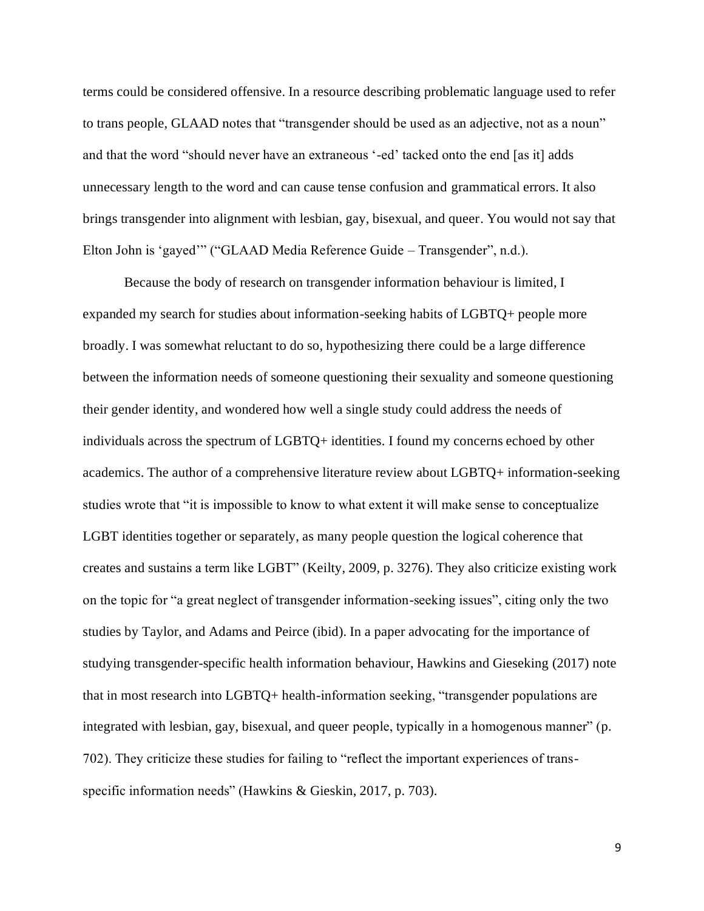terms could be considered offensive. In a resource describing problematic language used to refer to trans people, GLAAD notes that "transgender should be used as an adjective, not as a noun" and that the word "should never have an extraneous '-ed' tacked onto the end [as it] adds unnecessary length to the word and can cause tense confusion and grammatical errors. It also brings transgender into alignment with lesbian, gay, bisexual, and queer. You would not say that Elton John is 'gayed'" ("GLAAD Media Reference Guide – Transgender", n.d.).

Because the body of research on transgender information behaviour is limited, I expanded my search for studies about information-seeking habits of LGBTQ+ people more broadly. I was somewhat reluctant to do so, hypothesizing there could be a large difference between the information needs of someone questioning their sexuality and someone questioning their gender identity, and wondered how well a single study could address the needs of individuals across the spectrum of LGBTQ+ identities. I found my concerns echoed by other academics. The author of a comprehensive literature review about LGBTQ+ information-seeking studies wrote that "it is impossible to know to what extent it will make sense to conceptualize LGBT identities together or separately, as many people question the logical coherence that creates and sustains a term like LGBT" (Keilty, 2009, p. 3276). They also criticize existing work on the topic for "a great neglect of transgender information-seeking issues", citing only the two studies by Taylor, and Adams and Peirce (ibid). In a paper advocating for the importance of studying transgender-specific health information behaviour, Hawkins and Gieseking (2017) note that in most research into LGBTQ+ health-information seeking, "transgender populations are integrated with lesbian, gay, bisexual, and queer people, typically in a homogenous manner" (p. 702). They criticize these studies for failing to "reflect the important experiences of transspecific information needs" (Hawkins & Gieskin, 2017, p. 703).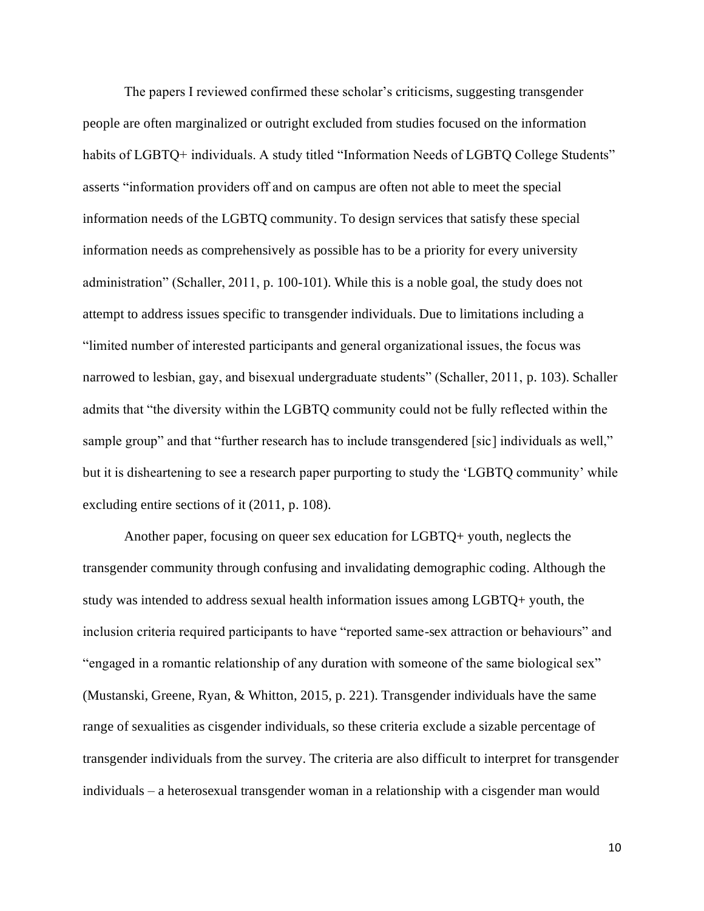The papers I reviewed confirmed these scholar's criticisms, suggesting transgender people are often marginalized or outright excluded from studies focused on the information habits of LGBTQ+ individuals. A study titled "Information Needs of LGBTQ College Students" asserts "information providers off and on campus are often not able to meet the special information needs of the LGBTQ community. To design services that satisfy these special information needs as comprehensively as possible has to be a priority for every university administration" (Schaller, 2011, p. 100-101). While this is a noble goal, the study does not attempt to address issues specific to transgender individuals. Due to limitations including a "limited number of interested participants and general organizational issues, the focus was narrowed to lesbian, gay, and bisexual undergraduate students" (Schaller, 2011, p. 103). Schaller admits that "the diversity within the LGBTQ community could not be fully reflected within the sample group" and that "further research has to include transgendered [sic] individuals as well," but it is disheartening to see a research paper purporting to study the 'LGBTQ community' while excluding entire sections of it (2011, p. 108).

Another paper, focusing on queer sex education for LGBTQ+ youth, neglects the transgender community through confusing and invalidating demographic coding. Although the study was intended to address sexual health information issues among LGBTQ+ youth, the inclusion criteria required participants to have "reported same-sex attraction or behaviours" and "engaged in a romantic relationship of any duration with someone of the same biological sex" (Mustanski, Greene, Ryan, & Whitton, 2015, p. 221). Transgender individuals have the same range of sexualities as cisgender individuals, so these criteria exclude a sizable percentage of transgender individuals from the survey. The criteria are also difficult to interpret for transgender individuals – a heterosexual transgender woman in a relationship with a cisgender man would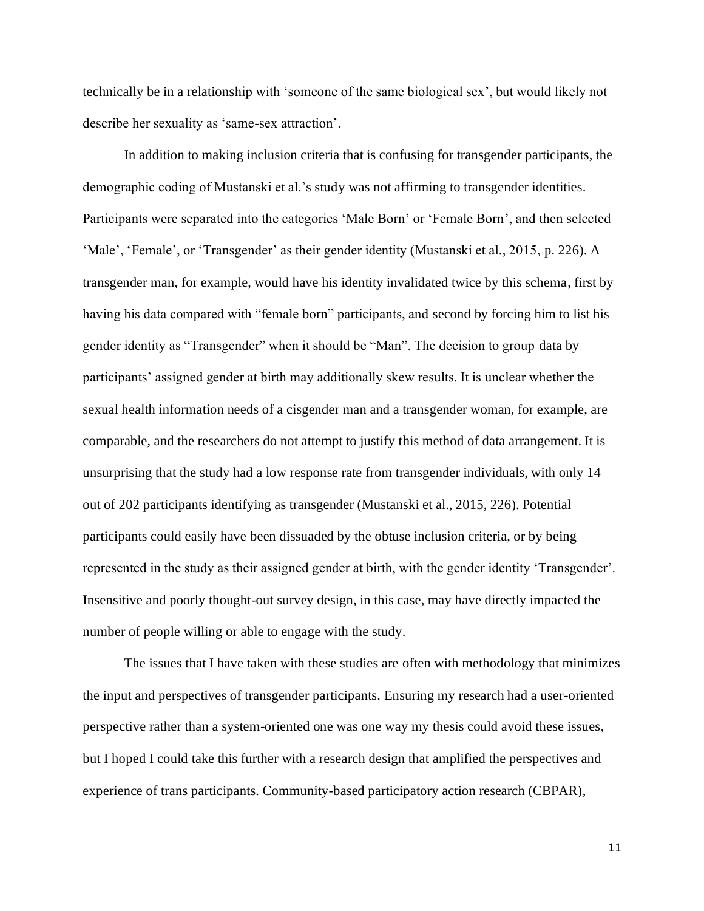technically be in a relationship with 'someone of the same biological sex', but would likely not describe her sexuality as 'same-sex attraction'.

In addition to making inclusion criteria that is confusing for transgender participants, the demographic coding of Mustanski et al.'s study was not affirming to transgender identities. Participants were separated into the categories 'Male Born' or 'Female Born', and then selected 'Male', 'Female', or 'Transgender' as their gender identity (Mustanski et al., 2015, p. 226). A transgender man, for example, would have his identity invalidated twice by this schema, first by having his data compared with "female born" participants, and second by forcing him to list his gender identity as "Transgender" when it should be "Man". The decision to group data by participants' assigned gender at birth may additionally skew results. It is unclear whether the sexual health information needs of a cisgender man and a transgender woman, for example, are comparable, and the researchers do not attempt to justify this method of data arrangement. It is unsurprising that the study had a low response rate from transgender individuals, with only 14 out of 202 participants identifying as transgender (Mustanski et al., 2015, 226). Potential participants could easily have been dissuaded by the obtuse inclusion criteria, or by being represented in the study as their assigned gender at birth, with the gender identity 'Transgender'. Insensitive and poorly thought-out survey design, in this case, may have directly impacted the number of people willing or able to engage with the study.

The issues that I have taken with these studies are often with methodology that minimizes the input and perspectives of transgender participants. Ensuring my research had a user-oriented perspective rather than a system-oriented one was one way my thesis could avoid these issues, but I hoped I could take this further with a research design that amplified the perspectives and experience of trans participants. Community-based participatory action research (CBPAR),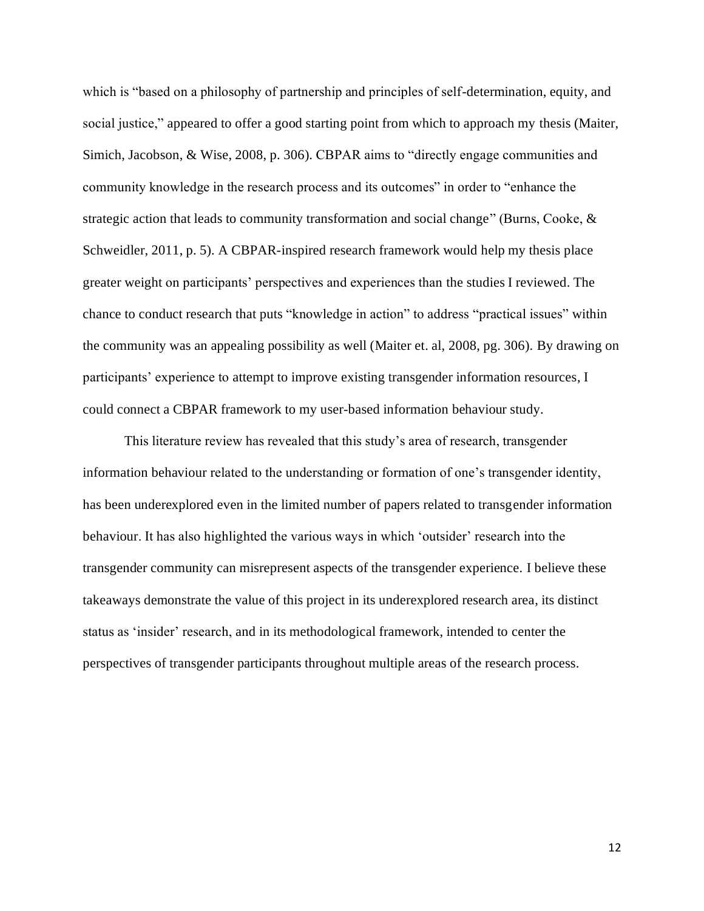which is "based on a philosophy of partnership and principles of self-determination, equity, and social justice," appeared to offer a good starting point from which to approach my thesis (Maiter, Simich, Jacobson, & Wise, 2008, p. 306). CBPAR aims to "directly engage communities and community knowledge in the research process and its outcomes" in order to "enhance the strategic action that leads to community transformation and social change" (Burns, Cooke, & Schweidler, 2011, p. 5). A CBPAR-inspired research framework would help my thesis place greater weight on participants' perspectives and experiences than the studies I reviewed. The chance to conduct research that puts "knowledge in action" to address "practical issues" within the community was an appealing possibility as well (Maiter et. al, 2008, pg. 306). By drawing on participants' experience to attempt to improve existing transgender information resources, I could connect a CBPAR framework to my user-based information behaviour study.

This literature review has revealed that this study's area of research, transgender information behaviour related to the understanding or formation of one's transgender identity, has been underexplored even in the limited number of papers related to transgender information behaviour. It has also highlighted the various ways in which 'outsider' research into the transgender community can misrepresent aspects of the transgender experience. I believe these takeaways demonstrate the value of this project in its underexplored research area, its distinct status as 'insider' research, and in its methodological framework, intended to center the perspectives of transgender participants throughout multiple areas of the research process.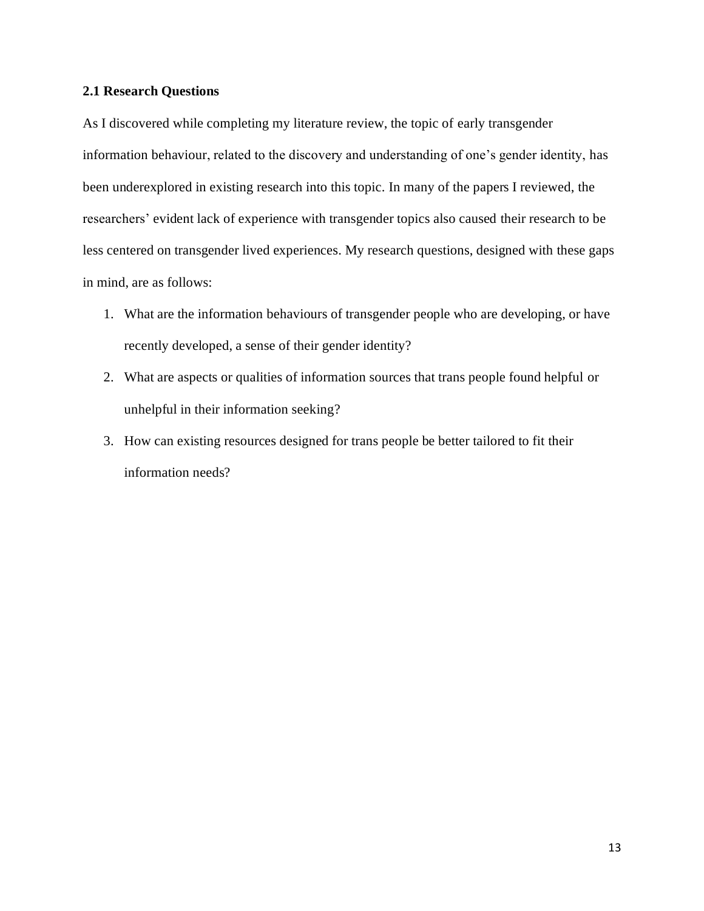#### <span id="page-23-0"></span>**2.1 Research Questions**

As I discovered while completing my literature review, the topic of early transgender information behaviour, related to the discovery and understanding of one's gender identity, has been underexplored in existing research into this topic. In many of the papers I reviewed, the researchers' evident lack of experience with transgender topics also caused their research to be less centered on transgender lived experiences. My research questions, designed with these gaps in mind, are as follows:

- 1. What are the information behaviours of transgender people who are developing, or have recently developed, a sense of their gender identity?
- 2. What are aspects or qualities of information sources that trans people found helpful or unhelpful in their information seeking?
- 3. How can existing resources designed for trans people be better tailored to fit their information needs?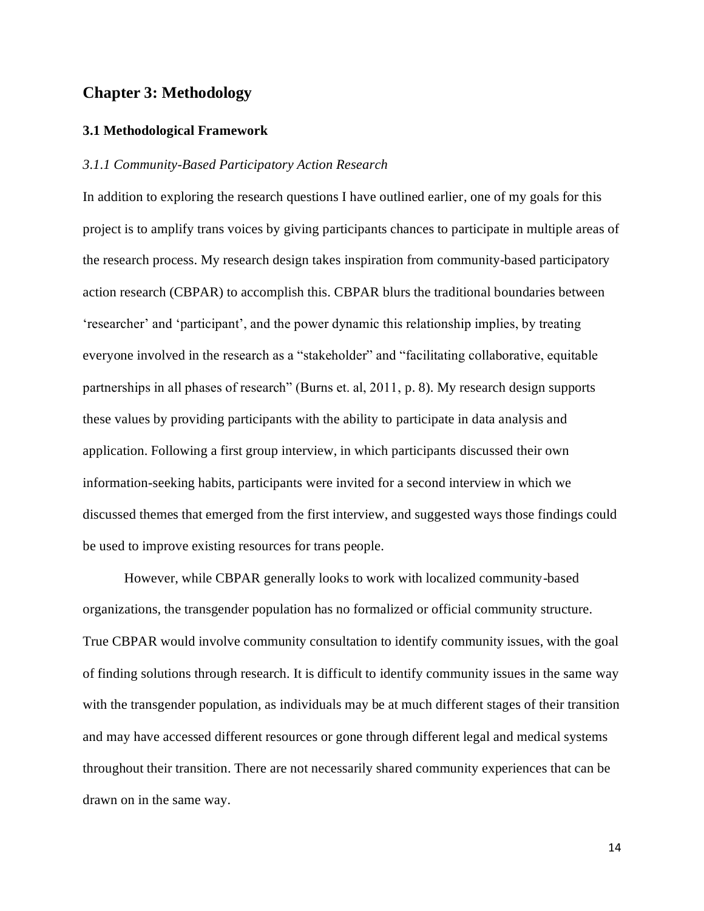### <span id="page-24-0"></span>**Chapter 3: Methodology**

#### <span id="page-24-1"></span>**3.1 Methodological Framework**

#### <span id="page-24-2"></span>*3.1.1 Community-Based Participatory Action Research*

In addition to exploring the research questions I have outlined earlier, one of my goals for this project is to amplify trans voices by giving participants chances to participate in multiple areas of the research process. My research design takes inspiration from community-based participatory action research (CBPAR) to accomplish this. CBPAR blurs the traditional boundaries between 'researcher' and 'participant', and the power dynamic this relationship implies, by treating everyone involved in the research as a "stakeholder" and "facilitating collaborative, equitable partnerships in all phases of research" (Burns et. al, 2011, p. 8). My research design supports these values by providing participants with the ability to participate in data analysis and application. Following a first group interview, in which participants discussed their own information-seeking habits, participants were invited for a second interview in which we discussed themes that emerged from the first interview, and suggested ways those findings could be used to improve existing resources for trans people.

However, while CBPAR generally looks to work with localized community-based organizations, the transgender population has no formalized or official community structure. True CBPAR would involve community consultation to identify community issues, with the goal of finding solutions through research. It is difficult to identify community issues in the same way with the transgender population, as individuals may be at much different stages of their transition and may have accessed different resources or gone through different legal and medical systems throughout their transition. There are not necessarily shared community experiences that can be drawn on in the same way.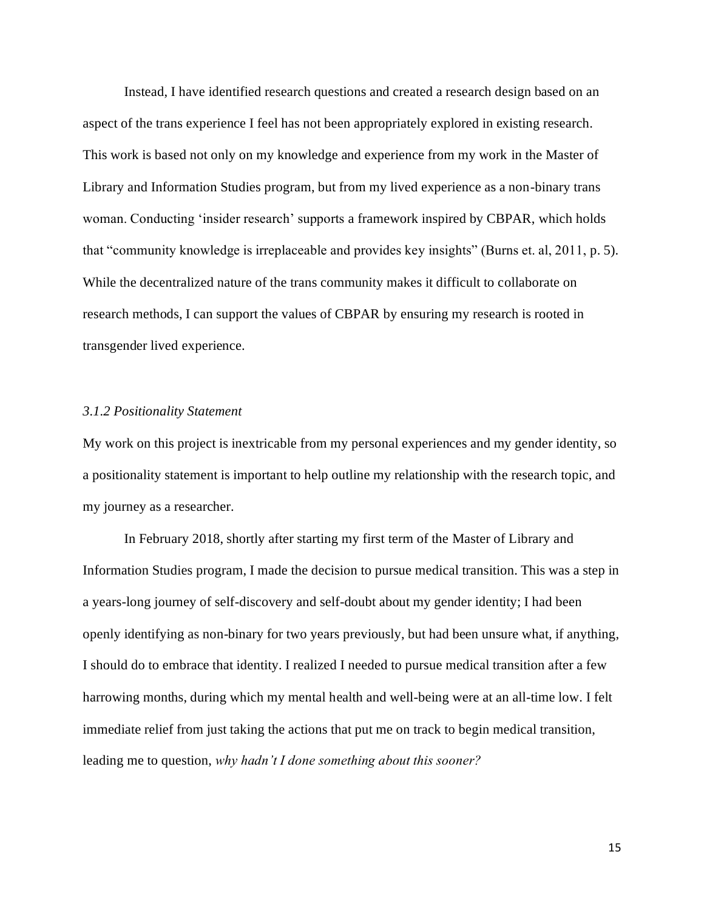Instead, I have identified research questions and created a research design based on an aspect of the trans experience I feel has not been appropriately explored in existing research. This work is based not only on my knowledge and experience from my work in the Master of Library and Information Studies program, but from my lived experience as a non-binary trans woman. Conducting 'insider research' supports a framework inspired by CBPAR, which holds that "community knowledge is irreplaceable and provides key insights" (Burns et. al, 2011, p. 5). While the decentralized nature of the trans community makes it difficult to collaborate on research methods, I can support the values of CBPAR by ensuring my research is rooted in transgender lived experience.

#### <span id="page-25-0"></span>*3.1.2 Positionality Statement*

My work on this project is inextricable from my personal experiences and my gender identity, so a positionality statement is important to help outline my relationship with the research topic, and my journey as a researcher.

In February 2018, shortly after starting my first term of the Master of Library and Information Studies program, I made the decision to pursue medical transition. This was a step in a years-long journey of self-discovery and self-doubt about my gender identity; I had been openly identifying as non-binary for two years previously, but had been unsure what, if anything, I should do to embrace that identity. I realized I needed to pursue medical transition after a few harrowing months, during which my mental health and well-being were at an all-time low. I felt immediate relief from just taking the actions that put me on track to begin medical transition, leading me to question, *why hadn't I done something about this sooner?*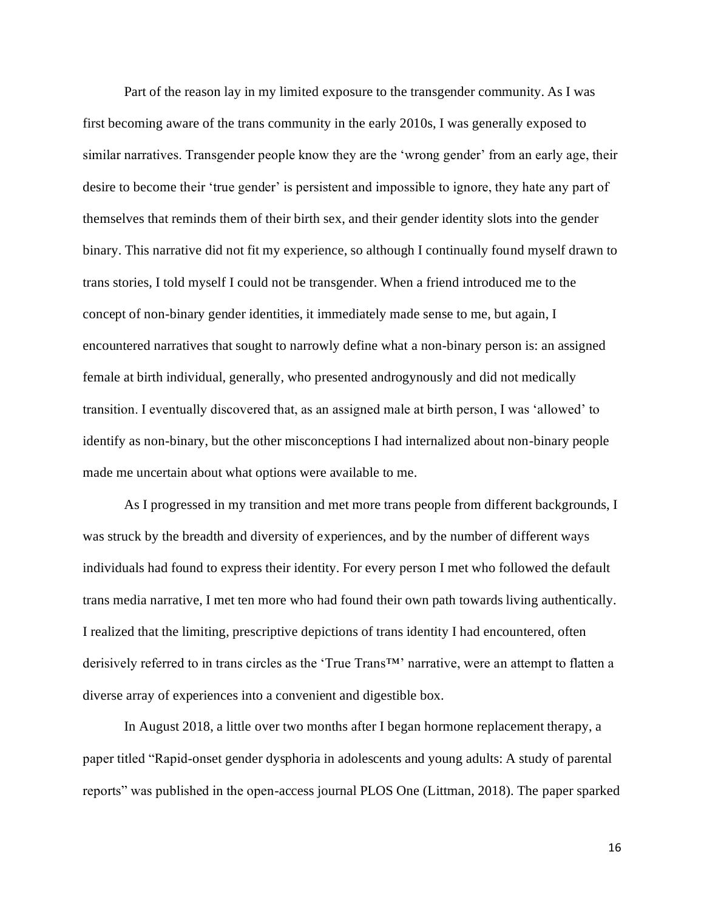Part of the reason lay in my limited exposure to the transgender community. As I was first becoming aware of the trans community in the early 2010s, I was generally exposed to similar narratives. Transgender people know they are the 'wrong gender' from an early age, their desire to become their 'true gender' is persistent and impossible to ignore, they hate any part of themselves that reminds them of their birth sex, and their gender identity slots into the gender binary. This narrative did not fit my experience, so although I continually found myself drawn to trans stories, I told myself I could not be transgender. When a friend introduced me to the concept of non-binary gender identities, it immediately made sense to me, but again, I encountered narratives that sought to narrowly define what a non-binary person is: an assigned female at birth individual, generally, who presented androgynously and did not medically transition. I eventually discovered that, as an assigned male at birth person, I was 'allowed' to identify as non-binary, but the other misconceptions I had internalized about non-binary people made me uncertain about what options were available to me.

As I progressed in my transition and met more trans people from different backgrounds, I was struck by the breadth and diversity of experiences, and by the number of different ways individuals had found to express their identity. For every person I met who followed the default trans media narrative, I met ten more who had found their own path towards living authentically. I realized that the limiting, prescriptive depictions of trans identity I had encountered, often derisively referred to in trans circles as the 'True Trans™' narrative, were an attempt to flatten a diverse array of experiences into a convenient and digestible box.

In August 2018, a little over two months after I began hormone replacement therapy, a paper titled "Rapid-onset gender dysphoria in adolescents and young adults: A study of parental reports" was published in the open-access journal PLOS One (Littman, 2018). The paper sparked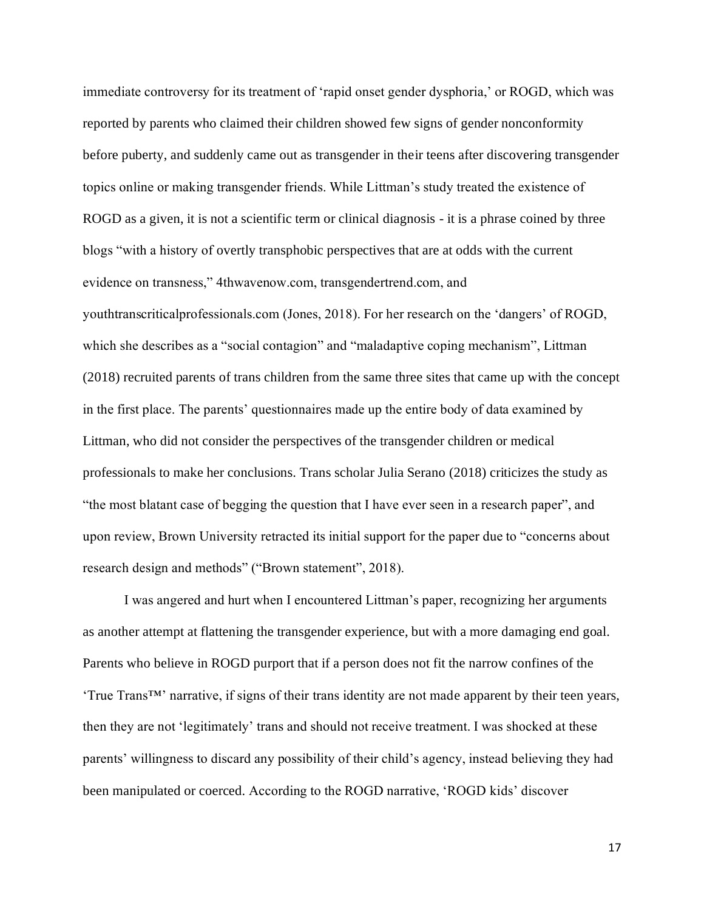immediate controversy for its treatment of 'rapid onset gender dysphoria,' or ROGD, which was reported by parents who claimed their children showed few signs of gender nonconformity before puberty, and suddenly came out as transgender in their teens after discovering transgender topics online or making transgender friends. While Littman's study treated the existence of ROGD as a given, it is not a scientific term or clinical diagnosis - it is a phrase coined by three blogs "with a history of overtly transphobic perspectives that are at odds with the current evidence on transness," 4thwavenow.com, transgendertrend.com, and youthtranscriticalprofessionals.com (Jones, 2018). For her research on the 'dangers' of ROGD, which she describes as a "social contagion" and "maladaptive coping mechanism", Littman (2018) recruited parents of trans children from the same three sites that came up with the concept in the first place. The parents' questionnaires made up the entire body of data examined by Littman, who did not consider the perspectives of the transgender children or medical professionals to make her conclusions. Trans scholar Julia Serano (2018) criticizes the study as "the most blatant case of begging the question that I have ever seen in a research paper", and upon review, Brown University retracted its initial support for the paper due to "concerns about research design and methods" ("Brown statement", 2018).

I was angered and hurt when I encountered Littman's paper, recognizing her arguments as another attempt at flattening the transgender experience, but with a more damaging end goal. Parents who believe in ROGD purport that if a person does not fit the narrow confines of the 'True Trans™' narrative, if signs of their trans identity are not made apparent by their teen years, then they are not 'legitimately' trans and should not receive treatment. I was shocked at these parents' willingness to discard any possibility of their child's agency, instead believing they had been manipulated or coerced. According to the ROGD narrative, 'ROGD kids' discover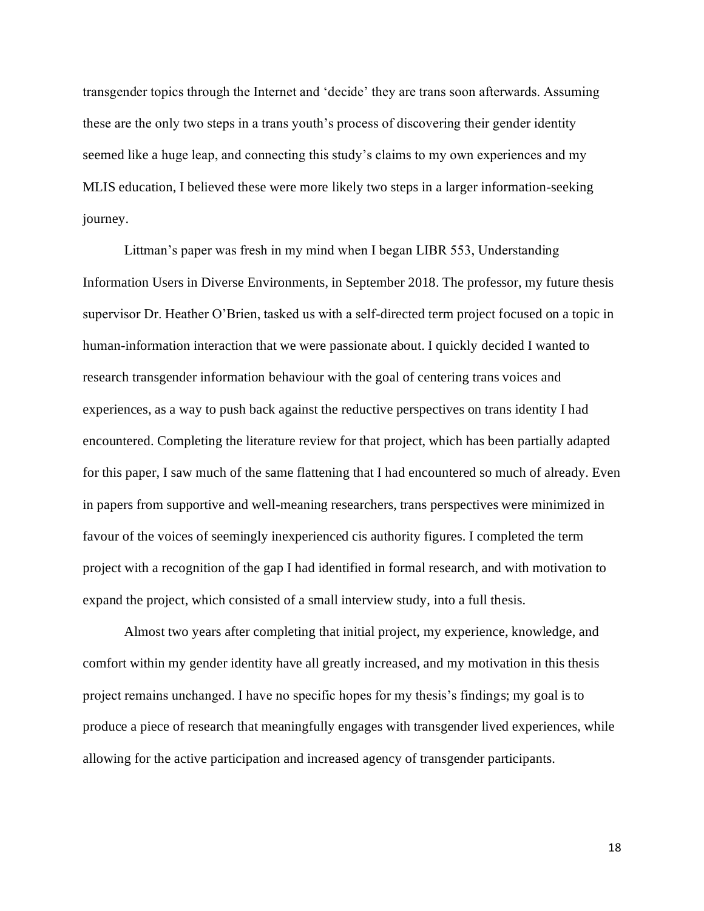transgender topics through the Internet and 'decide' they are trans soon afterwards. Assuming these are the only two steps in a trans youth's process of discovering their gender identity seemed like a huge leap, and connecting this study's claims to my own experiences and my MLIS education, I believed these were more likely two steps in a larger information-seeking journey.

Littman's paper was fresh in my mind when I began LIBR 553, Understanding Information Users in Diverse Environments, in September 2018. The professor, my future thesis supervisor Dr. Heather O'Brien, tasked us with a self-directed term project focused on a topic in human-information interaction that we were passionate about. I quickly decided I wanted to research transgender information behaviour with the goal of centering trans voices and experiences, as a way to push back against the reductive perspectives on trans identity I had encountered. Completing the literature review for that project, which has been partially adapted for this paper, I saw much of the same flattening that I had encountered so much of already. Even in papers from supportive and well-meaning researchers, trans perspectives were minimized in favour of the voices of seemingly inexperienced cis authority figures. I completed the term project with a recognition of the gap I had identified in formal research, and with motivation to expand the project, which consisted of a small interview study, into a full thesis.

Almost two years after completing that initial project, my experience, knowledge, and comfort within my gender identity have all greatly increased, and my motivation in this thesis project remains unchanged. I have no specific hopes for my thesis's findings; my goal is to produce a piece of research that meaningfully engages with transgender lived experiences, while allowing for the active participation and increased agency of transgender participants.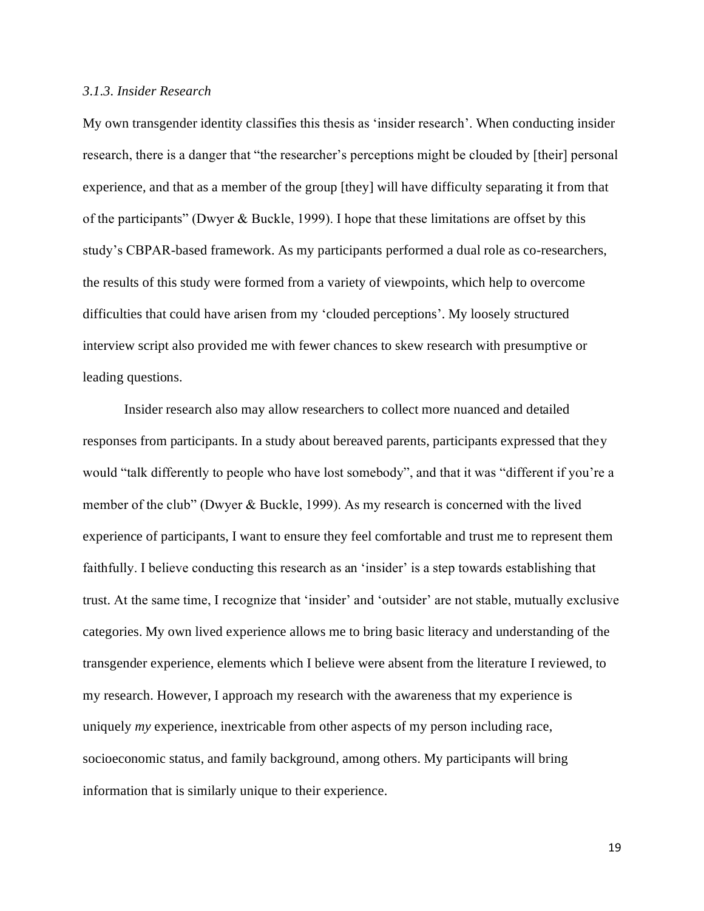#### <span id="page-29-0"></span>*3.1.3. Insider Research*

My own transgender identity classifies this thesis as 'insider research'. When conducting insider research, there is a danger that "the researcher's perceptions might be clouded by [their] personal experience, and that as a member of the group [they] will have difficulty separating it from that of the participants" (Dwyer & Buckle, 1999). I hope that these limitations are offset by this study's CBPAR-based framework. As my participants performed a dual role as co-researchers, the results of this study were formed from a variety of viewpoints, which help to overcome difficulties that could have arisen from my 'clouded perceptions'. My loosely structured interview script also provided me with fewer chances to skew research with presumptive or leading questions.

Insider research also may allow researchers to collect more nuanced and detailed responses from participants. In a study about bereaved parents, participants expressed that they would "talk differently to people who have lost somebody", and that it was "different if you're a member of the club" (Dwyer & Buckle, 1999). As my research is concerned with the lived experience of participants, I want to ensure they feel comfortable and trust me to represent them faithfully. I believe conducting this research as an 'insider' is a step towards establishing that trust. At the same time, I recognize that 'insider' and 'outsider' are not stable, mutually exclusive categories. My own lived experience allows me to bring basic literacy and understanding of the transgender experience, elements which I believe were absent from the literature I reviewed, to my research. However, I approach my research with the awareness that my experience is uniquely *my* experience, inextricable from other aspects of my person including race, socioeconomic status, and family background, among others. My participants will bring information that is similarly unique to their experience.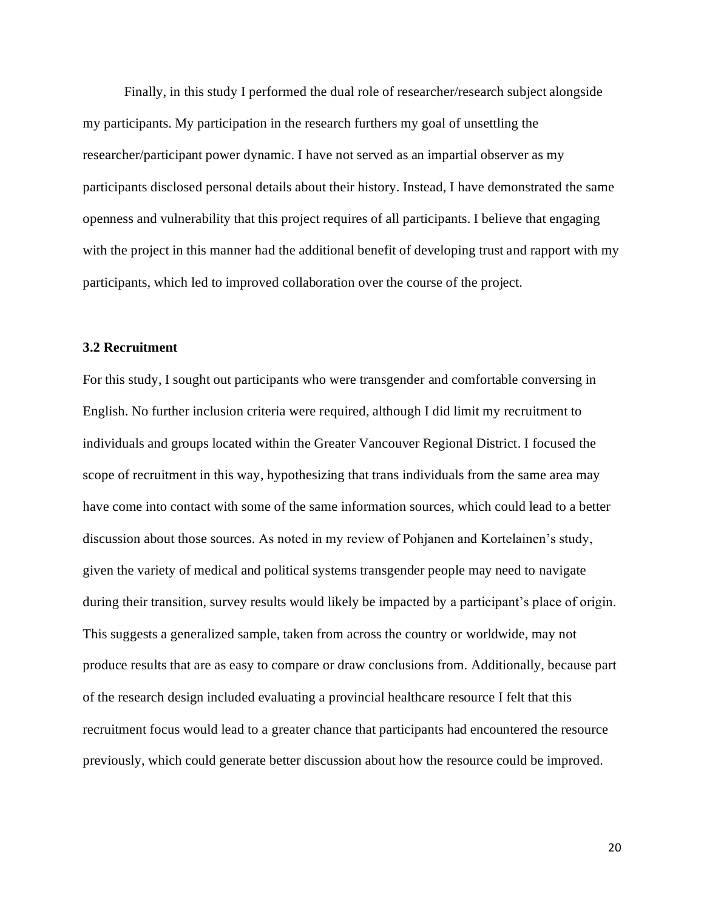Finally, in this study I performed the dual role of researcher/research subject alongside my participants. My participation in the research furthers my goal of unsettling the researcher/participant power dynamic. I have not served as an impartial observer as my participants disclosed personal details about their history. Instead, I have demonstrated the same openness and vulnerability that this project requires of all participants. I believe that engaging with the project in this manner had the additional benefit of developing trust and rapport with my participants, which led to improved collaboration over the course of the project.

#### <span id="page-30-0"></span>**3.2 Recruitment**

For this study, I sought out participants who were transgender and comfortable conversing in English. No further inclusion criteria were required, although I did limit my recruitment to individuals and groups located within the Greater Vancouver Regional District. I focused the scope of recruitment in this way, hypothesizing that trans individuals from the same area may have come into contact with some of the same information sources, which could lead to a better discussion about those sources. As noted in my review of Pohjanen and Kortelainen's study, given the variety of medical and political systems transgender people may need to navigate during their transition, survey results would likely be impacted by a participant's place of origin. This suggests a generalized sample, taken from across the country or worldwide, may not produce results that are as easy to compare or draw conclusions from. Additionally, because part of the research design included evaluating a provincial healthcare resource I felt that this recruitment focus would lead to a greater chance that participants had encountered the resource previously, which could generate better discussion about how the resource could be improved.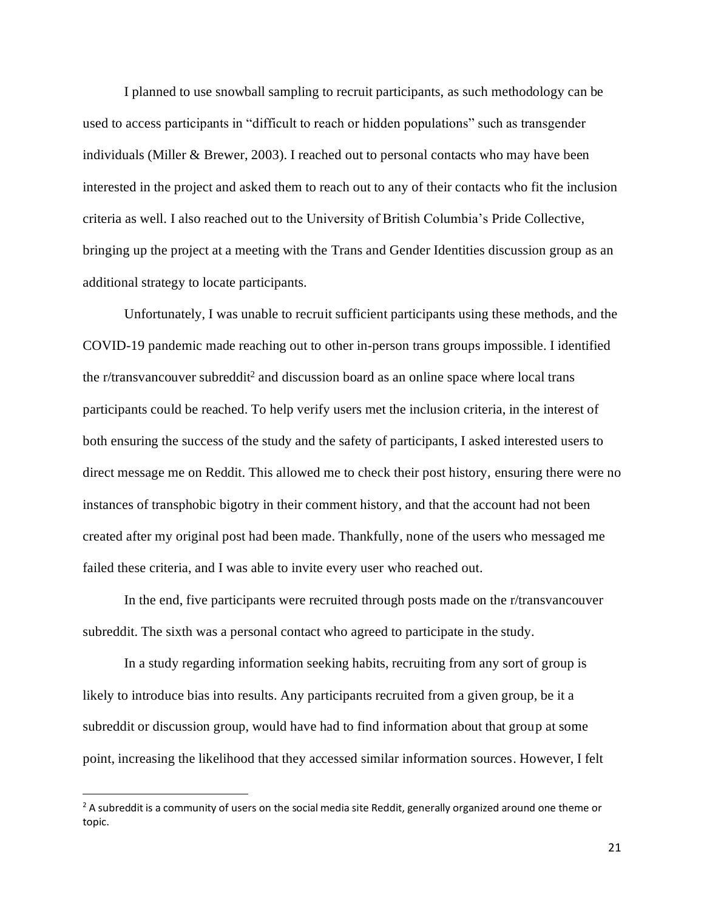I planned to use snowball sampling to recruit participants, as such methodology can be used to access participants in "difficult to reach or hidden populations" such as transgender individuals (Miller & Brewer, 2003). I reached out to personal contacts who may have been interested in the project and asked them to reach out to any of their contacts who fit the inclusion criteria as well. I also reached out to the University of British Columbia's Pride Collective, bringing up the project at a meeting with the Trans and Gender Identities discussion group as an additional strategy to locate participants.

Unfortunately, I was unable to recruit sufficient participants using these methods, and the COVID-19 pandemic made reaching out to other in-person trans groups impossible. I identified the r/transvancouver subreddit $2$  and discussion board as an online space where local trans participants could be reached. To help verify users met the inclusion criteria, in the interest of both ensuring the success of the study and the safety of participants, I asked interested users to direct message me on Reddit. This allowed me to check their post history, ensuring there were no instances of transphobic bigotry in their comment history, and that the account had not been created after my original post had been made. Thankfully, none of the users who messaged me failed these criteria, and I was able to invite every user who reached out.

In the end, five participants were recruited through posts made on the r/transvancouver subreddit. The sixth was a personal contact who agreed to participate in the study.

In a study regarding information seeking habits, recruiting from any sort of group is likely to introduce bias into results. Any participants recruited from a given group, be it a subreddit or discussion group, would have had to find information about that group at some point, increasing the likelihood that they accessed similar information sources. However, I felt

<sup>&</sup>lt;sup>2</sup> A subreddit is a community of users on the social media site Reddit, generally organized around one theme or topic.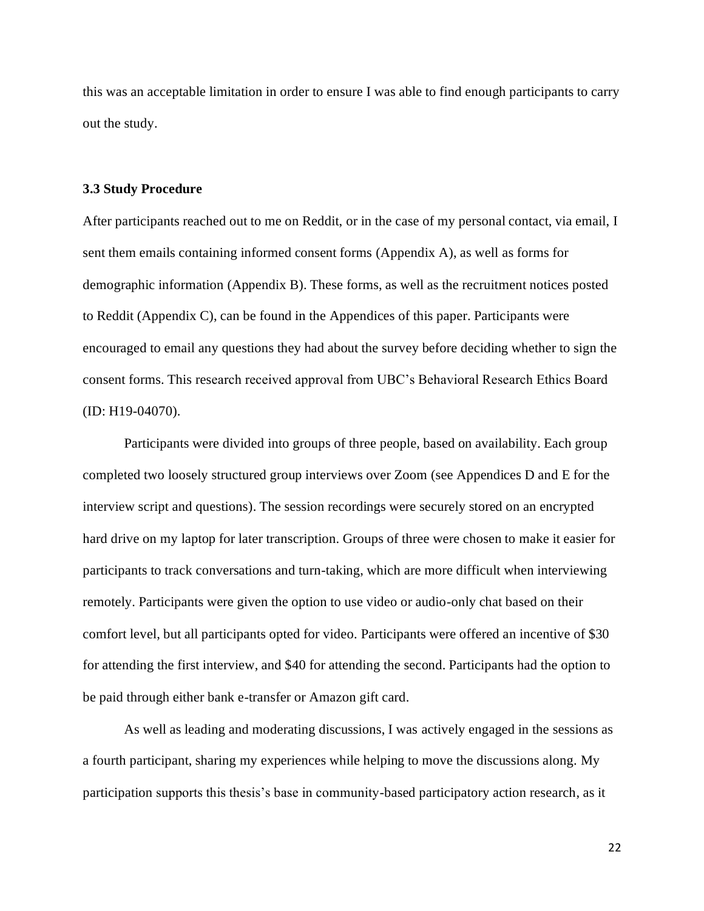this was an acceptable limitation in order to ensure I was able to find enough participants to carry out the study.

#### <span id="page-32-0"></span>**3.3 Study Procedure**

After participants reached out to me on Reddit, or in the case of my personal contact, via email, I sent them emails containing informed consent forms (Appendix A), as well as forms for demographic information (Appendix B). These forms, as well as the recruitment notices posted to Reddit (Appendix C), can be found in the Appendices of this paper. Participants were encouraged to email any questions they had about the survey before deciding whether to sign the consent forms. This research received approval from UBC's Behavioral Research Ethics Board (ID: H19-04070).

Participants were divided into groups of three people, based on availability. Each group completed two loosely structured group interviews over Zoom (see Appendices D and E for the interview script and questions). The session recordings were securely stored on an encrypted hard drive on my laptop for later transcription. Groups of three were chosen to make it easier for participants to track conversations and turn-taking, which are more difficult when interviewing remotely. Participants were given the option to use video or audio-only chat based on their comfort level, but all participants opted for video. Participants were offered an incentive of \$30 for attending the first interview, and \$40 for attending the second. Participants had the option to be paid through either bank e-transfer or Amazon gift card.

As well as leading and moderating discussions, I was actively engaged in the sessions as a fourth participant, sharing my experiences while helping to move the discussions along. My participation supports this thesis's base in community-based participatory action research, as it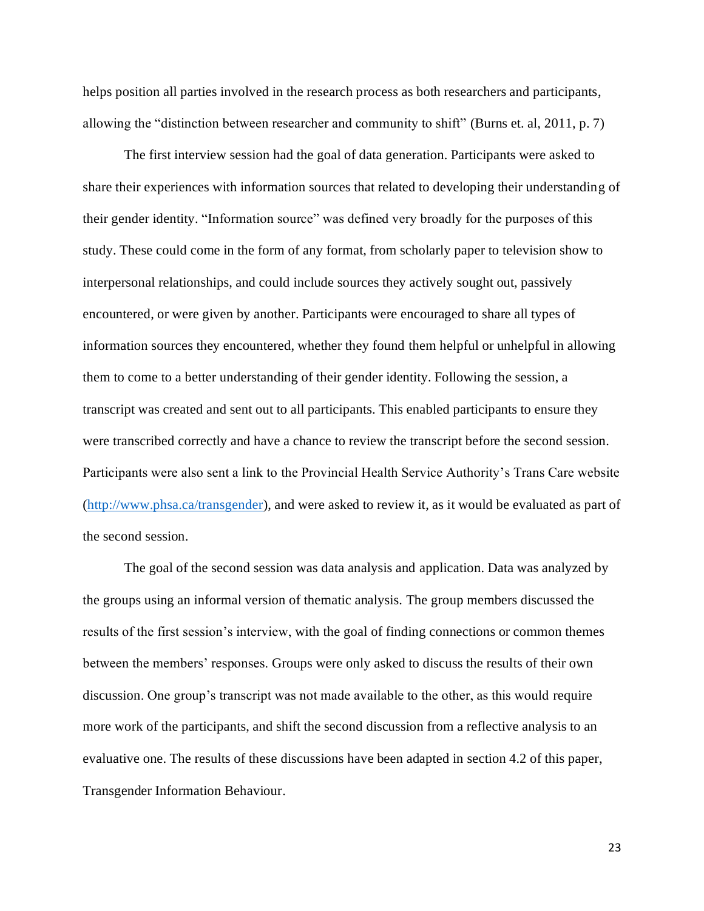helps position all parties involved in the research process as both researchers and participants, allowing the "distinction between researcher and community to shift" (Burns et. al, 2011, p. 7)

The first interview session had the goal of data generation. Participants were asked to share their experiences with information sources that related to developing their understanding of their gender identity. "Information source" was defined very broadly for the purposes of this study. These could come in the form of any format, from scholarly paper to television show to interpersonal relationships, and could include sources they actively sought out, passively encountered, or were given by another. Participants were encouraged to share all types of information sources they encountered, whether they found them helpful or unhelpful in allowing them to come to a better understanding of their gender identity. Following the session, a transcript was created and sent out to all participants. This enabled participants to ensure they were transcribed correctly and have a chance to review the transcript before the second session. Participants were also sent a link to the Provincial Health Service Authority's Trans Care website [\(http://www.phsa.ca/transgender\)](http://www.phsa.ca/transgender), and were asked to review it, as it would be evaluated as part of the second session.

The goal of the second session was data analysis and application. Data was analyzed by the groups using an informal version of thematic analysis. The group members discussed the results of the first session's interview, with the goal of finding connections or common themes between the members' responses. Groups were only asked to discuss the results of their own discussion. One group's transcript was not made available to the other, as this would require more work of the participants, and shift the second discussion from a reflective analysis to an evaluative one. The results of these discussions have been adapted in section 4.2 of this paper, Transgender Information Behaviour.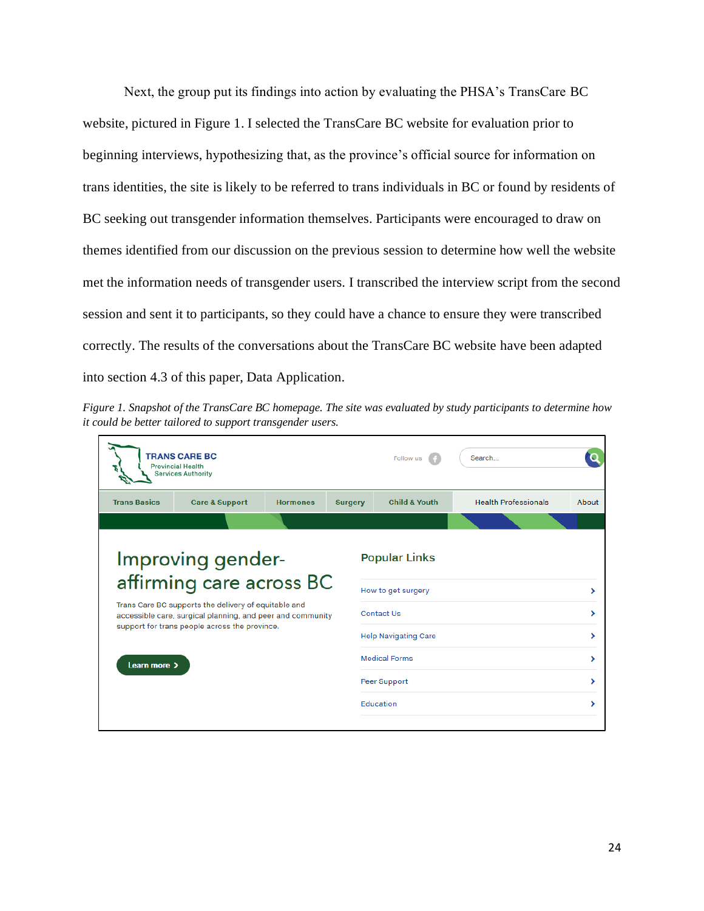Next, the group put its findings into action by evaluating the PHSA's TransCare BC website, pictured in Figure 1. I selected the TransCare BC website for evaluation prior to beginning interviews, hypothesizing that, as the province's official source for information on trans identities, the site is likely to be referred to trans individuals in BC or found by residents of BC seeking out transgender information themselves. Participants were encouraged to draw on themes identified from our discussion on the previous session to determine how well the website met the information needs of transgender users. I transcribed the interview script from the second session and sent it to participants, so they could have a chance to ensure they were transcribed correctly. The results of the conversations about the TransCare BC website have been adapted into section 4.3 of this paper, Data Application.

*Figure 1. Snapshot of the TransCare BC homepage. The site was evaluated by study participants to determine how it could be better tailored to support transgender users.*

|                                                                                                                                                                                                                                      | <b>TRANS CARE BC</b><br><b>Provincial Health</b><br><b>Services Authority</b> |                 |                | Follow us                                  | Search                      |       |
|--------------------------------------------------------------------------------------------------------------------------------------------------------------------------------------------------------------------------------------|-------------------------------------------------------------------------------|-----------------|----------------|--------------------------------------------|-----------------------------|-------|
| <b>Trans Basics</b>                                                                                                                                                                                                                  | <b>Care &amp; Support</b>                                                     | <b>Hormones</b> | <b>Surgery</b> | <b>Child &amp; Youth</b>                   | <b>Health Professionals</b> | About |
|                                                                                                                                                                                                                                      |                                                                               |                 |                |                                            |                             |       |
| Improving gender-<br>affirming care across BC<br>Trans Care BC supports the delivery of equitable and<br>accessible care, surgical planning, and peer and community<br>support for trans people across the province.<br>Learn more > |                                                                               |                 |                | <b>Popular Links</b><br>How to get surgery |                             | >     |
|                                                                                                                                                                                                                                      |                                                                               |                 |                | <b>Contact Us</b>                          |                             | ⋗     |
|                                                                                                                                                                                                                                      |                                                                               |                 |                | <b>Help Navigating Care</b>                |                             | ⋗     |
|                                                                                                                                                                                                                                      |                                                                               |                 |                | <b>Medical Forms</b>                       |                             | ↘     |
|                                                                                                                                                                                                                                      |                                                                               |                 |                | Peer Support                               |                             | ⋟     |
|                                                                                                                                                                                                                                      |                                                                               |                 |                | Education                                  |                             | >     |
|                                                                                                                                                                                                                                      |                                                                               |                 |                |                                            |                             |       |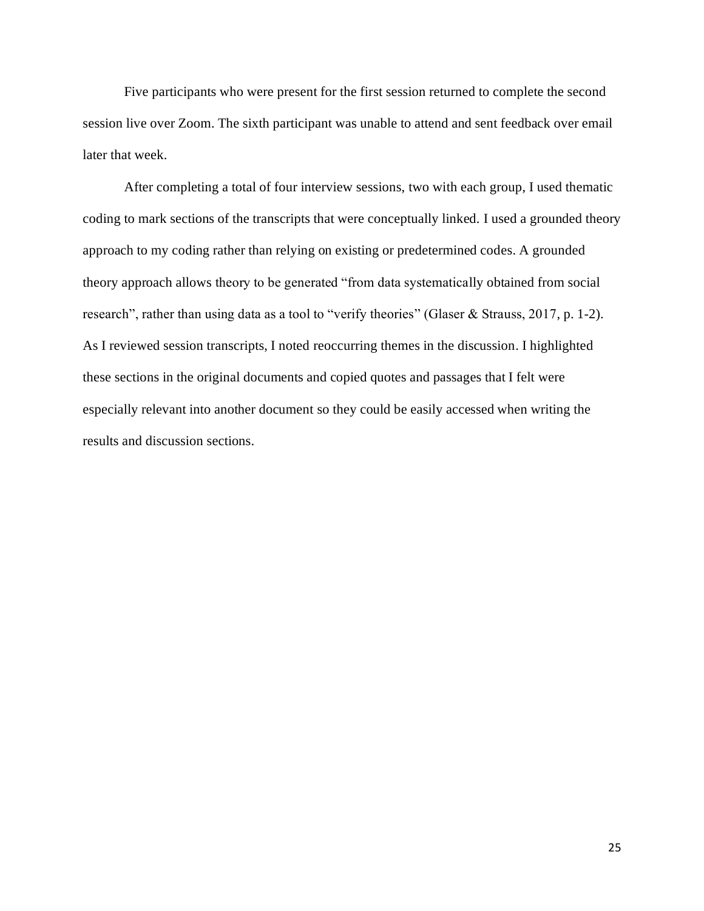Five participants who were present for the first session returned to complete the second session live over Zoom. The sixth participant was unable to attend and sent feedback over email later that week.

After completing a total of four interview sessions, two with each group, I used thematic coding to mark sections of the transcripts that were conceptually linked. I used a grounded theory approach to my coding rather than relying on existing or predetermined codes. A grounded theory approach allows theory to be generated "from data systematically obtained from social research", rather than using data as a tool to "verify theories" (Glaser & Strauss, 2017, p. 1-2). As I reviewed session transcripts, I noted reoccurring themes in the discussion. I highlighted these sections in the original documents and copied quotes and passages that I felt were especially relevant into another document so they could be easily accessed when writing the results and discussion sections.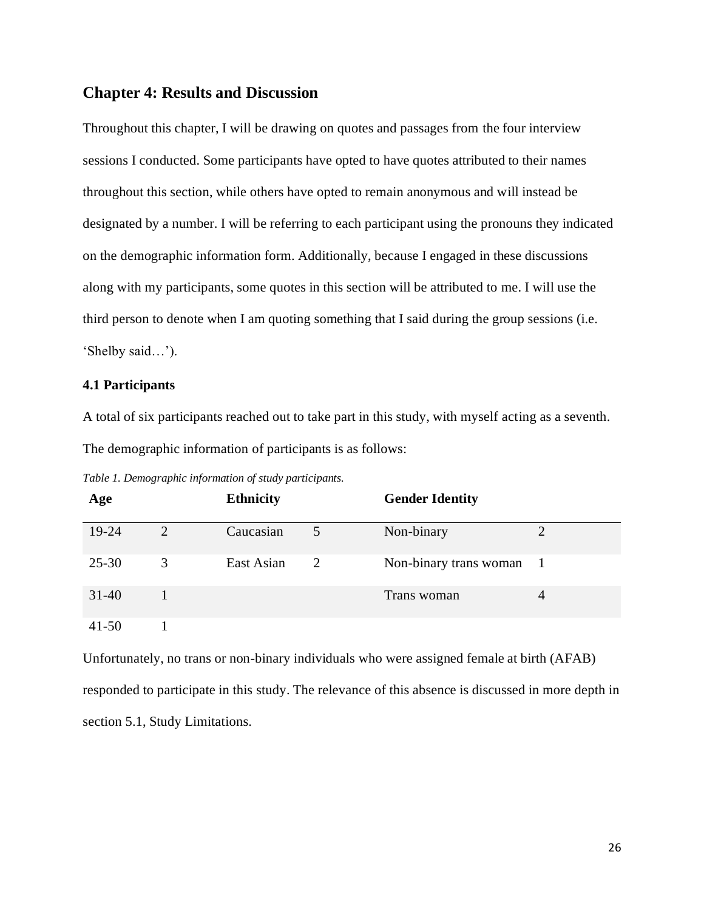# **Chapter 4: Results and Discussion**

Throughout this chapter, I will be drawing on quotes and passages from the four interview sessions I conducted. Some participants have opted to have quotes attributed to their names throughout this section, while others have opted to remain anonymous and will instead be designated by a number. I will be referring to each participant using the pronouns they indicated on the demographic information form. Additionally, because I engaged in these discussions along with my participants, some quotes in this section will be attributed to me. I will use the third person to denote when I am quoting something that I said during the group sessions (i.e. 'Shelby said…').

### **4.1 Participants**

A total of six participants reached out to take part in this study, with myself acting as a seventh. The demographic information of participants is as follows:

|  | Table 1. Demographic information of study participants. |  |  |  |
|--|---------------------------------------------------------|--|--|--|
|--|---------------------------------------------------------|--|--|--|

| Age       |   | <b>Ethnicity</b> |   | <b>Gender Identity</b> |     |
|-----------|---|------------------|---|------------------------|-----|
| 19-24     | 2 | Caucasian        |   | Non-binary             |     |
| $25 - 30$ | 3 | East Asian       | 2 | Non-binary trans woman | - 1 |
| $31-40$   |   |                  |   | Trans woman            | 4   |
| $41 - 50$ |   |                  |   |                        |     |

Unfortunately, no trans or non-binary individuals who were assigned female at birth (AFAB) responded to participate in this study. The relevance of this absence is discussed in more depth in section 5.1, Study Limitations.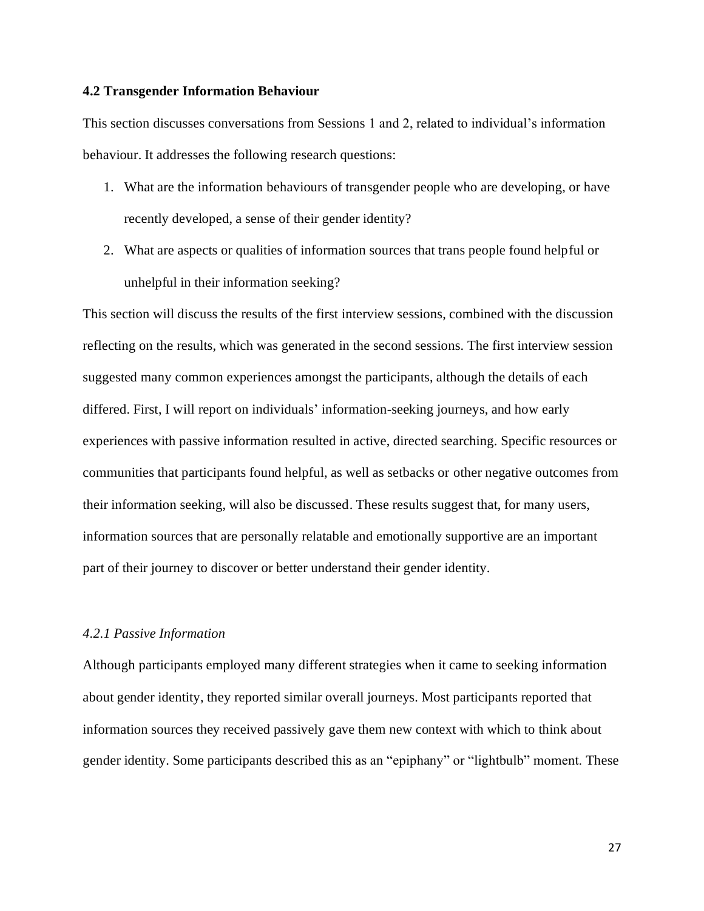### **4.2 Transgender Information Behaviour**

This section discusses conversations from Sessions 1 and 2, related to individual's information behaviour. It addresses the following research questions:

- 1. What are the information behaviours of transgender people who are developing, or have recently developed, a sense of their gender identity?
- 2. What are aspects or qualities of information sources that trans people found helpful or unhelpful in their information seeking?

This section will discuss the results of the first interview sessions, combined with the discussion reflecting on the results, which was generated in the second sessions. The first interview session suggested many common experiences amongst the participants, although the details of each differed. First, I will report on individuals' information-seeking journeys, and how early experiences with passive information resulted in active, directed searching. Specific resources or communities that participants found helpful, as well as setbacks or other negative outcomes from their information seeking, will also be discussed. These results suggest that, for many users, information sources that are personally relatable and emotionally supportive are an important part of their journey to discover or better understand their gender identity.

### *4.2.1 Passive Information*

Although participants employed many different strategies when it came to seeking information about gender identity, they reported similar overall journeys. Most participants reported that information sources they received passively gave them new context with which to think about gender identity. Some participants described this as an "epiphany" or "lightbulb" moment. These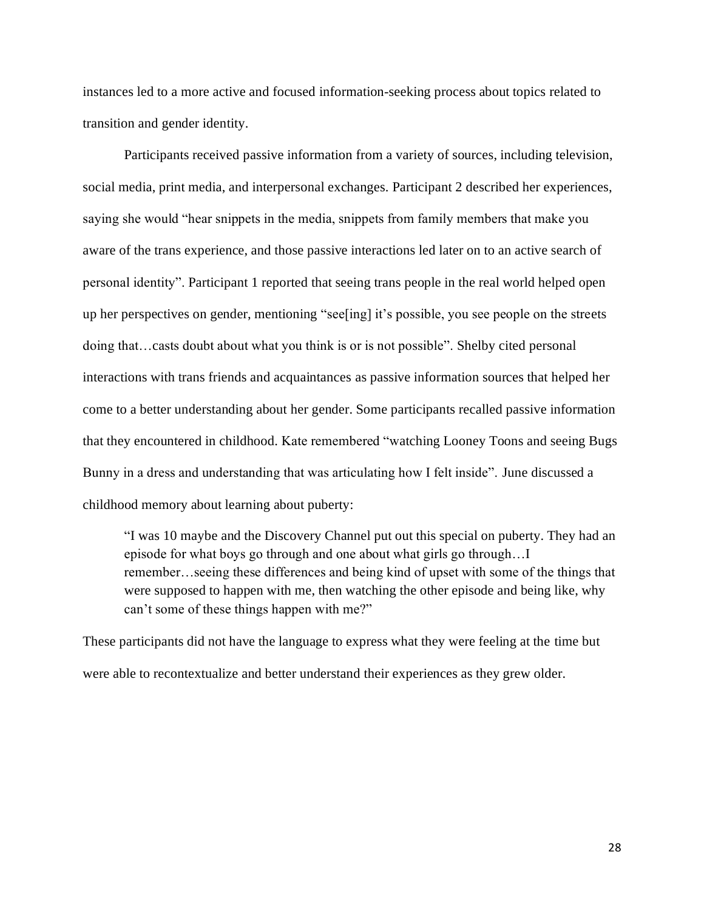instances led to a more active and focused information-seeking process about topics related to transition and gender identity.

Participants received passive information from a variety of sources, including television, social media, print media, and interpersonal exchanges. Participant 2 described her experiences, saying she would "hear snippets in the media, snippets from family members that make you aware of the trans experience, and those passive interactions led later on to an active search of personal identity". Participant 1 reported that seeing trans people in the real world helped open up her perspectives on gender, mentioning "see[ing] it's possible, you see people on the streets doing that…casts doubt about what you think is or is not possible". Shelby cited personal interactions with trans friends and acquaintances as passive information sources that helped her come to a better understanding about her gender. Some participants recalled passive information that they encountered in childhood. Kate remembered "watching Looney Toons and seeing Bugs Bunny in a dress and understanding that was articulating how I felt inside". June discussed a childhood memory about learning about puberty:

"I was 10 maybe and the Discovery Channel put out this special on puberty. They had an episode for what boys go through and one about what girls go through…I remember…seeing these differences and being kind of upset with some of the things that were supposed to happen with me, then watching the other episode and being like, why can't some of these things happen with me?"

These participants did not have the language to express what they were feeling at the time but were able to recontextualize and better understand their experiences as they grew older.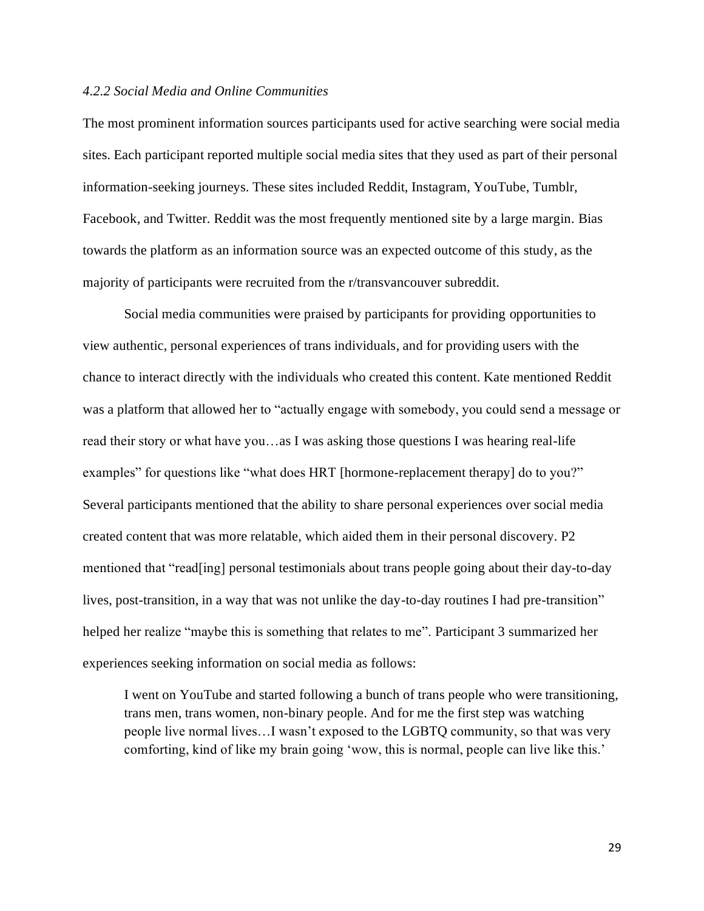### *4.2.2 Social Media and Online Communities*

The most prominent information sources participants used for active searching were social media sites. Each participant reported multiple social media sites that they used as part of their personal information-seeking journeys. These sites included Reddit, Instagram, YouTube, Tumblr, Facebook, and Twitter. Reddit was the most frequently mentioned site by a large margin. Bias towards the platform as an information source was an expected outcome of this study, as the majority of participants were recruited from the r/transvancouver subreddit.

Social media communities were praised by participants for providing opportunities to view authentic, personal experiences of trans individuals, and for providing users with the chance to interact directly with the individuals who created this content. Kate mentioned Reddit was a platform that allowed her to "actually engage with somebody, you could send a message or read their story or what have you…as I was asking those questions I was hearing real-life examples" for questions like "what does HRT [hormone-replacement therapy] do to you?" Several participants mentioned that the ability to share personal experiences over social media created content that was more relatable, which aided them in their personal discovery. P2 mentioned that "read[ing] personal testimonials about trans people going about their day-to-day lives, post-transition, in a way that was not unlike the day-to-day routines I had pre-transition" helped her realize "maybe this is something that relates to me". Participant 3 summarized her experiences seeking information on social media as follows:

I went on YouTube and started following a bunch of trans people who were transitioning, trans men, trans women, non-binary people. And for me the first step was watching people live normal lives…I wasn't exposed to the LGBTQ community, so that was very comforting, kind of like my brain going 'wow, this is normal, people can live like this.'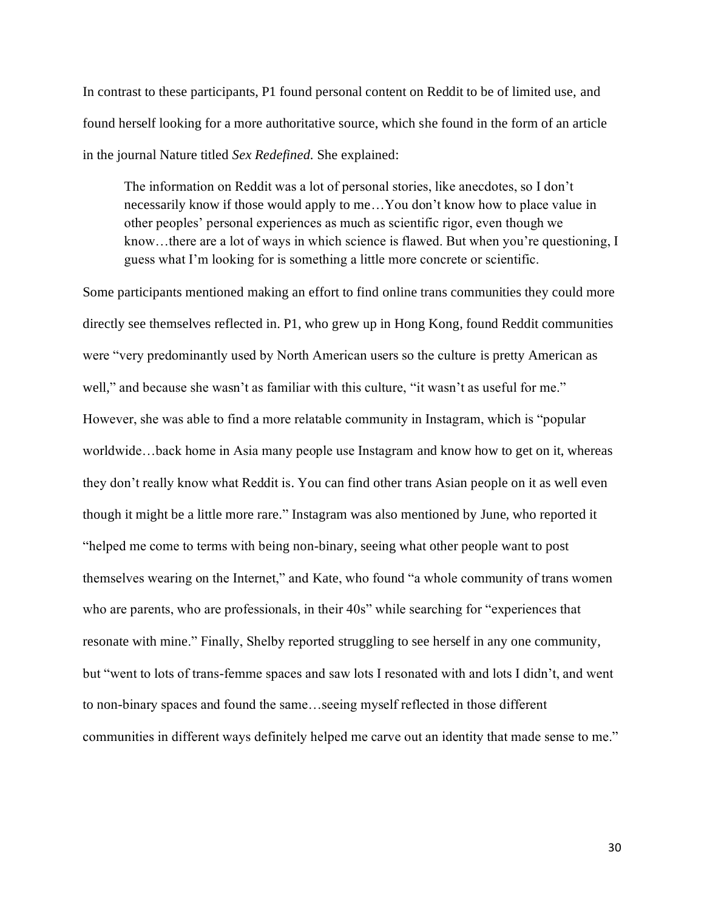In contrast to these participants, P1 found personal content on Reddit to be of limited use, and found herself looking for a more authoritative source, which she found in the form of an article in the journal Nature titled *Sex Redefined.* She explained:

The information on Reddit was a lot of personal stories, like anecdotes, so I don't necessarily know if those would apply to me…You don't know how to place value in other peoples' personal experiences as much as scientific rigor, even though we know…there are a lot of ways in which science is flawed. But when you're questioning, I guess what I'm looking for is something a little more concrete or scientific.

Some participants mentioned making an effort to find online trans communities they could more directly see themselves reflected in. P1, who grew up in Hong Kong, found Reddit communities were "very predominantly used by North American users so the culture is pretty American as well," and because she wasn't as familiar with this culture, "it wasn't as useful for me." However, she was able to find a more relatable community in Instagram, which is "popular worldwide…back home in Asia many people use Instagram and know how to get on it, whereas they don't really know what Reddit is. You can find other trans Asian people on it as well even though it might be a little more rare." Instagram was also mentioned by June, who reported it "helped me come to terms with being non-binary, seeing what other people want to post themselves wearing on the Internet," and Kate, who found "a whole community of trans women who are parents, who are professionals, in their 40s" while searching for "experiences that resonate with mine." Finally, Shelby reported struggling to see herself in any one community, but "went to lots of trans-femme spaces and saw lots I resonated with and lots I didn't, and went to non-binary spaces and found the same…seeing myself reflected in those different communities in different ways definitely helped me carve out an identity that made sense to me."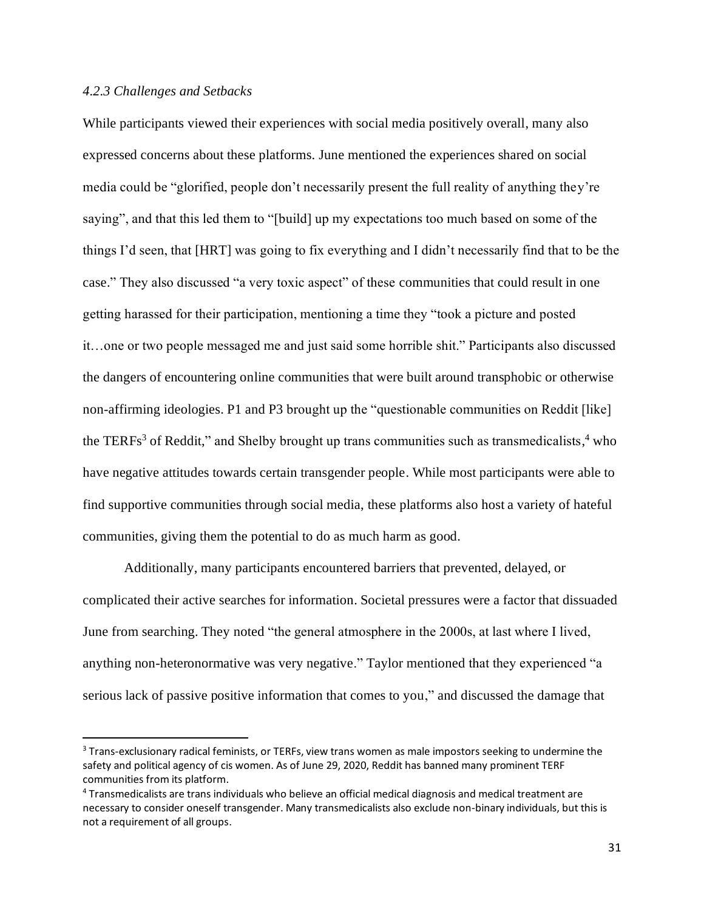# *4.2.3 Challenges and Setbacks*

While participants viewed their experiences with social media positively overall, many also expressed concerns about these platforms. June mentioned the experiences shared on social media could be "glorified, people don't necessarily present the full reality of anything they're saying", and that this led them to "[build] up my expectations too much based on some of the things I'd seen, that [HRT] was going to fix everything and I didn't necessarily find that to be the case." They also discussed "a very toxic aspect" of these communities that could result in one getting harassed for their participation, mentioning a time they "took a picture and posted it…one or two people messaged me and just said some horrible shit." Participants also discussed the dangers of encountering online communities that were built around transphobic or otherwise non-affirming ideologies. P1 and P3 brought up the "questionable communities on Reddit [like] the TERFs<sup>3</sup> of Reddit," and Shelby brought up trans communities such as transmedicalists,  $4 \text{ who}$ have negative attitudes towards certain transgender people. While most participants were able to find supportive communities through social media, these platforms also host a variety of hateful communities, giving them the potential to do as much harm as good.

Additionally, many participants encountered barriers that prevented, delayed, or complicated their active searches for information. Societal pressures were a factor that dissuaded June from searching. They noted "the general atmosphere in the 2000s, at last where I lived, anything non-heteronormative was very negative." Taylor mentioned that they experienced "a serious lack of passive positive information that comes to you," and discussed the damage that

<sup>&</sup>lt;sup>3</sup> Trans-exclusionary radical feminists, or TERFs, view trans women as male impostors seeking to undermine the safety and political agency of cis women. As of June 29, 2020, Reddit has banned many prominent TERF communities from its platform.

<sup>4</sup> Transmedicalists are trans individuals who believe an official medical diagnosis and medical treatment are necessary to consider oneself transgender. Many transmedicalists also exclude non-binary individuals, but this is not a requirement of all groups.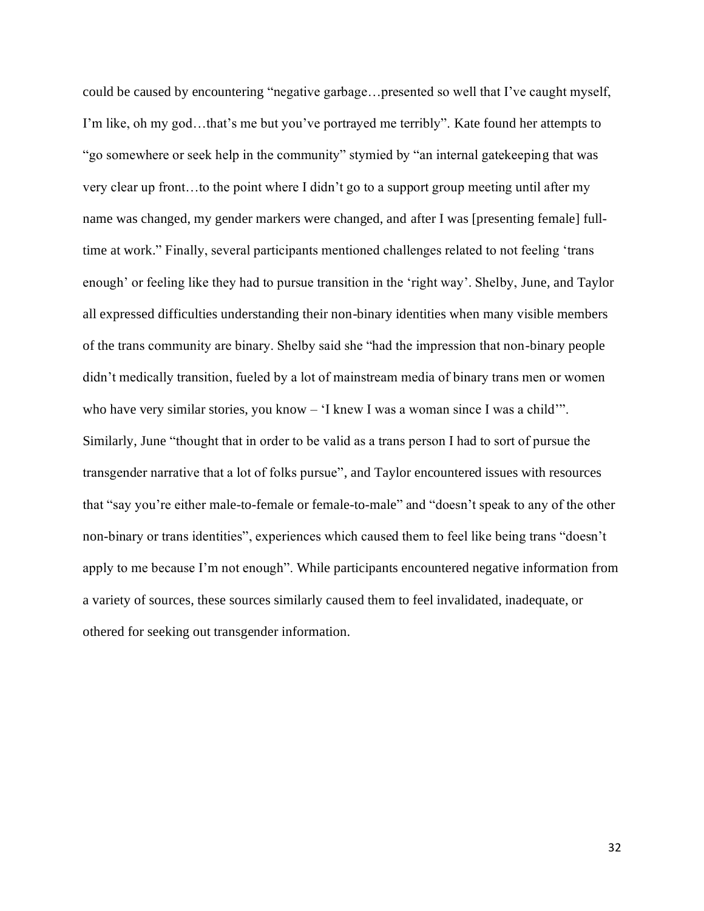could be caused by encountering "negative garbage…presented so well that I've caught myself, I'm like, oh my god…that's me but you've portrayed me terribly". Kate found her attempts to "go somewhere or seek help in the community" stymied by "an internal gatekeeping that was very clear up front…to the point where I didn't go to a support group meeting until after my name was changed, my gender markers were changed, and after I was [presenting female] fulltime at work." Finally, several participants mentioned challenges related to not feeling 'trans enough' or feeling like they had to pursue transition in the 'right way'. Shelby, June, and Taylor all expressed difficulties understanding their non-binary identities when many visible members of the trans community are binary. Shelby said she "had the impression that non-binary people didn't medically transition, fueled by a lot of mainstream media of binary trans men or women who have very similar stories, you know – 'I knew I was a woman since I was a child'". Similarly, June "thought that in order to be valid as a trans person I had to sort of pursue the transgender narrative that a lot of folks pursue", and Taylor encountered issues with resources that "say you're either male-to-female or female-to-male" and "doesn't speak to any of the other non-binary or trans identities", experiences which caused them to feel like being trans "doesn't apply to me because I'm not enough". While participants encountered negative information from a variety of sources, these sources similarly caused them to feel invalidated, inadequate, or othered for seeking out transgender information.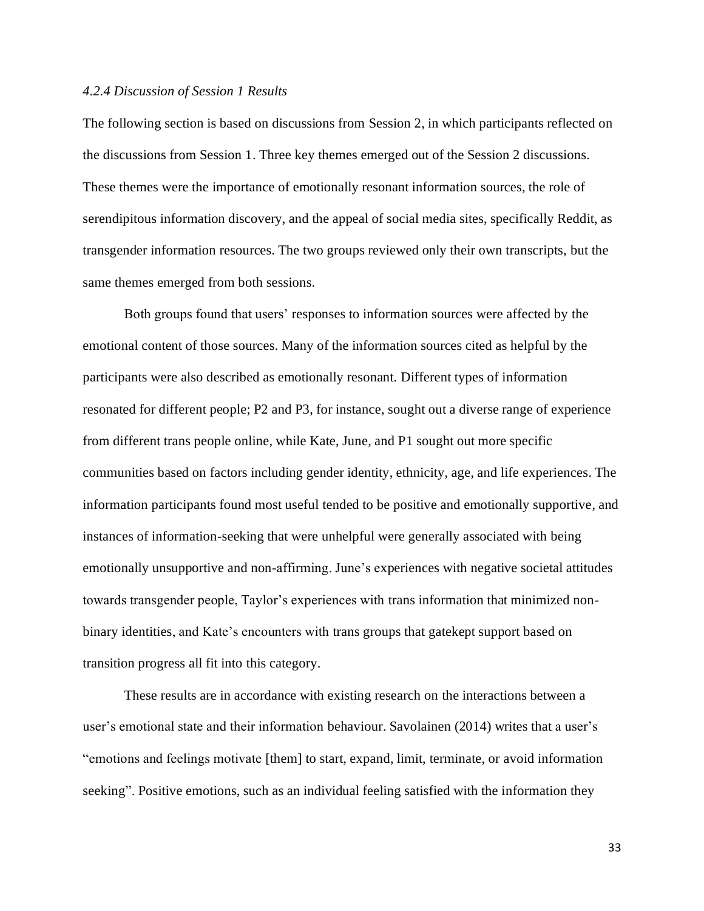#### *4.2.4 Discussion of Session 1 Results*

The following section is based on discussions from Session 2, in which participants reflected on the discussions from Session 1. Three key themes emerged out of the Session 2 discussions. These themes were the importance of emotionally resonant information sources, the role of serendipitous information discovery, and the appeal of social media sites, specifically Reddit, as transgender information resources. The two groups reviewed only their own transcripts, but the same themes emerged from both sessions.

Both groups found that users' responses to information sources were affected by the emotional content of those sources. Many of the information sources cited as helpful by the participants were also described as emotionally resonant. Different types of information resonated for different people; P2 and P3, for instance, sought out a diverse range of experience from different trans people online, while Kate, June, and P1 sought out more specific communities based on factors including gender identity, ethnicity, age, and life experiences. The information participants found most useful tended to be positive and emotionally supportive, and instances of information-seeking that were unhelpful were generally associated with being emotionally unsupportive and non-affirming. June's experiences with negative societal attitudes towards transgender people, Taylor's experiences with trans information that minimized nonbinary identities, and Kate's encounters with trans groups that gatekept support based on transition progress all fit into this category.

These results are in accordance with existing research on the interactions between a user's emotional state and their information behaviour. Savolainen (2014) writes that a user's "emotions and feelings motivate [them] to start, expand, limit, terminate, or avoid information seeking". Positive emotions, such as an individual feeling satisfied with the information they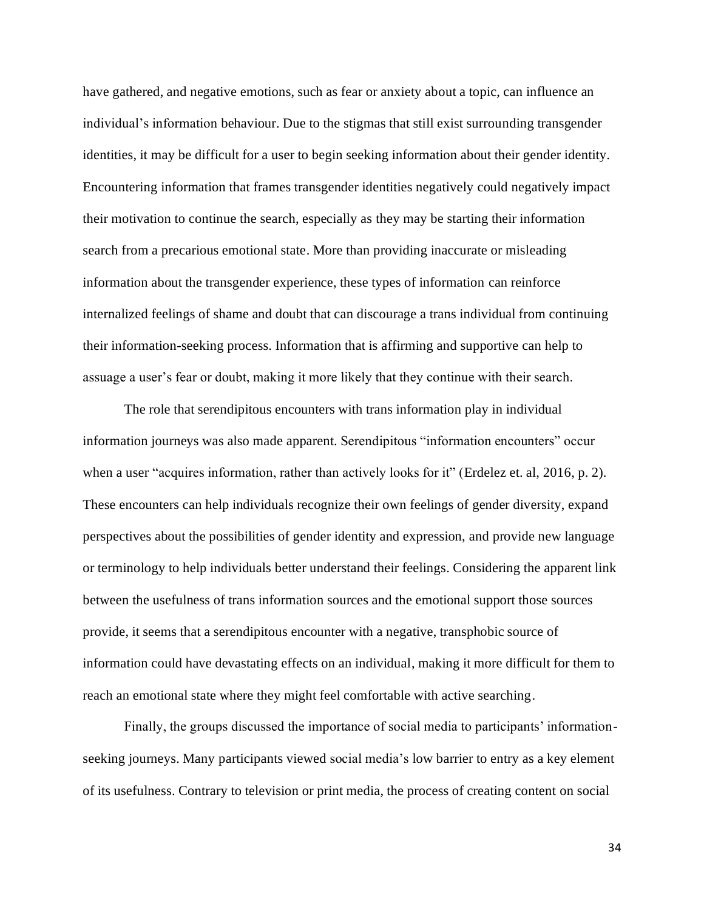have gathered, and negative emotions, such as fear or anxiety about a topic, can influence an individual's information behaviour. Due to the stigmas that still exist surrounding transgender identities, it may be difficult for a user to begin seeking information about their gender identity. Encountering information that frames transgender identities negatively could negatively impact their motivation to continue the search, especially as they may be starting their information search from a precarious emotional state. More than providing inaccurate or misleading information about the transgender experience, these types of information can reinforce internalized feelings of shame and doubt that can discourage a trans individual from continuing their information-seeking process. Information that is affirming and supportive can help to assuage a user's fear or doubt, making it more likely that they continue with their search.

The role that serendipitous encounters with trans information play in individual information journeys was also made apparent. Serendipitous "information encounters" occur when a user "acquires information, rather than actively looks for it" (Erdelez et. al, 2016, p. 2). These encounters can help individuals recognize their own feelings of gender diversity, expand perspectives about the possibilities of gender identity and expression, and provide new language or terminology to help individuals better understand their feelings. Considering the apparent link between the usefulness of trans information sources and the emotional support those sources provide, it seems that a serendipitous encounter with a negative, transphobic source of information could have devastating effects on an individual, making it more difficult for them to reach an emotional state where they might feel comfortable with active searching.

Finally, the groups discussed the importance of social media to participants' informationseeking journeys. Many participants viewed social media's low barrier to entry as a key element of its usefulness. Contrary to television or print media, the process of creating content on social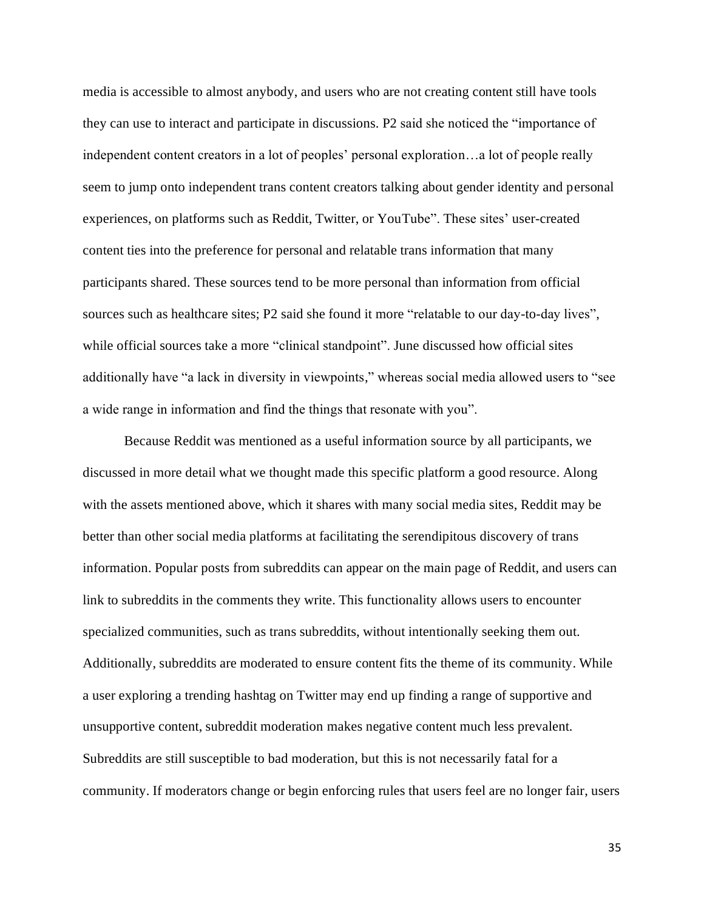media is accessible to almost anybody, and users who are not creating content still have tools they can use to interact and participate in discussions. P2 said she noticed the "importance of independent content creators in a lot of peoples' personal exploration…a lot of people really seem to jump onto independent trans content creators talking about gender identity and personal experiences, on platforms such as Reddit, Twitter, or YouTube". These sites' user-created content ties into the preference for personal and relatable trans information that many participants shared. These sources tend to be more personal than information from official sources such as healthcare sites; P2 said she found it more "relatable to our day-to-day lives", while official sources take a more "clinical standpoint". June discussed how official sites additionally have "a lack in diversity in viewpoints," whereas social media allowed users to "see a wide range in information and find the things that resonate with you".

Because Reddit was mentioned as a useful information source by all participants, we discussed in more detail what we thought made this specific platform a good resource. Along with the assets mentioned above, which it shares with many social media sites, Reddit may be better than other social media platforms at facilitating the serendipitous discovery of trans information. Popular posts from subreddits can appear on the main page of Reddit, and users can link to subreddits in the comments they write. This functionality allows users to encounter specialized communities, such as trans subreddits, without intentionally seeking them out. Additionally, subreddits are moderated to ensure content fits the theme of its community. While a user exploring a trending hashtag on Twitter may end up finding a range of supportive and unsupportive content, subreddit moderation makes negative content much less prevalent. Subreddits are still susceptible to bad moderation, but this is not necessarily fatal for a community. If moderators change or begin enforcing rules that users feel are no longer fair, users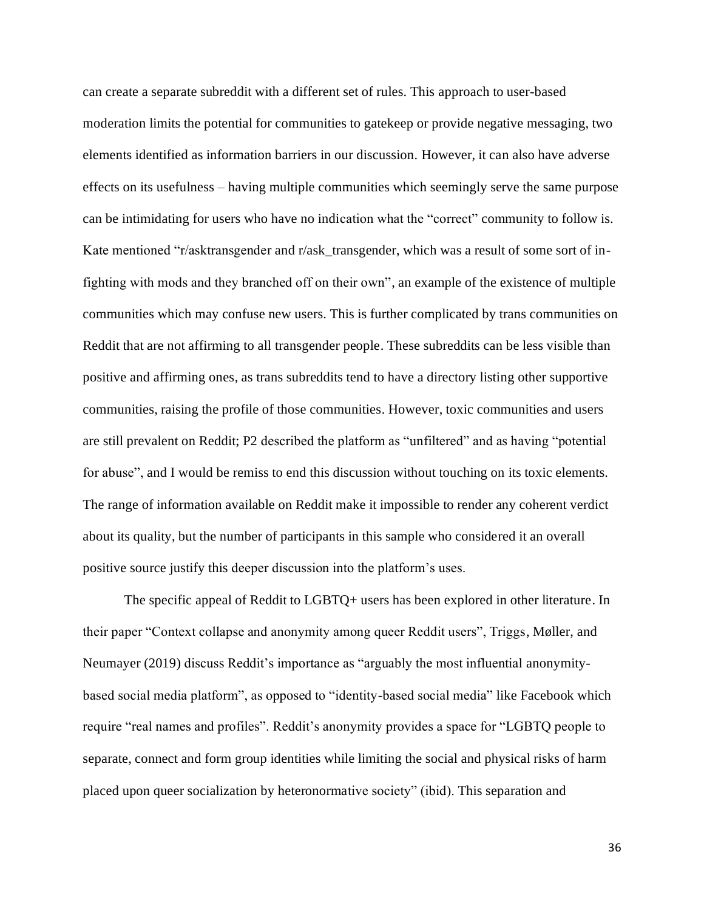can create a separate subreddit with a different set of rules. This approach to user-based moderation limits the potential for communities to gatekeep or provide negative messaging, two elements identified as information barriers in our discussion. However, it can also have adverse effects on its usefulness – having multiple communities which seemingly serve the same purpose can be intimidating for users who have no indication what the "correct" community to follow is. Kate mentioned "r/asktransgender and r/ask\_transgender, which was a result of some sort of infighting with mods and they branched off on their own", an example of the existence of multiple communities which may confuse new users. This is further complicated by trans communities on Reddit that are not affirming to all transgender people. These subreddits can be less visible than positive and affirming ones, as trans subreddits tend to have a directory listing other supportive communities, raising the profile of those communities. However, toxic communities and users are still prevalent on Reddit; P2 described the platform as "unfiltered" and as having "potential for abuse", and I would be remiss to end this discussion without touching on its toxic elements. The range of information available on Reddit make it impossible to render any coherent verdict about its quality, but the number of participants in this sample who considered it an overall positive source justify this deeper discussion into the platform's uses.

The specific appeal of Reddit to LGBTQ+ users has been explored in other literature. In their paper "Context collapse and anonymity among queer Reddit users", Triggs, Møller, and Neumayer (2019) discuss Reddit's importance as "arguably the most influential anonymitybased social media platform", as opposed to "identity-based social media" like Facebook which require "real names and profiles". Reddit's anonymity provides a space for "LGBTQ people to separate, connect and form group identities while limiting the social and physical risks of harm placed upon queer socialization by heteronormative society" (ibid). This separation and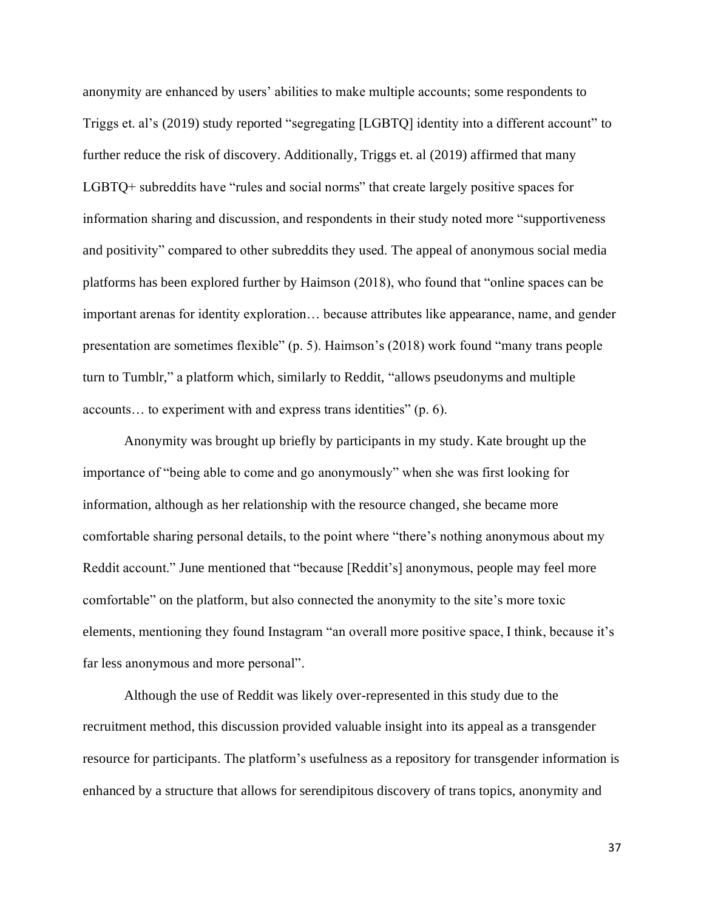anonymity are enhanced by users' abilities to make multiple accounts; some respondents to Triggs et. al's (2019) study reported "segregating [LGBTQ] identity into a different account" to further reduce the risk of discovery. Additionally, Triggs et. al (2019) affirmed that many LGBTQ+ subreddits have "rules and social norms" that create largely positive spaces for information sharing and discussion, and respondents in their study noted more "supportiveness and positivity" compared to other subreddits they used. The appeal of anonymous social media platforms has been explored further by Haimson (2018), who found that "online spaces can be important arenas for identity exploration… because attributes like appearance, name, and gender presentation are sometimes flexible" (p. 5). Haimson's (2018) work found "many trans people turn to Tumblr," a platform which, similarly to Reddit, "allows pseudonyms and multiple accounts… to experiment with and express trans identities" (p. 6).

Anonymity was brought up briefly by participants in my study. Kate brought up the importance of "being able to come and go anonymously" when she was first looking for information, although as her relationship with the resource changed, she became more comfortable sharing personal details, to the point where "there's nothing anonymous about my Reddit account." June mentioned that "because [Reddit's] anonymous, people may feel more comfortable" on the platform, but also connected the anonymity to the site's more toxic elements, mentioning they found Instagram "an overall more positive space, I think, because it's far less anonymous and more personal".

Although the use of Reddit was likely over-represented in this study due to the recruitment method, this discussion provided valuable insight into its appeal as a transgender resource for participants. The platform's usefulness as a repository for transgender information is enhanced by a structure that allows for serendipitous discovery of trans topics, anonymity and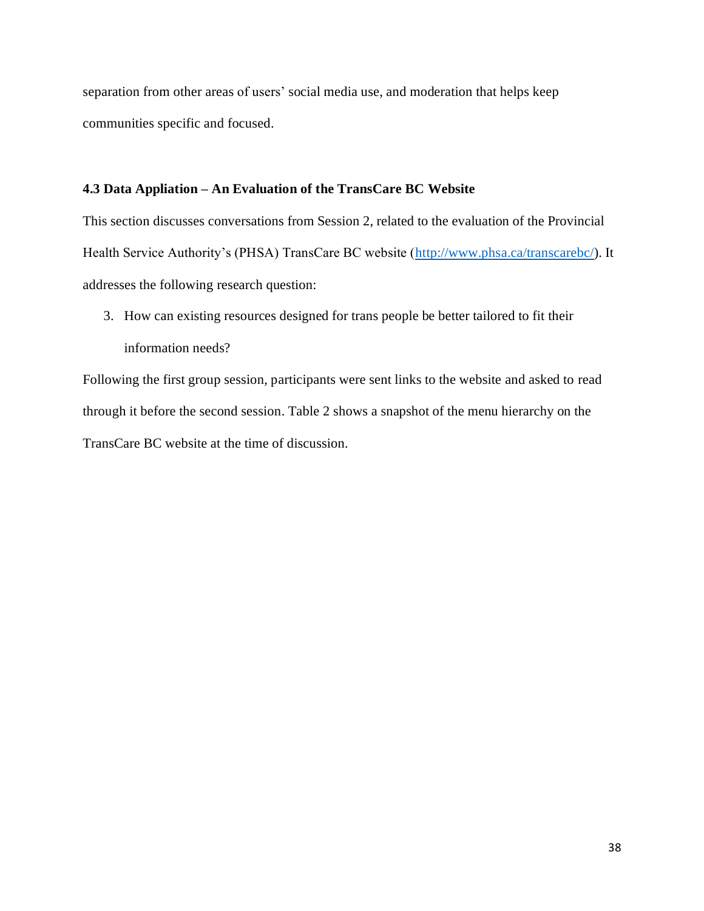separation from other areas of users' social media use, and moderation that helps keep communities specific and focused.

# **4.3 Data Appliation – An Evaluation of the TransCare BC Website**

This section discusses conversations from Session 2, related to the evaluation of the Provincial Health Service Authority's (PHSA) TransCare BC website [\(http://www.phsa.ca/transcarebc/\)](http://www.phsa.ca/transcarebc/). It addresses the following research question:

3. How can existing resources designed for trans people be better tailored to fit their information needs?

Following the first group session, participants were sent links to the website and asked to read through it before the second session. Table 2 shows a snapshot of the menu hierarchy on the TransCare BC website at the time of discussion.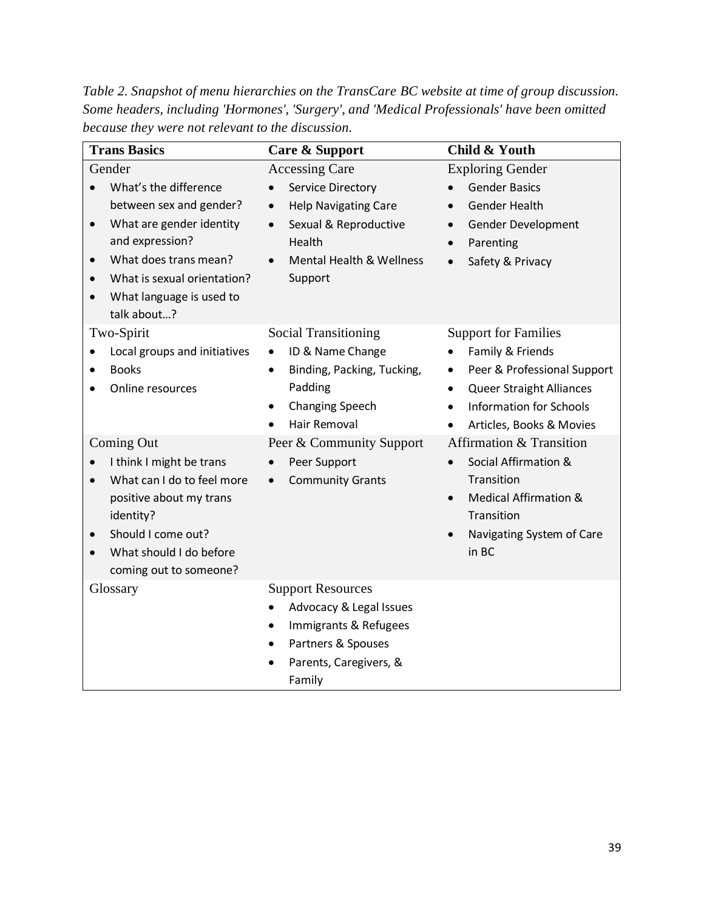*Table 2. Snapshot of menu hierarchies on the TransCare BC website at time of group discussion. Some headers, including 'Hormones', 'Surgery', and 'Medical Professionals' have been omitted because they were not relevant to the discussion.*

| <b>Trans Basics</b>                                                                                                                                                                                                                                              | Care & Support                                                                                                                                                                                        | Child & Youth                                                                                                                                                                                                                       |  |  |
|------------------------------------------------------------------------------------------------------------------------------------------------------------------------------------------------------------------------------------------------------------------|-------------------------------------------------------------------------------------------------------------------------------------------------------------------------------------------------------|-------------------------------------------------------------------------------------------------------------------------------------------------------------------------------------------------------------------------------------|--|--|
| Gender<br>What's the difference<br>$\bullet$<br>between sex and gender?<br>What are gender identity<br>$\bullet$<br>and expression?<br>What does trans mean?<br>$\bullet$<br>What is sexual orientation?<br>$\bullet$<br>What language is used to<br>talk about? | <b>Accessing Care</b><br>Service Directory<br>$\bullet$<br><b>Help Navigating Care</b><br>$\bullet$<br>Sexual & Reproductive<br>$\bullet$<br>Health<br><b>Mental Health &amp; Wellness</b><br>Support | <b>Exploring Gender</b><br><b>Gender Basics</b><br><b>Gender Health</b><br>$\bullet$<br>Gender Development<br>$\bullet$<br>Parenting<br>Safety & Privacy                                                                            |  |  |
| Two-Spirit<br>Local groups and initiatives<br>$\bullet$<br><b>Books</b><br>Online resources                                                                                                                                                                      | <b>Social Transitioning</b><br>ID & Name Change<br>$\bullet$<br>Binding, Packing, Tucking,<br>$\bullet$<br>Padding<br>Changing Speech<br>$\bullet$<br>Hair Removal                                    | <b>Support for Families</b><br>Family & Friends<br>Peer & Professional Support<br>$\bullet$<br><b>Queer Straight Alliances</b><br>$\bullet$<br><b>Information for Schools</b><br>$\bullet$<br>Articles, Books & Movies<br>$\bullet$ |  |  |
| Coming Out<br>I think I might be trans<br>$\bullet$<br>What can I do to feel more<br>$\bullet$<br>positive about my trans<br>identity?<br>Should I come out?<br>$\bullet$<br>What should I do before<br>$\bullet$<br>coming out to someone?                      | Peer & Community Support<br>Peer Support<br>$\bullet$<br><b>Community Grants</b><br>$\bullet$                                                                                                         | Affirmation & Transition<br>Social Affirmation &<br>$\bullet$<br>Transition<br><b>Medical Affirmation &amp;</b><br>Transition<br>Navigating System of Care<br>in BC                                                                 |  |  |
| Glossary                                                                                                                                                                                                                                                         | <b>Support Resources</b><br>Advocacy & Legal Issues<br>Immigrants & Refugees<br>$\bullet$<br>Partners & Spouses<br>$\bullet$<br>Parents, Caregivers, &<br>Family                                      |                                                                                                                                                                                                                                     |  |  |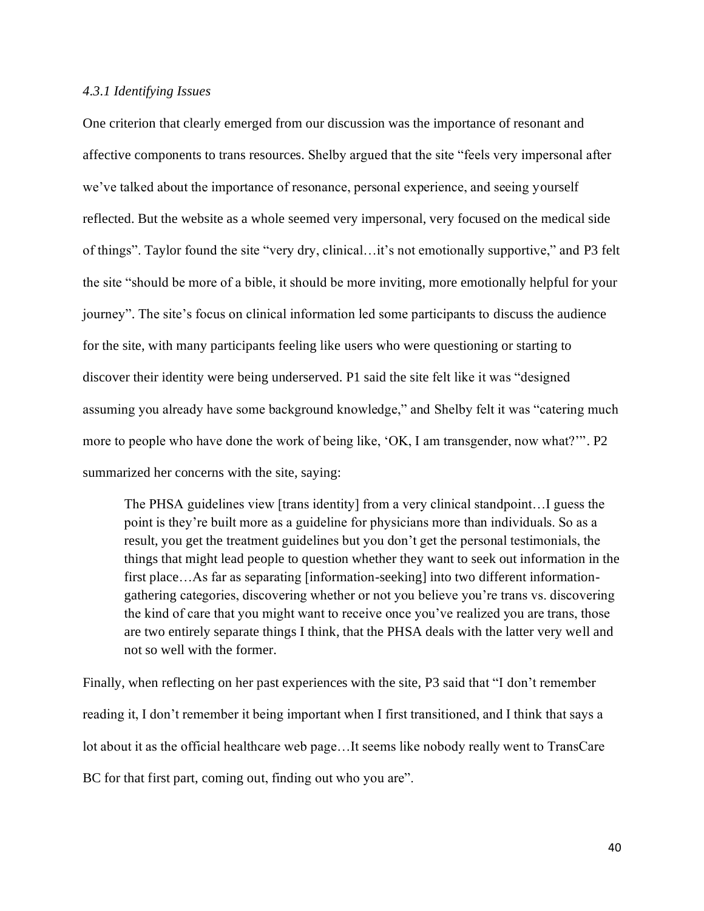#### *4.3.1 Identifying Issues*

One criterion that clearly emerged from our discussion was the importance of resonant and affective components to trans resources. Shelby argued that the site "feels very impersonal after we've talked about the importance of resonance, personal experience, and seeing yourself reflected. But the website as a whole seemed very impersonal, very focused on the medical side of things". Taylor found the site "very dry, clinical…it's not emotionally supportive," and P3 felt the site "should be more of a bible, it should be more inviting, more emotionally helpful for your journey". The site's focus on clinical information led some participants to discuss the audience for the site, with many participants feeling like users who were questioning or starting to discover their identity were being underserved. P1 said the site felt like it was "designed assuming you already have some background knowledge," and Shelby felt it was "catering much more to people who have done the work of being like, 'OK, I am transgender, now what?'". P2 summarized her concerns with the site, saying:

The PHSA guidelines view [trans identity] from a very clinical standpoint…I guess the point is they're built more as a guideline for physicians more than individuals. So as a result, you get the treatment guidelines but you don't get the personal testimonials, the things that might lead people to question whether they want to seek out information in the first place…As far as separating [information-seeking] into two different informationgathering categories, discovering whether or not you believe you're trans vs. discovering the kind of care that you might want to receive once you've realized you are trans, those are two entirely separate things I think, that the PHSA deals with the latter very well and not so well with the former.

Finally, when reflecting on her past experiences with the site, P3 said that "I don't remember reading it, I don't remember it being important when I first transitioned, and I think that says a lot about it as the official healthcare web page…It seems like nobody really went to TransCare BC for that first part, coming out, finding out who you are".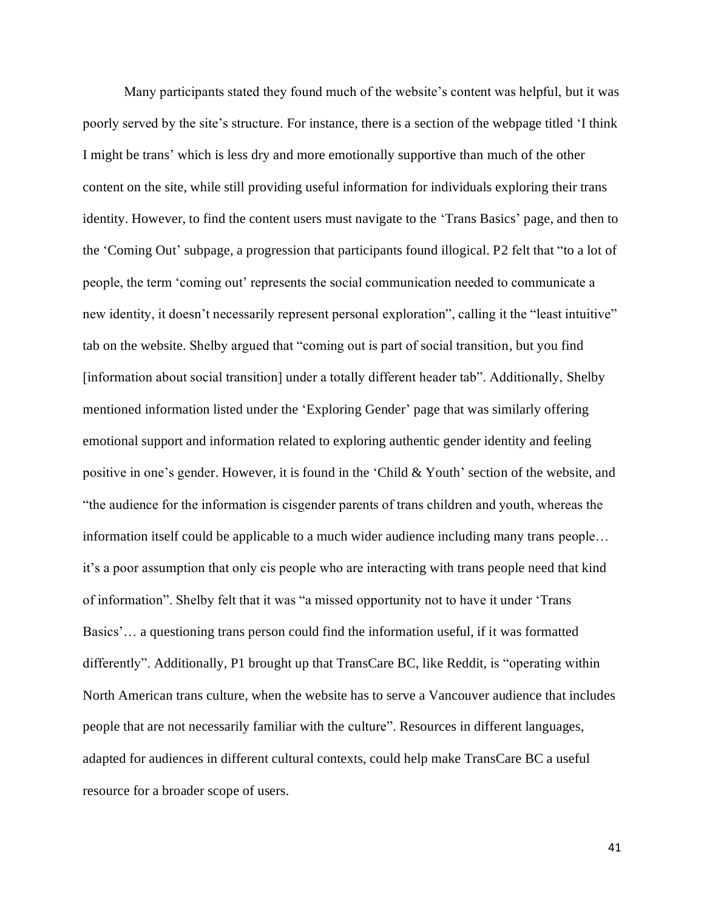Many participants stated they found much of the website's content was helpful, but it was poorly served by the site's structure. For instance, there is a section of the webpage titled 'I think I might be trans' which is less dry and more emotionally supportive than much of the other content on the site, while still providing useful information for individuals exploring their trans identity. However, to find the content users must navigate to the 'Trans Basics' page, and then to the 'Coming Out' subpage, a progression that participants found illogical. P2 felt that "to a lot of people, the term 'coming out' represents the social communication needed to communicate a new identity, it doesn't necessarily represent personal exploration", calling it the "least intuitive" tab on the website. Shelby argued that "coming out is part of social transition, but you find [information about social transition] under a totally different header tab". Additionally, Shelby mentioned information listed under the 'Exploring Gender' page that was similarly offering emotional support and information related to exploring authentic gender identity and feeling positive in one's gender. However, it is found in the 'Child & Youth' section of the website, and "the audience for the information is cisgender parents of trans children and youth, whereas the information itself could be applicable to a much wider audience including many trans people… it's a poor assumption that only cis people who are interacting with trans people need that kind of information". Shelby felt that it was "a missed opportunity not to have it under 'Trans Basics'… a questioning trans person could find the information useful, if it was formatted differently". Additionally, P1 brought up that TransCare BC, like Reddit, is "operating within North American trans culture, when the website has to serve a Vancouver audience that includes people that are not necessarily familiar with the culture". Resources in different languages, adapted for audiences in different cultural contexts, could help make TransCare BC a useful resource for a broader scope of users.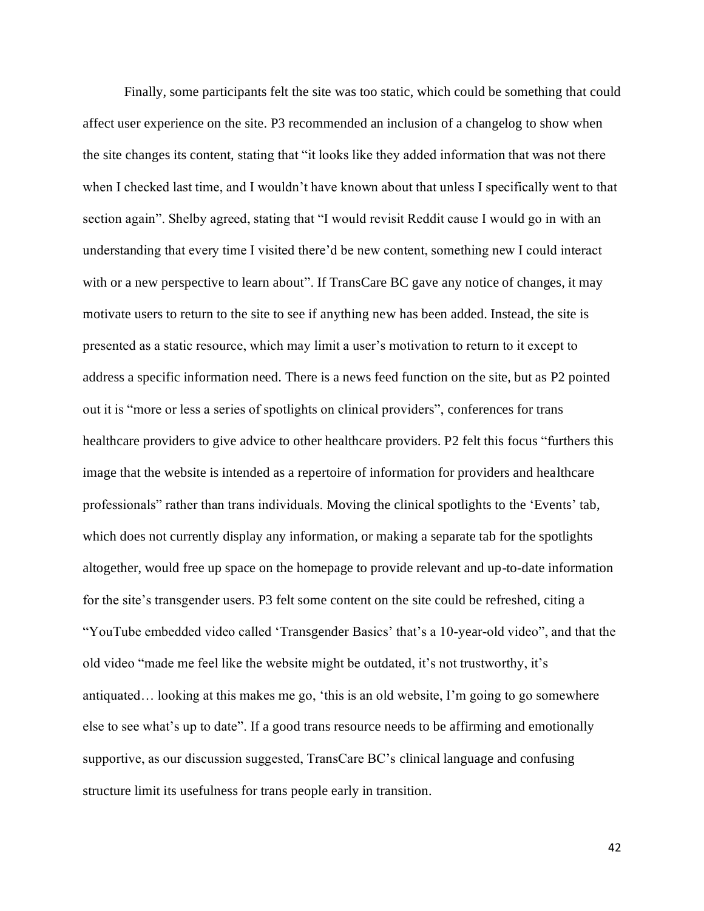Finally, some participants felt the site was too static, which could be something that could affect user experience on the site. P3 recommended an inclusion of a changelog to show when the site changes its content, stating that "it looks like they added information that was not there when I checked last time, and I wouldn't have known about that unless I specifically went to that section again". Shelby agreed, stating that "I would revisit Reddit cause I would go in with an understanding that every time I visited there'd be new content, something new I could interact with or a new perspective to learn about". If TransCare BC gave any notice of changes, it may motivate users to return to the site to see if anything new has been added. Instead, the site is presented as a static resource, which may limit a user's motivation to return to it except to address a specific information need. There is a news feed function on the site, but as P2 pointed out it is "more or less a series of spotlights on clinical providers", conferences for trans healthcare providers to give advice to other healthcare providers. P2 felt this focus "furthers this image that the website is intended as a repertoire of information for providers and healthcare professionals" rather than trans individuals. Moving the clinical spotlights to the 'Events' tab, which does not currently display any information, or making a separate tab for the spotlights altogether, would free up space on the homepage to provide relevant and up-to-date information for the site's transgender users. P3 felt some content on the site could be refreshed, citing a "YouTube embedded video called 'Transgender Basics' that's a 10-year-old video", and that the old video "made me feel like the website might be outdated, it's not trustworthy, it's antiquated… looking at this makes me go, 'this is an old website, I'm going to go somewhere else to see what's up to date". If a good trans resource needs to be affirming and emotionally supportive, as our discussion suggested, TransCare BC's clinical language and confusing structure limit its usefulness for trans people early in transition.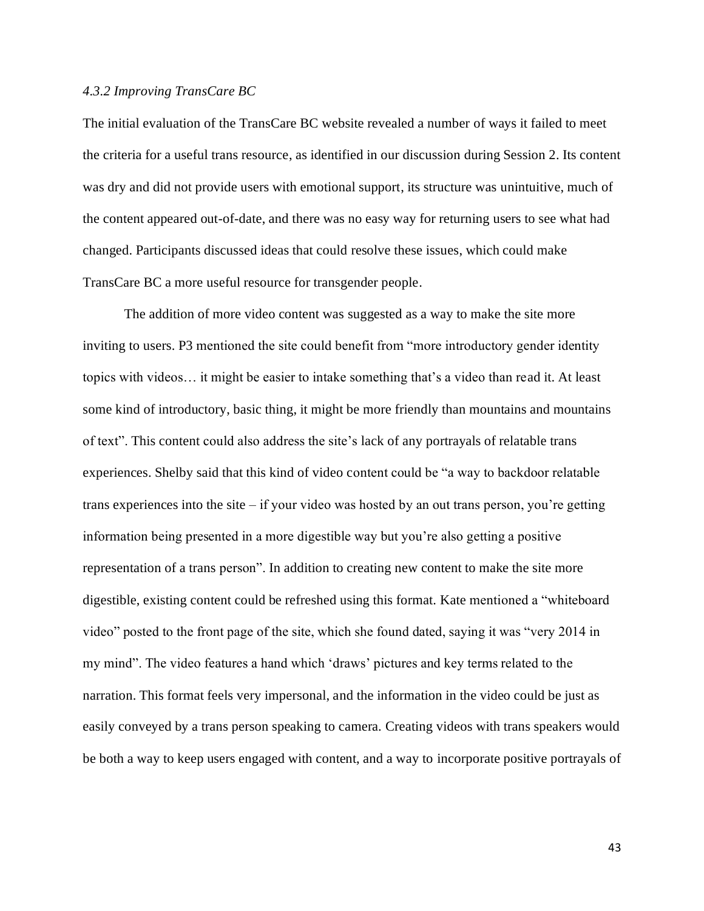#### *4.3.2 Improving TransCare BC*

The initial evaluation of the TransCare BC website revealed a number of ways it failed to meet the criteria for a useful trans resource, as identified in our discussion during Session 2. Its content was dry and did not provide users with emotional support, its structure was unintuitive, much of the content appeared out-of-date, and there was no easy way for returning users to see what had changed. Participants discussed ideas that could resolve these issues, which could make TransCare BC a more useful resource for transgender people.

The addition of more video content was suggested as a way to make the site more inviting to users. P3 mentioned the site could benefit from "more introductory gender identity topics with videos… it might be easier to intake something that's a video than read it. At least some kind of introductory, basic thing, it might be more friendly than mountains and mountains of text". This content could also address the site's lack of any portrayals of relatable trans experiences. Shelby said that this kind of video content could be "a way to backdoor relatable trans experiences into the site – if your video was hosted by an out trans person, you're getting information being presented in a more digestible way but you're also getting a positive representation of a trans person". In addition to creating new content to make the site more digestible, existing content could be refreshed using this format. Kate mentioned a "whiteboard video" posted to the front page of the site, which she found dated, saying it was "very 2014 in my mind". The video features a hand which 'draws' pictures and key terms related to the narration. This format feels very impersonal, and the information in the video could be just as easily conveyed by a trans person speaking to camera. Creating videos with trans speakers would be both a way to keep users engaged with content, and a way to incorporate positive portrayals of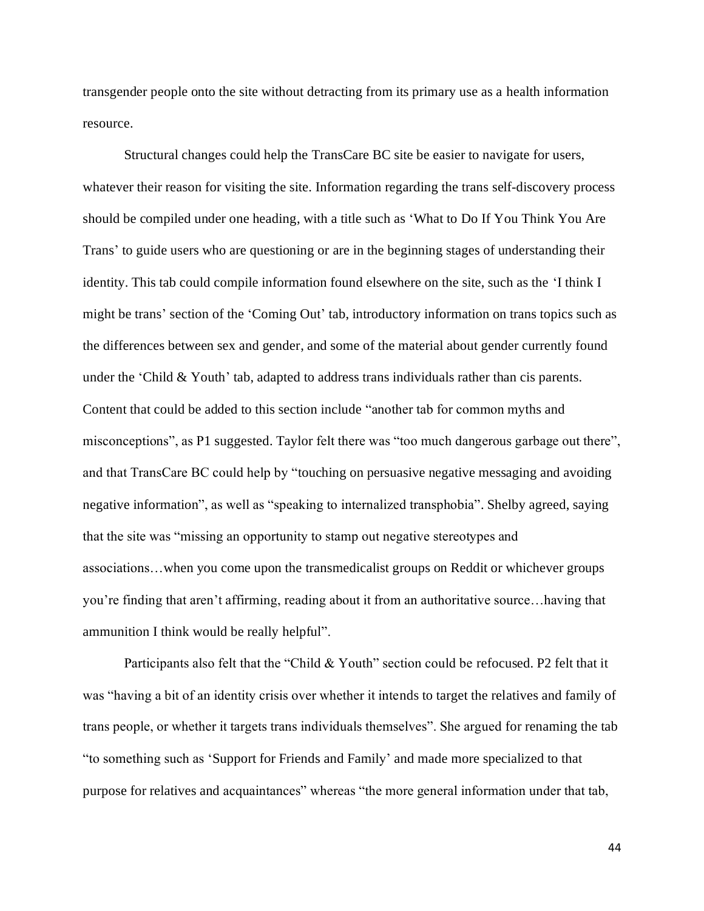transgender people onto the site without detracting from its primary use as a health information resource.

Structural changes could help the TransCare BC site be easier to navigate for users, whatever their reason for visiting the site. Information regarding the trans self-discovery process should be compiled under one heading, with a title such as 'What to Do If You Think You Are Trans' to guide users who are questioning or are in the beginning stages of understanding their identity. This tab could compile information found elsewhere on the site, such as the 'I think I might be trans' section of the 'Coming Out' tab, introductory information on trans topics such as the differences between sex and gender, and some of the material about gender currently found under the 'Child & Youth' tab, adapted to address trans individuals rather than cis parents. Content that could be added to this section include "another tab for common myths and misconceptions", as P1 suggested. Taylor felt there was "too much dangerous garbage out there", and that TransCare BC could help by "touching on persuasive negative messaging and avoiding negative information", as well as "speaking to internalized transphobia". Shelby agreed, saying that the site was "missing an opportunity to stamp out negative stereotypes and associations…when you come upon the transmedicalist groups on Reddit or whichever groups you're finding that aren't affirming, reading about it from an authoritative source…having that ammunition I think would be really helpful".

Participants also felt that the "Child & Youth" section could be refocused. P2 felt that it was "having a bit of an identity crisis over whether it intends to target the relatives and family of trans people, or whether it targets trans individuals themselves". She argued for renaming the tab "to something such as 'Support for Friends and Family' and made more specialized to that purpose for relatives and acquaintances" whereas "the more general information under that tab,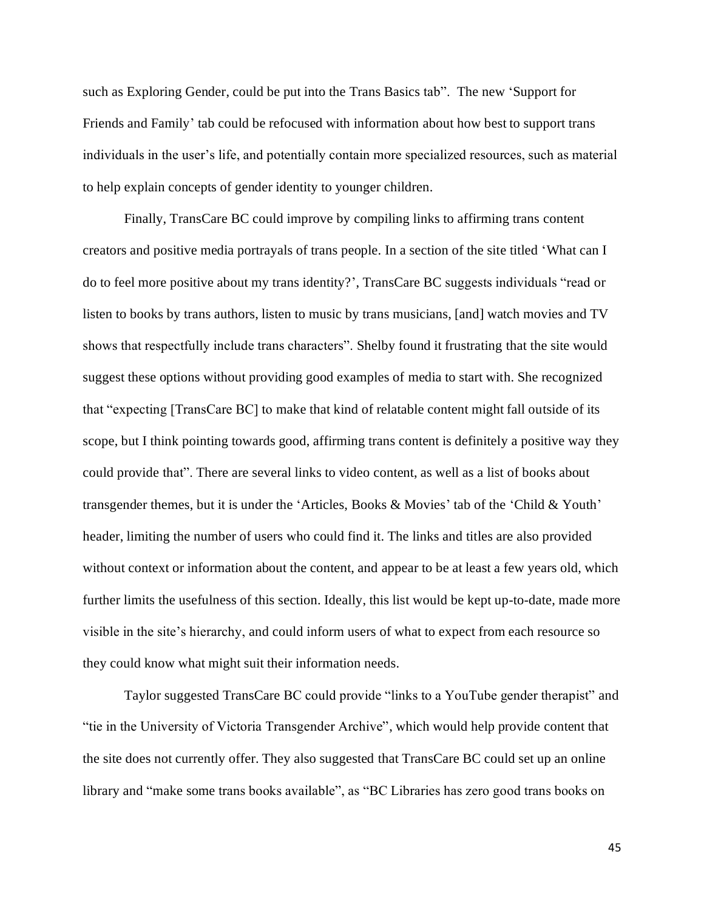such as Exploring Gender, could be put into the Trans Basics tab". The new 'Support for Friends and Family' tab could be refocused with information about how best to support trans individuals in the user's life, and potentially contain more specialized resources, such as material to help explain concepts of gender identity to younger children.

Finally, TransCare BC could improve by compiling links to affirming trans content creators and positive media portrayals of trans people. In a section of the site titled 'What can I do to feel more positive about my trans identity?', TransCare BC suggests individuals "read or listen to books by trans authors, listen to music by trans musicians, [and] watch movies and TV shows that respectfully include trans characters". Shelby found it frustrating that the site would suggest these options without providing good examples of media to start with. She recognized that "expecting [TransCare BC] to make that kind of relatable content might fall outside of its scope, but I think pointing towards good, affirming trans content is definitely a positive way they could provide that". There are several links to video content, as well as a list of books about transgender themes, but it is under the 'Articles, Books & Movies' tab of the 'Child & Youth' header, limiting the number of users who could find it. The links and titles are also provided without context or information about the content, and appear to be at least a few years old, which further limits the usefulness of this section. Ideally, this list would be kept up-to-date, made more visible in the site's hierarchy, and could inform users of what to expect from each resource so they could know what might suit their information needs.

Taylor suggested TransCare BC could provide "links to a YouTube gender therapist" and "tie in the University of Victoria Transgender Archive", which would help provide content that the site does not currently offer. They also suggested that TransCare BC could set up an online library and "make some trans books available", as "BC Libraries has zero good trans books on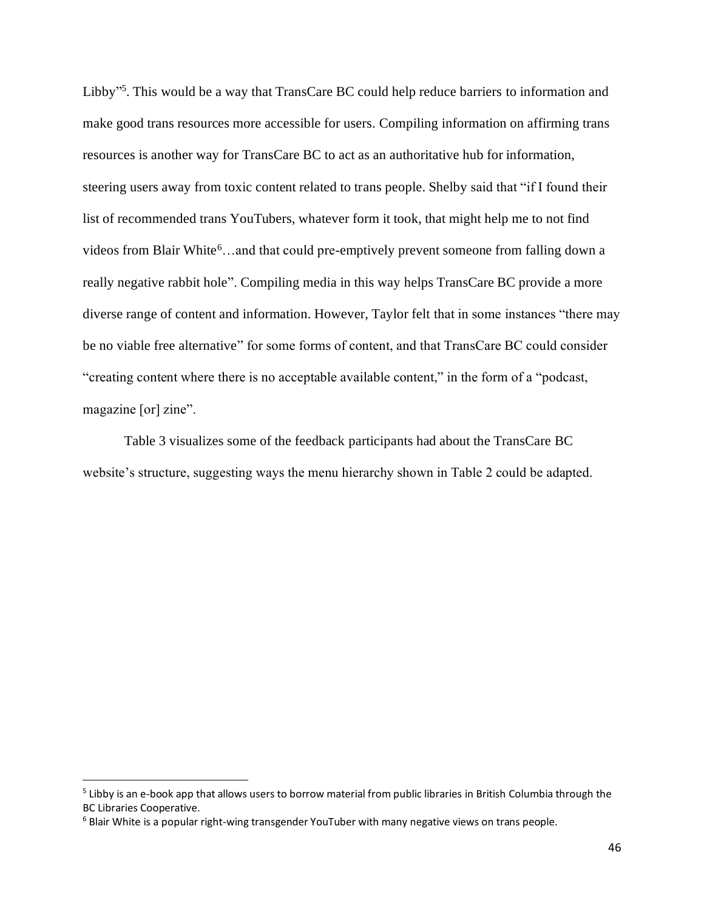Libby"<sup>5</sup>. This would be a way that TransCare BC could help reduce barriers to information and make good trans resources more accessible for users. Compiling information on affirming trans resources is another way for TransCare BC to act as an authoritative hub for information, steering users away from toxic content related to trans people. Shelby said that "if I found their list of recommended trans YouTubers, whatever form it took, that might help me to not find videos from Blair White<sup>6</sup>...and that could pre-emptively prevent someone from falling down a really negative rabbit hole". Compiling media in this way helps TransCare BC provide a more diverse range of content and information. However, Taylor felt that in some instances "there may be no viable free alternative" for some forms of content, and that TransCare BC could consider "creating content where there is no acceptable available content," in the form of a "podcast, magazine [or] zine".

Table 3 visualizes some of the feedback participants had about the TransCare BC website's structure, suggesting ways the menu hierarchy shown in Table 2 could be adapted.

<sup>&</sup>lt;sup>5</sup> Libby is an e-book app that allows users to borrow material from public libraries in British Columbia through the BC Libraries Cooperative.

<sup>&</sup>lt;sup>6</sup> Blair White is a popular right-wing transgender YouTuber with many negative views on trans people.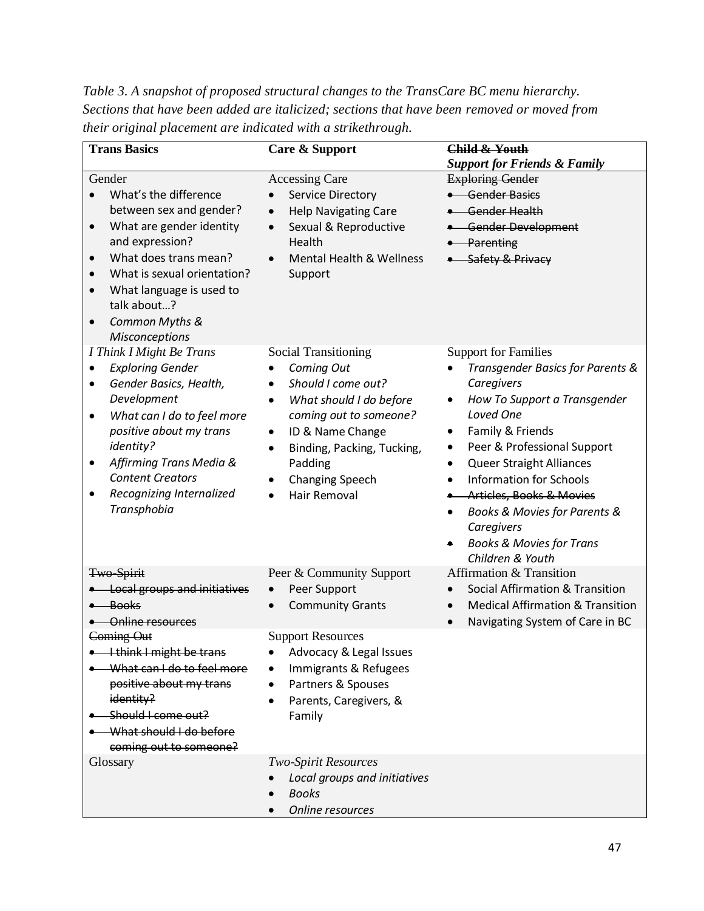*Table 3. A snapshot of proposed structural changes to the TransCare BC menu hierarchy. Sections that have been added are italicized; sections that have been removed or moved from their original placement are indicated with a strikethrough.*

| <b>Trans Basics</b>                                                                                                                                                                                                                                                                                         | Care & Support                                                                                                                                                                                                                                                                        | Child & Youth<br><b>Support for Friends &amp; Family</b>                                                                                                                                                                                                                                                                                                                                                                       |
|-------------------------------------------------------------------------------------------------------------------------------------------------------------------------------------------------------------------------------------------------------------------------------------------------------------|---------------------------------------------------------------------------------------------------------------------------------------------------------------------------------------------------------------------------------------------------------------------------------------|--------------------------------------------------------------------------------------------------------------------------------------------------------------------------------------------------------------------------------------------------------------------------------------------------------------------------------------------------------------------------------------------------------------------------------|
| Gender<br>What's the difference<br>between sex and gender?<br>What are gender identity<br>$\bullet$<br>and expression?<br>What does trans mean?<br>$\bullet$<br>What is sexual orientation?<br>What language is used to<br>$\bullet$<br>talk about?<br>Common Myths &<br>$\bullet$<br><b>Misconceptions</b> | <b>Accessing Care</b><br>Service Directory<br><b>Help Navigating Care</b><br>$\bullet$<br>Sexual & Reproductive<br>$\bullet$<br>Health<br>Mental Health & Wellness<br>$\bullet$<br>Support                                                                                            | <b>Exploring Gender</b><br>• Gender Basics<br>• Gender Health<br>• Gender Development<br>• Parenting<br>• Safety & Privacy                                                                                                                                                                                                                                                                                                     |
| I Think I Might Be Trans<br><b>Exploring Gender</b><br>٠<br>Gender Basics, Health,<br>٠<br>Development<br>What can I do to feel more<br>٠<br>positive about my trans<br>identity?<br>Affirming Trans Media &<br>٠<br><b>Content Creators</b><br>Recognizing Internalized<br>٠<br>Transphobia                | Social Transitioning<br>Coming Out<br>Should I come out?<br>$\bullet$<br>What should I do before<br>$\bullet$<br>coming out to someone?<br>ID & Name Change<br>$\bullet$<br>Binding, Packing, Tucking,<br>$\bullet$<br>Padding<br><b>Changing Speech</b><br>Hair Removal<br>$\bullet$ | <b>Support for Families</b><br>Transgender Basics for Parents &<br>Caregivers<br>How To Support a Transgender<br>٠<br>Loved One<br>Family & Friends<br>Peer & Professional Support<br>٠<br><b>Queer Straight Alliances</b><br>$\bullet$<br><b>Information for Schools</b><br><b>Articles, Books &amp; Movies</b><br>٠<br>Books & Movies for Parents &<br>Caregivers<br><b>Books &amp; Movies for Trans</b><br>Children & Youth |
| Two-Spirit<br><b>.</b> Local groups and initiatives<br>• Books<br><b>Online resources</b>                                                                                                                                                                                                                   | Peer & Community Support<br>Peer Support<br>$\bullet$<br><b>Community Grants</b>                                                                                                                                                                                                      | Affirmation & Transition<br><b>Social Affirmation &amp; Transition</b><br><b>Medical Affirmation &amp; Transition</b><br>Navigating System of Care in BC<br>$\bullet$                                                                                                                                                                                                                                                          |
| Coming Out<br>I think I might be trans<br>What can I do to feel more<br>positive about my trans<br>identity?<br>Should I come out?<br>What should I do before<br>coming out to someone?                                                                                                                     | <b>Support Resources</b><br>• Advocacy & Legal Issues<br>Immigrants & Refugees<br>Partners & Spouses<br>Parents, Caregivers, &<br>Family                                                                                                                                              |                                                                                                                                                                                                                                                                                                                                                                                                                                |
| Glossary                                                                                                                                                                                                                                                                                                    | <b>Two-Spirit Resources</b><br>Local groups and initiatives<br><b>Books</b><br>Online resources                                                                                                                                                                                       |                                                                                                                                                                                                                                                                                                                                                                                                                                |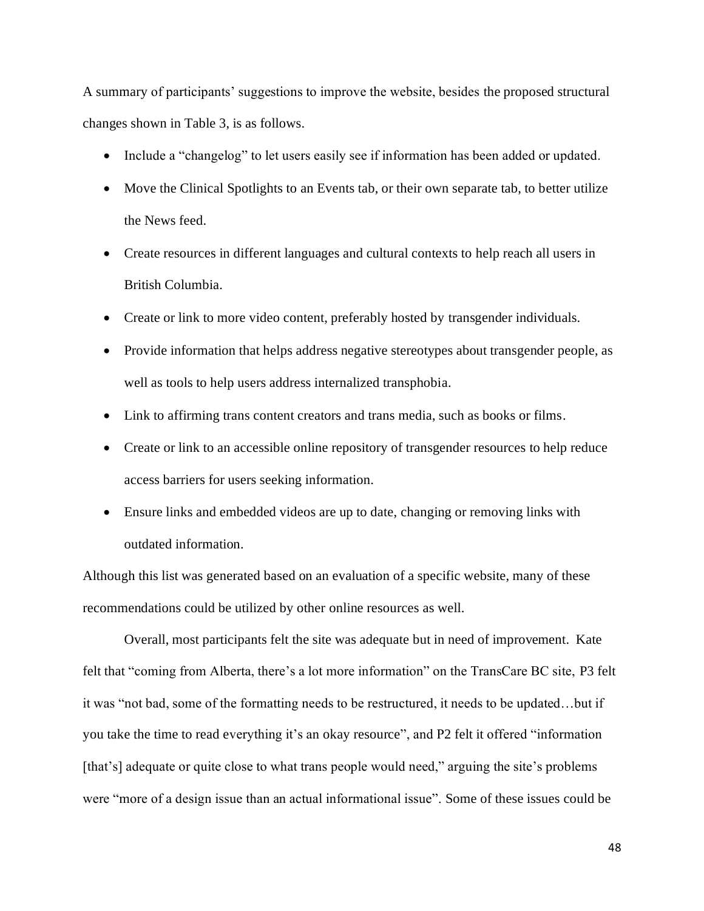A summary of participants' suggestions to improve the website, besides the proposed structural changes shown in Table 3, is as follows.

- Include a "changelog" to let users easily see if information has been added or updated.
- Move the Clinical Spotlights to an Events tab, or their own separate tab, to better utilize the News feed.
- Create resources in different languages and cultural contexts to help reach all users in British Columbia.
- Create or link to more video content, preferably hosted by transgender individuals.
- Provide information that helps address negative stereotypes about transgender people, as well as tools to help users address internalized transphobia.
- Link to affirming trans content creators and trans media, such as books or films.
- Create or link to an accessible online repository of transgender resources to help reduce access barriers for users seeking information.
- Ensure links and embedded videos are up to date, changing or removing links with outdated information.

Although this list was generated based on an evaluation of a specific website, many of these recommendations could be utilized by other online resources as well.

Overall, most participants felt the site was adequate but in need of improvement. Kate felt that "coming from Alberta, there's a lot more information" on the TransCare BC site, P3 felt it was "not bad, some of the formatting needs to be restructured, it needs to be updated…but if you take the time to read everything it's an okay resource", and P2 felt it offered "information [that's] adequate or quite close to what trans people would need," arguing the site's problems were "more of a design issue than an actual informational issue". Some of these issues could be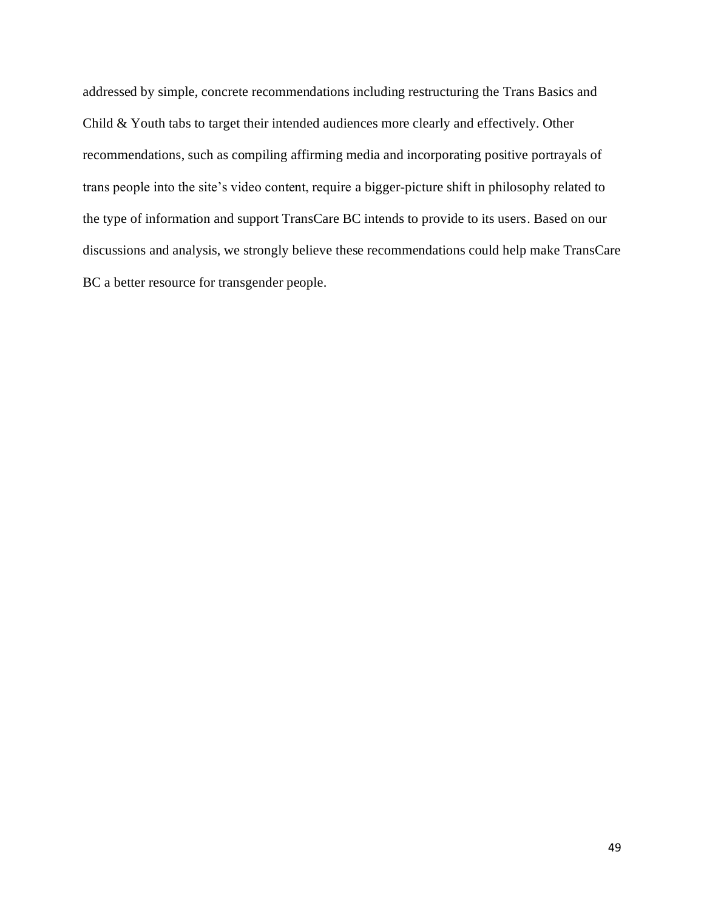addressed by simple, concrete recommendations including restructuring the Trans Basics and Child & Youth tabs to target their intended audiences more clearly and effectively. Other recommendations, such as compiling affirming media and incorporating positive portrayals of trans people into the site's video content, require a bigger-picture shift in philosophy related to the type of information and support TransCare BC intends to provide to its users. Based on our discussions and analysis, we strongly believe these recommendations could help make TransCare BC a better resource for transgender people.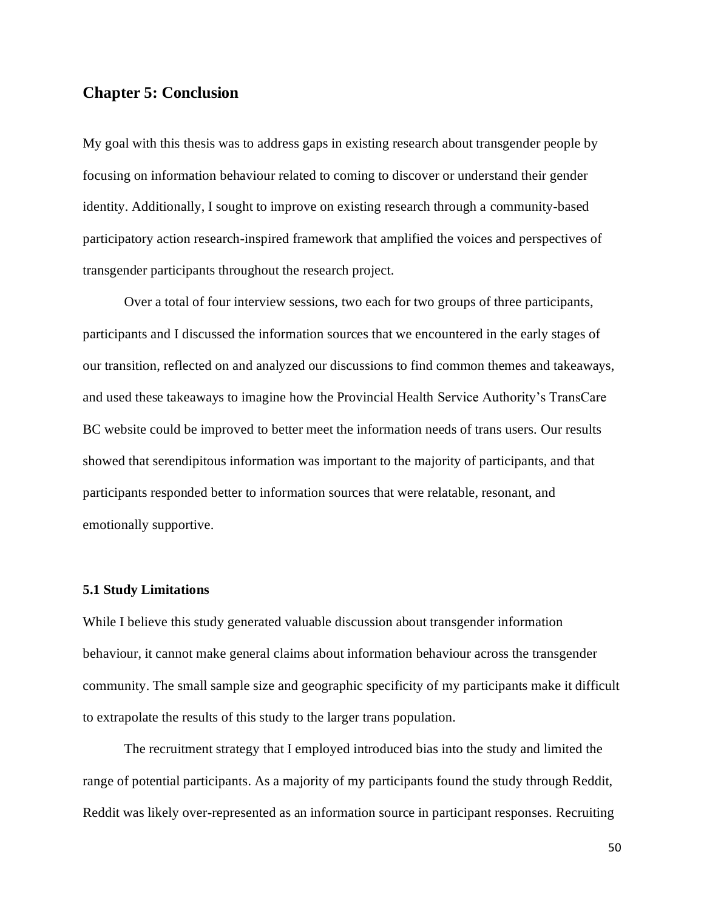# **Chapter 5: Conclusion**

My goal with this thesis was to address gaps in existing research about transgender people by focusing on information behaviour related to coming to discover or understand their gender identity. Additionally, I sought to improve on existing research through a community-based participatory action research-inspired framework that amplified the voices and perspectives of transgender participants throughout the research project.

Over a total of four interview sessions, two each for two groups of three participants, participants and I discussed the information sources that we encountered in the early stages of our transition, reflected on and analyzed our discussions to find common themes and takeaways, and used these takeaways to imagine how the Provincial Health Service Authority's TransCare BC website could be improved to better meet the information needs of trans users. Our results showed that serendipitous information was important to the majority of participants, and that participants responded better to information sources that were relatable, resonant, and emotionally supportive.

### **5.1 Study Limitations**

While I believe this study generated valuable discussion about transgender information behaviour, it cannot make general claims about information behaviour across the transgender community. The small sample size and geographic specificity of my participants make it difficult to extrapolate the results of this study to the larger trans population.

The recruitment strategy that I employed introduced bias into the study and limited the range of potential participants. As a majority of my participants found the study through Reddit, Reddit was likely over-represented as an information source in participant responses. Recruiting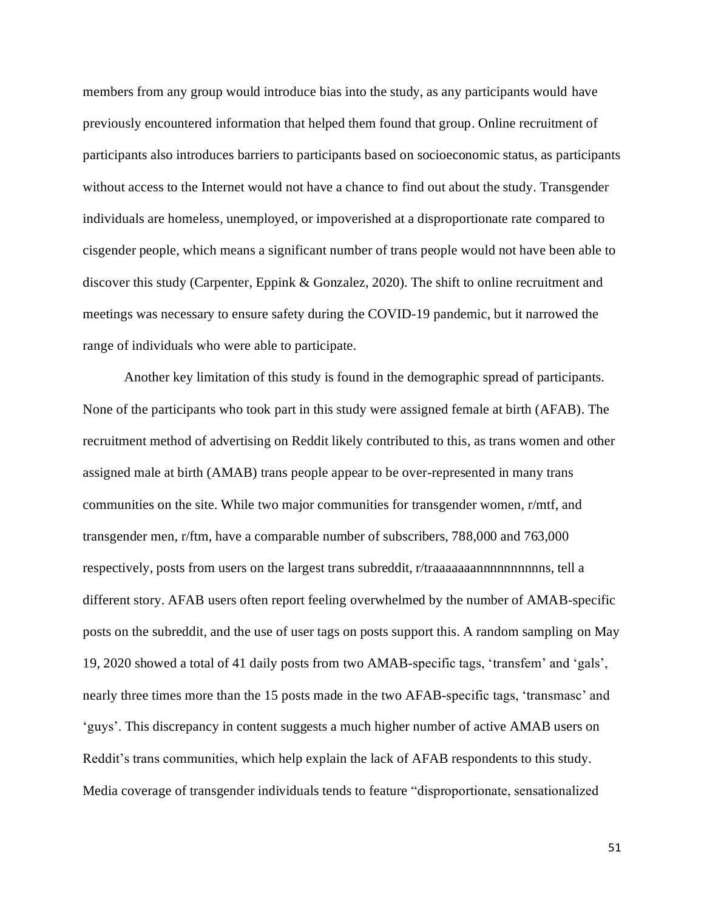members from any group would introduce bias into the study, as any participants would have previously encountered information that helped them found that group. Online recruitment of participants also introduces barriers to participants based on socioeconomic status, as participants without access to the Internet would not have a chance to find out about the study. Transgender individuals are homeless, unemployed, or impoverished at a disproportionate rate compared to cisgender people, which means a significant number of trans people would not have been able to discover this study (Carpenter, Eppink & Gonzalez, 2020). The shift to online recruitment and meetings was necessary to ensure safety during the COVID-19 pandemic, but it narrowed the range of individuals who were able to participate.

Another key limitation of this study is found in the demographic spread of participants. None of the participants who took part in this study were assigned female at birth (AFAB). The recruitment method of advertising on Reddit likely contributed to this, as trans women and other assigned male at birth (AMAB) trans people appear to be over-represented in many trans communities on the site. While two major communities for transgender women, r/mtf, and transgender men, r/ftm, have a comparable number of subscribers, 788,000 and 763,000 respectively, posts from users on the largest trans subreddit, r/traaaaaaannnnnnnnnnns, tell a different story. AFAB users often report feeling overwhelmed by the number of AMAB-specific posts on the subreddit, and the use of user tags on posts support this. A random sampling on May 19, 2020 showed a total of 41 daily posts from two AMAB-specific tags, 'transfem' and 'gals', nearly three times more than the 15 posts made in the two AFAB-specific tags, 'transmasc' and 'guys'. This discrepancy in content suggests a much higher number of active AMAB users on Reddit's trans communities, which help explain the lack of AFAB respondents to this study. Media coverage of transgender individuals tends to feature "disproportionate, sensationalized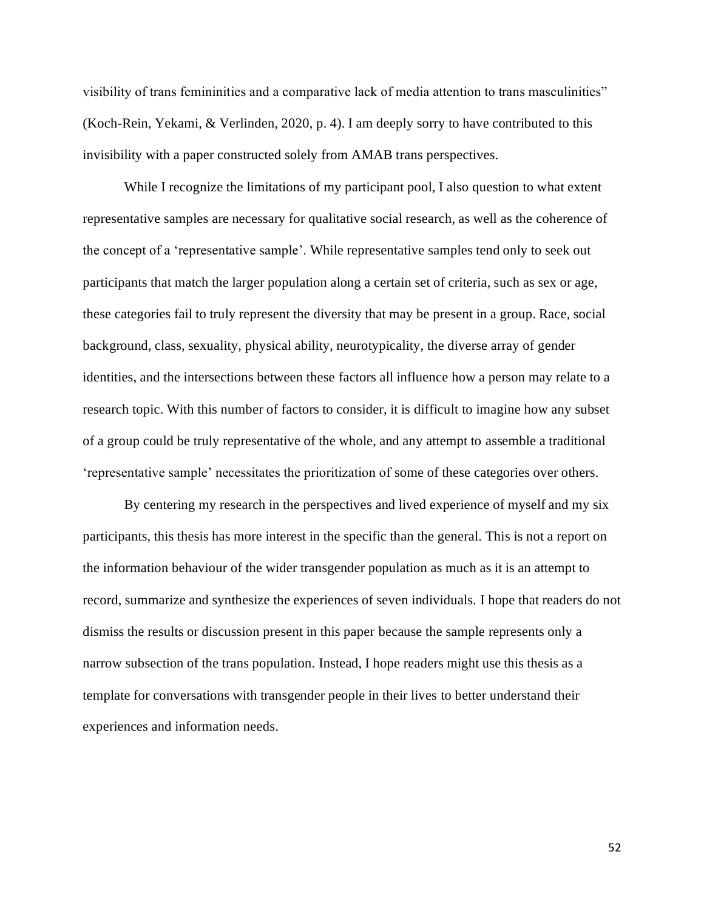visibility of trans femininities and a comparative lack of media attention to trans masculinities" (Koch-Rein, Yekami, & Verlinden, 2020, p. 4). I am deeply sorry to have contributed to this invisibility with a paper constructed solely from AMAB trans perspectives.

While I recognize the limitations of my participant pool, I also question to what extent representative samples are necessary for qualitative social research, as well as the coherence of the concept of a 'representative sample'. While representative samples tend only to seek out participants that match the larger population along a certain set of criteria, such as sex or age, these categories fail to truly represent the diversity that may be present in a group. Race, social background, class, sexuality, physical ability, neurotypicality, the diverse array of gender identities, and the intersections between these factors all influence how a person may relate to a research topic. With this number of factors to consider, it is difficult to imagine how any subset of a group could be truly representative of the whole, and any attempt to assemble a traditional 'representative sample' necessitates the prioritization of some of these categories over others.

By centering my research in the perspectives and lived experience of myself and my six participants, this thesis has more interest in the specific than the general. This is not a report on the information behaviour of the wider transgender population as much as it is an attempt to record, summarize and synthesize the experiences of seven individuals. I hope that readers do not dismiss the results or discussion present in this paper because the sample represents only a narrow subsection of the trans population. Instead, I hope readers might use this thesis as a template for conversations with transgender people in their lives to better understand their experiences and information needs.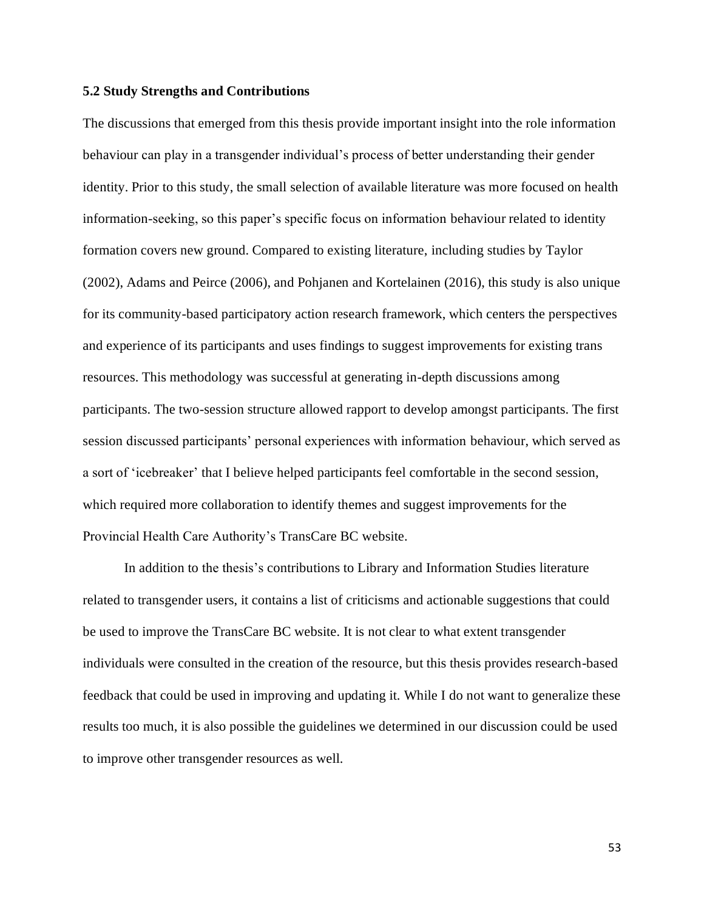#### **5.2 Study Strengths and Contributions**

The discussions that emerged from this thesis provide important insight into the role information behaviour can play in a transgender individual's process of better understanding their gender identity. Prior to this study, the small selection of available literature was more focused on health information-seeking, so this paper's specific focus on information behaviour related to identity formation covers new ground. Compared to existing literature, including studies by Taylor (2002), Adams and Peirce (2006), and Pohjanen and Kortelainen (2016), this study is also unique for its community-based participatory action research framework, which centers the perspectives and experience of its participants and uses findings to suggest improvements for existing trans resources. This methodology was successful at generating in-depth discussions among participants. The two-session structure allowed rapport to develop amongst participants. The first session discussed participants' personal experiences with information behaviour, which served as a sort of 'icebreaker' that I believe helped participants feel comfortable in the second session, which required more collaboration to identify themes and suggest improvements for the Provincial Health Care Authority's TransCare BC website.

In addition to the thesis's contributions to Library and Information Studies literature related to transgender users, it contains a list of criticisms and actionable suggestions that could be used to improve the TransCare BC website. It is not clear to what extent transgender individuals were consulted in the creation of the resource, but this thesis provides research-based feedback that could be used in improving and updating it. While I do not want to generalize these results too much, it is also possible the guidelines we determined in our discussion could be used to improve other transgender resources as well.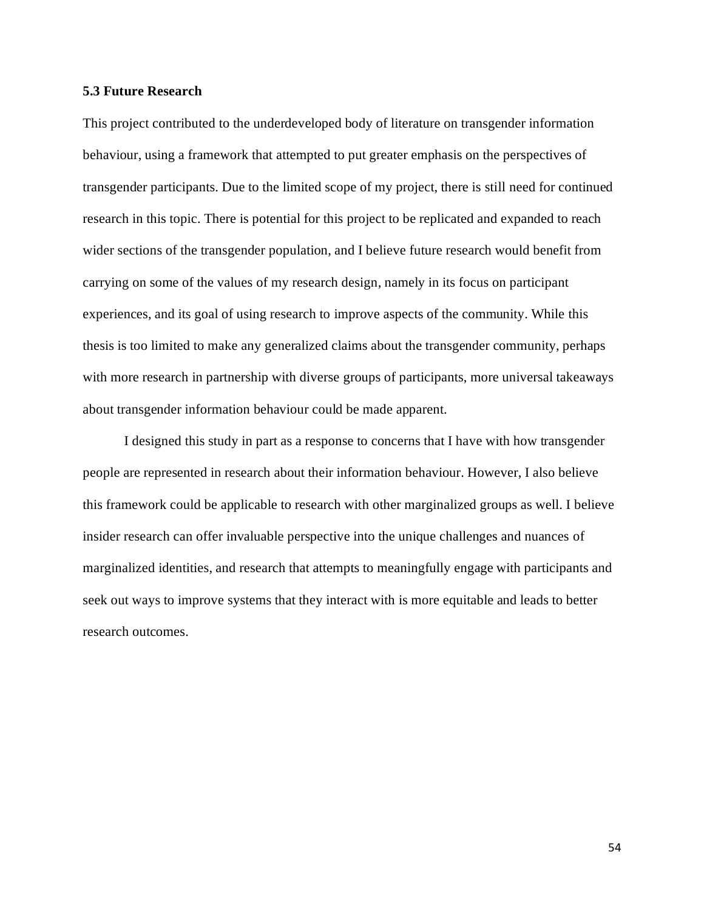### **5.3 Future Research**

This project contributed to the underdeveloped body of literature on transgender information behaviour, using a framework that attempted to put greater emphasis on the perspectives of transgender participants. Due to the limited scope of my project, there is still need for continued research in this topic. There is potential for this project to be replicated and expanded to reach wider sections of the transgender population, and I believe future research would benefit from carrying on some of the values of my research design, namely in its focus on participant experiences, and its goal of using research to improve aspects of the community. While this thesis is too limited to make any generalized claims about the transgender community, perhaps with more research in partnership with diverse groups of participants, more universal takeaways about transgender information behaviour could be made apparent.

I designed this study in part as a response to concerns that I have with how transgender people are represented in research about their information behaviour. However, I also believe this framework could be applicable to research with other marginalized groups as well. I believe insider research can offer invaluable perspective into the unique challenges and nuances of marginalized identities, and research that attempts to meaningfully engage with participants and seek out ways to improve systems that they interact with is more equitable and leads to better research outcomes.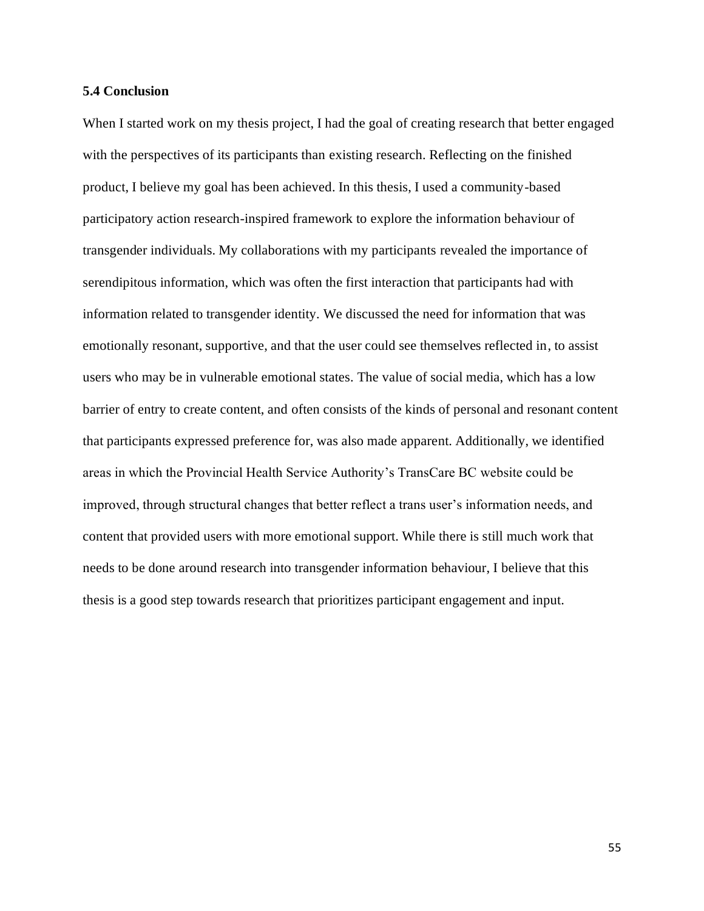### **5.4 Conclusion**

When I started work on my thesis project, I had the goal of creating research that better engaged with the perspectives of its participants than existing research. Reflecting on the finished product, I believe my goal has been achieved. In this thesis, I used a community-based participatory action research-inspired framework to explore the information behaviour of transgender individuals. My collaborations with my participants revealed the importance of serendipitous information, which was often the first interaction that participants had with information related to transgender identity. We discussed the need for information that was emotionally resonant, supportive, and that the user could see themselves reflected in, to assist users who may be in vulnerable emotional states. The value of social media, which has a low barrier of entry to create content, and often consists of the kinds of personal and resonant content that participants expressed preference for, was also made apparent. Additionally, we identified areas in which the Provincial Health Service Authority's TransCare BC website could be improved, through structural changes that better reflect a trans user's information needs, and content that provided users with more emotional support. While there is still much work that needs to be done around research into transgender information behaviour, I believe that this thesis is a good step towards research that prioritizes participant engagement and input.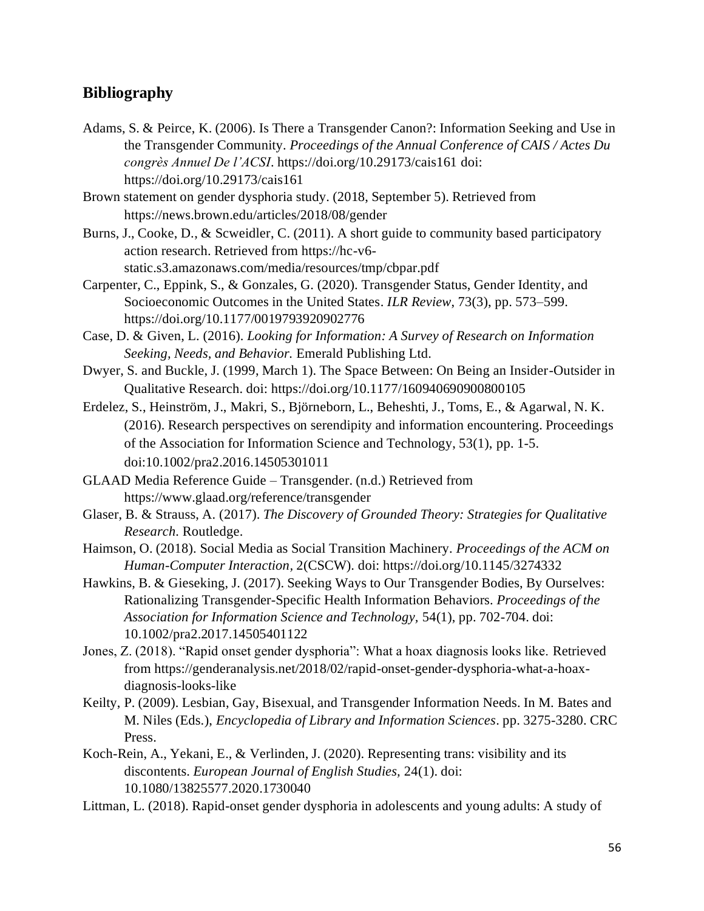# **Bibliography**

- Adams, S. & Peirce, K. (2006). Is There a Transgender Canon?: Information Seeking and Use in the Transgender Community. *Proceedings of the Annual Conference of CAIS / Actes Du congrès Annuel De l'ACSI*. https://doi.org/10.29173/cais161 doi: https://doi.org/10.29173/cais161
- Brown statement on gender dysphoria study. (2018, September 5). Retrieved from https://news.brown.edu/articles/2018/08/gender
- Burns, J., Cooke, D., & Scweidler, C. (2011). A short guide to community based participatory action research. Retrieved from https://hc-v6 static.s3.amazonaws.com/media/resources/tmp/cbpar.pdf
- Carpenter, C., Eppink, S., & Gonzales, G. (2020). Transgender Status, Gender Identity, and Socioeconomic Outcomes in the United States. *ILR Review*, 73(3), pp. 573–599.
	- https://doi.org/10.1177/0019793920902776
- Case, D. & Given, L. (2016). *Looking for Information: A Survey of Research on Information Seeking, Needs, and Behavior.* Emerald Publishing Ltd.
- Dwyer, S. and Buckle, J. (1999, March 1). The Space Between: On Being an Insider-Outsider in Qualitative Research. doi: https://doi.org/10.1177/160940690900800105
- Erdelez, S., Heinström, J., Makri, S., Björneborn, L., Beheshti, J., Toms, E., & Agarwal, N. K. (2016). Research perspectives on serendipity and information encountering. Proceedings of the Association for Information Science and Technology, 53(1), pp. 1-5. doi:10.1002/pra2.2016.14505301011
- GLAAD Media Reference Guide Transgender. (n.d.) Retrieved from https://www.glaad.org/reference/transgender
- Glaser, B. & Strauss, A. (2017). *The Discovery of Grounded Theory: Strategies for Qualitative Research.* Routledge.
- Haimson, O. (2018). Social Media as Social Transition Machinery. *Proceedings of the ACM on Human-Computer Interaction,* 2(CSCW). doi: https://doi.org/10.1145/3274332
- Hawkins, B. & Gieseking, J. (2017). Seeking Ways to Our Transgender Bodies, By Ourselves: Rationalizing Transgender-Specific Health Information Behaviors. *Proceedings of the Association for Information Science and Technology,* 54(1), pp. 702-704. doi: 10.1002/pra2.2017.14505401122
- Jones, Z. (2018). "Rapid onset gender dysphoria": What a hoax diagnosis looks like. Retrieved from https://genderanalysis.net/2018/02/rapid-onset-gender-dysphoria-what-a-hoaxdiagnosis-looks-like
- Keilty, P. (2009). Lesbian, Gay, Bisexual, and Transgender Information Needs. In M. Bates and M. Niles (Eds.), *Encyclopedia of Library and Information Sciences*. pp. 3275-3280. CRC Press.
- Koch-Rein, A., Yekani, E., & Verlinden, J. (2020). Representing trans: visibility and its discontents. *European Journal of English Studies,* 24(1). doi: 10.1080/13825577.2020.1730040
- Littman, L. (2018). Rapid-onset gender dysphoria in adolescents and young adults: A study of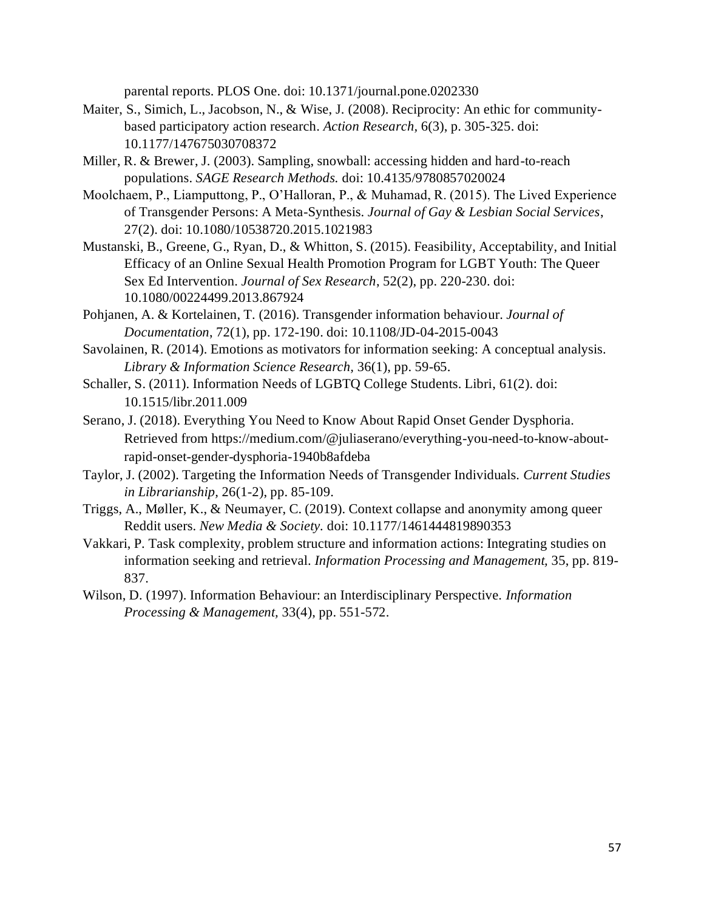parental reports. PLOS One. doi: 10.1371/journal.pone.0202330

- Maiter, S., Simich, L., Jacobson, N., & Wise, J. (2008). Reciprocity: An ethic for communitybased participatory action research. *Action Research,* 6(3), p. 305-325. doi: 10.1177/147675030708372
- Miller, R. & Brewer, J. (2003). Sampling, snowball: accessing hidden and hard-to-reach populations. *SAGE Research Methods.* doi: 10.4135/9780857020024
- Moolchaem, P., Liamputtong, P., O'Halloran, P., & Muhamad, R. (2015). The Lived Experience of Transgender Persons: A Meta-Synthesis. *Journal of Gay & Lesbian Social Services*, 27(2). doi: 10.1080/10538720.2015.1021983
- Mustanski, B., Greene, G., Ryan, D., & Whitton, S. (2015). Feasibility, Acceptability, and Initial Efficacy of an Online Sexual Health Promotion Program for LGBT Youth: The Queer Sex Ed Intervention. *Journal of Sex Research*, 52(2), pp. 220-230. doi: 10.1080/00224499.2013.867924
- Pohjanen, A. & Kortelainen, T. (2016). Transgender information behaviour. *Journal of Documentation*, 72(1), pp. 172-190. doi: 10.1108/JD-04-2015-0043
- Savolainen, R. (2014). Emotions as motivators for information seeking: A conceptual analysis. *Library & Information Science Research,* 36(1), pp. 59-65.
- Schaller, S. (2011). Information Needs of LGBTQ College Students. Libri, 61(2). doi: 10.1515/libr.2011.009
- Serano, J. (2018). Everything You Need to Know About Rapid Onset Gender Dysphoria. Retrieved from https://medium.com/@juliaserano/everything-you-need-to-know-aboutrapid-onset-gender-dysphoria-1940b8afdeba
- Taylor, J. (2002). Targeting the Information Needs of Transgender Individuals. *Current Studies in Librarianship,* 26(1-2), pp. 85-109.
- Triggs, A., Møller, K., & Neumayer, C. (2019). Context collapse and anonymity among queer Reddit users. *New Media & Society.* doi: 10.1177/1461444819890353
- Vakkari, P. Task complexity, problem structure and information actions: Integrating studies on information seeking and retrieval. *Information Processing and Management,* 35, pp. 819- 837.
- Wilson, D. (1997). Information Behaviour: an Interdisciplinary Perspective. *Information Processing & Management,* 33(4), pp. 551-572.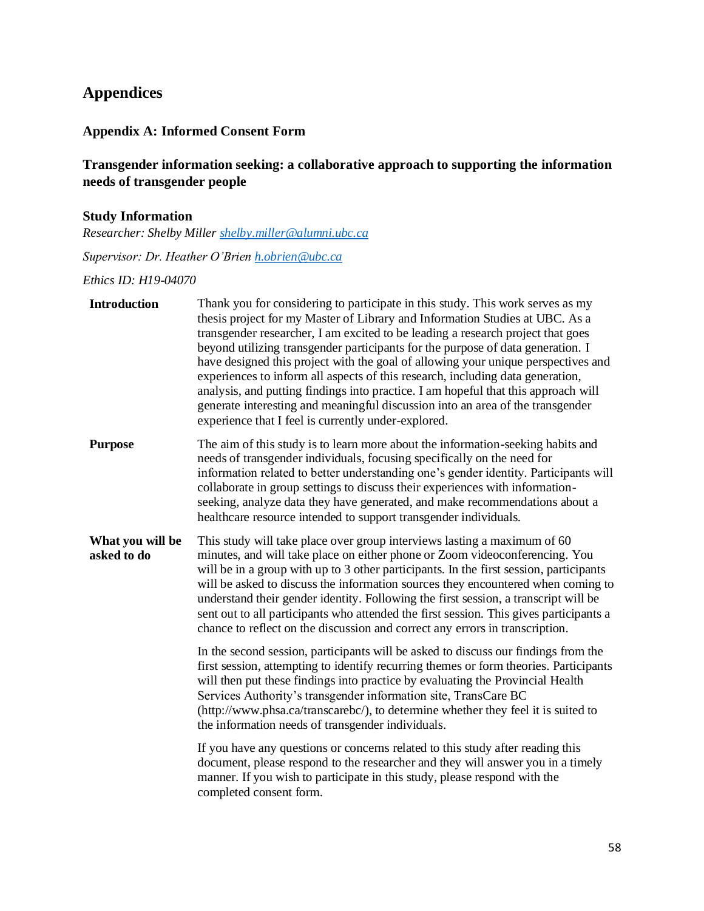# **Appendices**

# **Appendix A: Informed Consent Form**

# **Transgender information seeking: a collaborative approach to supporting the information needs of transgender people**

# **Study Information**

*Researcher: Shelby Miller [shelby.miller@alumni.ubc.ca](mailto:shelby.miller@alumni.ubc.ca)*

*Supervisor: Dr. Heather O'Brien [h.obrien@ubc.ca](mailto:h.obrien@ubc.ca)*

*Ethics ID: H19-04070*

| <b>Introduction</b>             | Thank you for considering to participate in this study. This work serves as my<br>thesis project for my Master of Library and Information Studies at UBC. As a<br>transgender researcher, I am excited to be leading a research project that goes<br>beyond utilizing transgender participants for the purpose of data generation. I<br>have designed this project with the goal of allowing your unique perspectives and<br>experiences to inform all aspects of this research, including data generation,<br>analysis, and putting findings into practice. I am hopeful that this approach will<br>generate interesting and meaningful discussion into an area of the transgender<br>experience that I feel is currently under-explored. |
|---------------------------------|--------------------------------------------------------------------------------------------------------------------------------------------------------------------------------------------------------------------------------------------------------------------------------------------------------------------------------------------------------------------------------------------------------------------------------------------------------------------------------------------------------------------------------------------------------------------------------------------------------------------------------------------------------------------------------------------------------------------------------------------|
| <b>Purpose</b>                  | The aim of this study is to learn more about the information-seeking habits and<br>needs of transgender individuals, focusing specifically on the need for<br>information related to better understanding one's gender identity. Participants will<br>collaborate in group settings to discuss their experiences with information-<br>seeking, analyze data they have generated, and make recommendations about a<br>healthcare resource intended to support transgender individuals.                                                                                                                                                                                                                                                      |
| What you will be<br>asked to do | This study will take place over group interviews lasting a maximum of 60<br>minutes, and will take place on either phone or Zoom videoconferencing. You<br>will be in a group with up to 3 other participants. In the first session, participants<br>will be asked to discuss the information sources they encountered when coming to<br>understand their gender identity. Following the first session, a transcript will be<br>sent out to all participants who attended the first session. This gives participants a<br>chance to reflect on the discussion and correct any errors in transcription.                                                                                                                                     |
|                                 | In the second session, participants will be asked to discuss our findings from the<br>first session, attempting to identify recurring themes or form theories. Participants<br>will then put these findings into practice by evaluating the Provincial Health<br>Services Authority's transgender information site, TransCare BC<br>(http://www.phsa.ca/transcarebc/), to determine whether they feel it is suited to<br>the information needs of transgender individuals.                                                                                                                                                                                                                                                                 |
|                                 | If you have any questions or concerns related to this study after reading this<br>document, please respond to the researcher and they will answer you in a timely<br>manner. If you wish to participate in this study, please respond with the<br>completed consent form.                                                                                                                                                                                                                                                                                                                                                                                                                                                                  |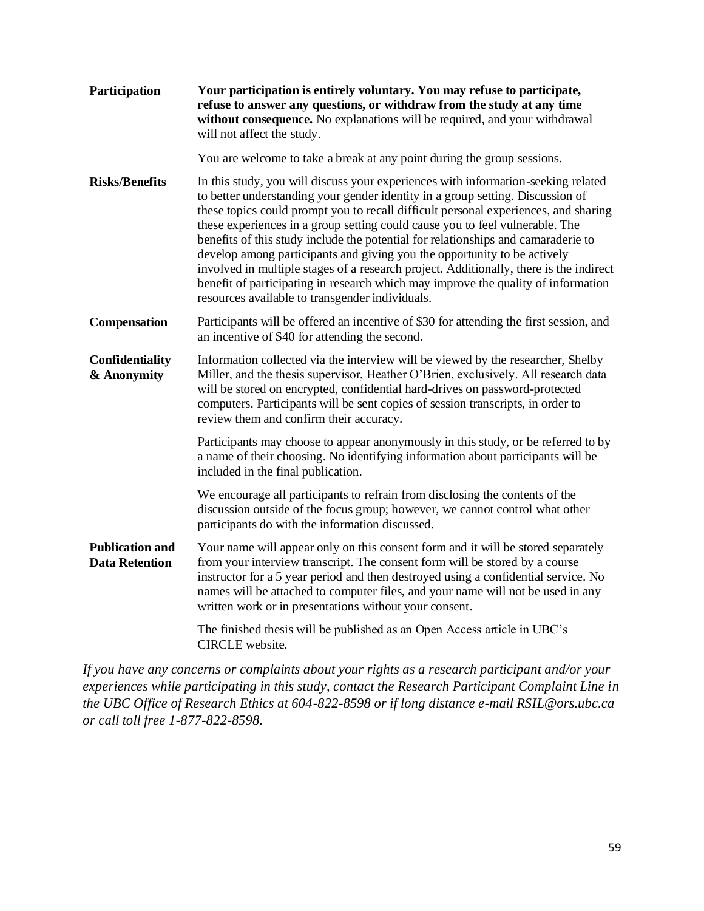| Participation                                   | Your participation is entirely voluntary. You may refuse to participate,<br>refuse to answer any questions, or withdraw from the study at any time<br>without consequence. No explanations will be required, and your withdrawal<br>will not affect the study.                                                                                                                                                                                                                                                                                                                                                                                                                                                                                |  |  |
|-------------------------------------------------|-----------------------------------------------------------------------------------------------------------------------------------------------------------------------------------------------------------------------------------------------------------------------------------------------------------------------------------------------------------------------------------------------------------------------------------------------------------------------------------------------------------------------------------------------------------------------------------------------------------------------------------------------------------------------------------------------------------------------------------------------|--|--|
|                                                 | You are welcome to take a break at any point during the group sessions.                                                                                                                                                                                                                                                                                                                                                                                                                                                                                                                                                                                                                                                                       |  |  |
| <b>Risks/Benefits</b>                           | In this study, you will discuss your experiences with information-seeking related<br>to better understanding your gender identity in a group setting. Discussion of<br>these topics could prompt you to recall difficult personal experiences, and sharing<br>these experiences in a group setting could cause you to feel vulnerable. The<br>benefits of this study include the potential for relationships and camaraderie to<br>develop among participants and giving you the opportunity to be actively<br>involved in multiple stages of a research project. Additionally, there is the indirect<br>benefit of participating in research which may improve the quality of information<br>resources available to transgender individuals. |  |  |
| <b>Compensation</b>                             | Participants will be offered an incentive of \$30 for attending the first session, and<br>an incentive of \$40 for attending the second.                                                                                                                                                                                                                                                                                                                                                                                                                                                                                                                                                                                                      |  |  |
| Confidentiality<br>& Anonymity                  | Information collected via the interview will be viewed by the researcher, Shelby<br>Miller, and the thesis supervisor, Heather O'Brien, exclusively. All research data<br>will be stored on encrypted, confidential hard-drives on password-protected<br>computers. Participants will be sent copies of session transcripts, in order to<br>review them and confirm their accuracy.                                                                                                                                                                                                                                                                                                                                                           |  |  |
|                                                 | Participants may choose to appear anonymously in this study, or be referred to by<br>a name of their choosing. No identifying information about participants will be<br>included in the final publication.                                                                                                                                                                                                                                                                                                                                                                                                                                                                                                                                    |  |  |
|                                                 | We encourage all participants to refrain from disclosing the contents of the<br>discussion outside of the focus group; however, we cannot control what other<br>participants do with the information discussed.                                                                                                                                                                                                                                                                                                                                                                                                                                                                                                                               |  |  |
| <b>Publication and</b><br><b>Data Retention</b> | Your name will appear only on this consent form and it will be stored separately<br>from your interview transcript. The consent form will be stored by a course<br>instructor for a 5 year period and then destroyed using a confidential service. No<br>names will be attached to computer files, and your name will not be used in any<br>written work or in presentations without your consent.                                                                                                                                                                                                                                                                                                                                            |  |  |
|                                                 | The finished thesis will be published as an Open Access article in UBC's<br><b>CIRCLE</b> website.                                                                                                                                                                                                                                                                                                                                                                                                                                                                                                                                                                                                                                            |  |  |

*If you have any concerns or complaints about your rights as a research participant and/or your experiences while participating in this study, contact the Research Participant Complaint Line in the UBC Office of Research Ethics at 604-822-8598 or if long distance e-mail RSIL@ors.ubc.ca or call toll free 1-877-822-8598.*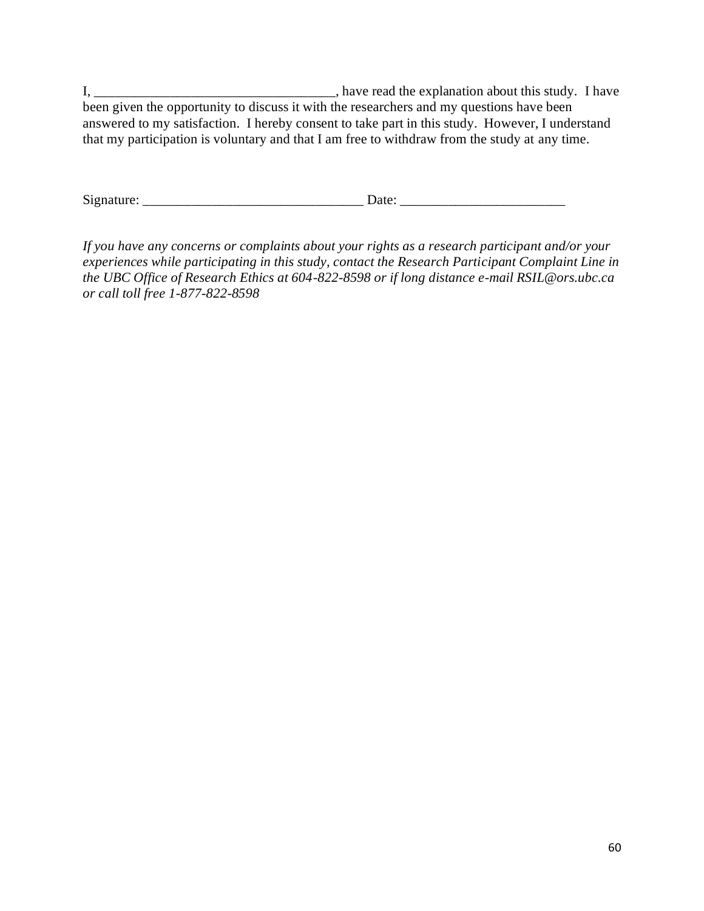I, \_\_\_\_\_\_\_\_\_\_\_\_\_\_\_\_\_\_\_\_\_\_\_\_\_\_\_\_\_\_\_\_\_\_\_, have read the explanation about this study. I have been given the opportunity to discuss it with the researchers and my questions have been answered to my satisfaction. I hereby consent to take part in this study. However, I understand that my participation is voluntary and that I am free to withdraw from the study at any time.

Signature: \_\_\_\_\_\_\_\_\_\_\_\_\_\_\_\_\_\_\_\_\_\_\_\_\_\_\_\_\_\_\_\_ Date: \_\_\_\_\_\_\_\_\_\_\_\_\_\_\_\_\_\_\_\_\_\_\_\_

*If you have any concerns or complaints about your rights as a research participant and/or your experiences while participating in this study, contact the Research Participant Complaint Line in the UBC Office of Research Ethics at 604-822-8598 or if long distance e-mail RSIL@ors.ubc.ca or call toll free 1-877-822-8598*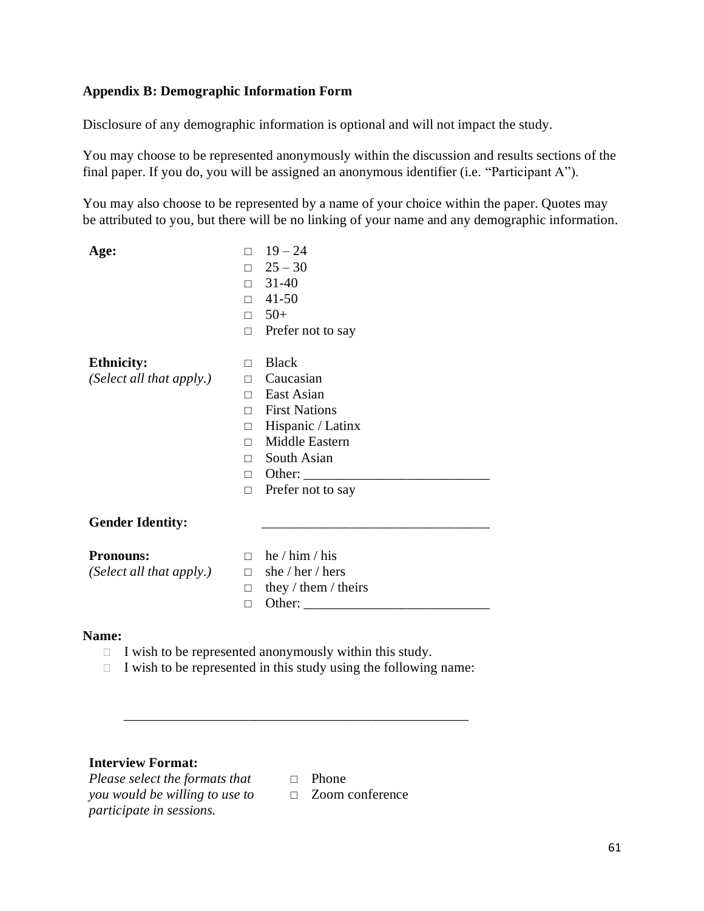# **Appendix B: Demographic Information Form**

Disclosure of any demographic information is optional and will not impact the study.

You may choose to be represented anonymously within the discussion and results sections of the final paper. If you do, you will be assigned an anonymous identifier (i.e. "Participant A").

You may also choose to be represented by a name of your choice within the paper. Quotes may be attributed to you, but there will be no linking of your name and any demographic information.

| Age:                     | П      | $19 - 24$            |
|--------------------------|--------|----------------------|
|                          | П      | $25 - 30$            |
|                          | $\Box$ | 31-40                |
|                          | $\Box$ | 41-50                |
|                          | П      | $50+$                |
|                          | П      | Prefer not to say    |
| <b>Ethnicity:</b>        | П      | <b>Black</b>         |
| (Select all that apply.) | $\Box$ | Caucasian            |
|                          | П      | East Asian           |
|                          | П      | <b>First Nations</b> |
|                          | П      | Hispanic / Latinx    |
|                          | П      | Middle Eastern       |
|                          | П      | South Asian          |
|                          | П      | Other:               |
|                          | П      | Prefer not to say    |
| <b>Gender Identity:</b>  |        |                      |
| <b>Pronouns:</b>         | П      | he / $him / his$     |
| (Select all that apply.) | П      | she / her / hers     |
|                          | П      | they / them / theirs |
|                          | П      | Other:               |
|                          |        |                      |

### **Name:**

 $\Box$  I wish to be represented anonymously within this study.

\_\_\_\_\_\_\_\_\_\_\_\_\_\_\_\_\_\_\_\_\_\_\_\_\_\_\_\_\_\_\_\_\_\_\_\_\_\_\_\_\_\_\_\_\_\_\_\_\_\_

 $\Box$  I wish to be represented in this study using the following name:

# **Interview Format:**

*Please select the formats that* □ Phone *you would be willing to use to*  □ Zoom conference*participate in sessions.*

- 
-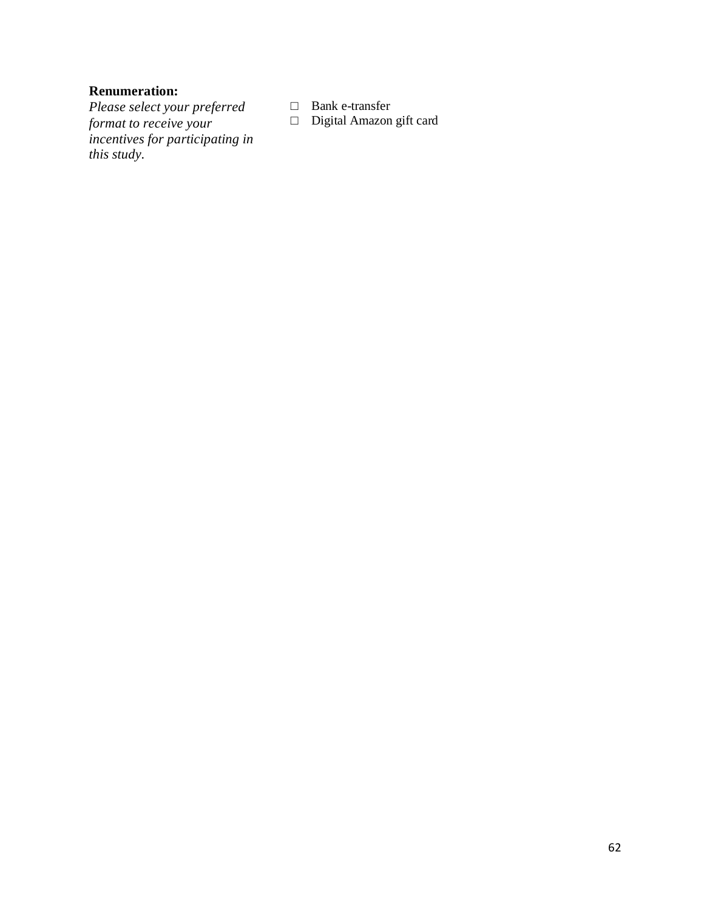## **Renumeration:**

*Please select your preferred format to receive your incentives for participating in this study.*

□ Bank e-transfer

□ Digital Amazon gift card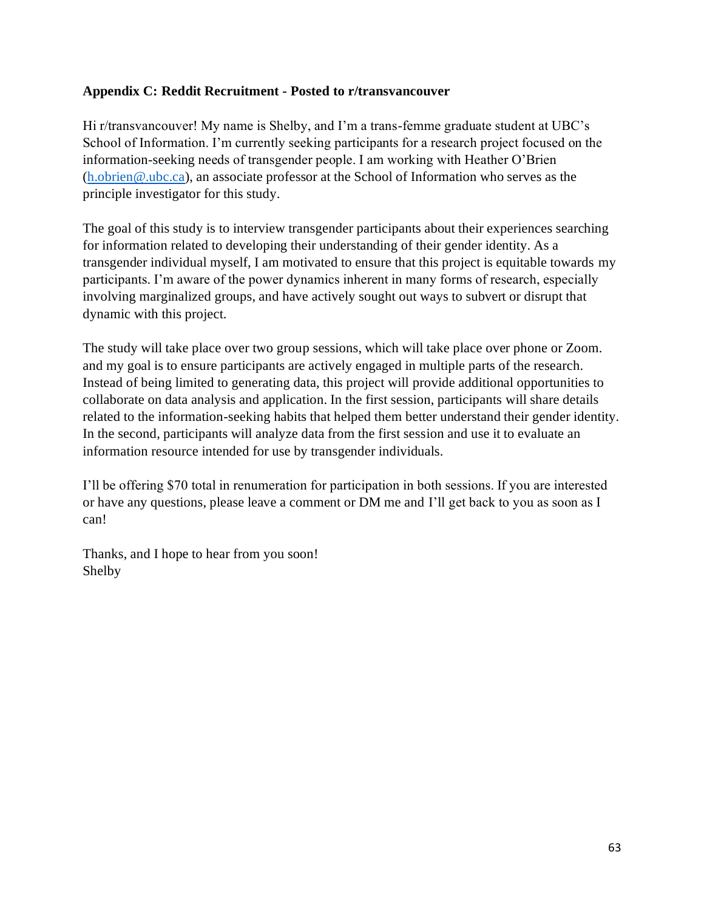## **Appendix C: Reddit Recruitment - Posted to r/transvancouver**

Hi r/transvancouver! My name is Shelby, and I'm a trans-femme graduate student at UBC's School of Information. I'm currently seeking participants for a research project focused on the information-seeking needs of transgender people. I am working with Heather O'Brien [\(h.obrien@.ubc.ca\)](mailto:h.obrien@.ubc.ca), an associate professor at the School of Information who serves as the principle investigator for this study.

The goal of this study is to interview transgender participants about their experiences searching for information related to developing their understanding of their gender identity. As a transgender individual myself, I am motivated to ensure that this project is equitable towards my participants. I'm aware of the power dynamics inherent in many forms of research, especially involving marginalized groups, and have actively sought out ways to subvert or disrupt that dynamic with this project.

The study will take place over two group sessions, which will take place over phone or Zoom. and my goal is to ensure participants are actively engaged in multiple parts of the research. Instead of being limited to generating data, this project will provide additional opportunities to collaborate on data analysis and application. In the first session, participants will share details related to the information-seeking habits that helped them better understand their gender identity. In the second, participants will analyze data from the first session and use it to evaluate an information resource intended for use by transgender individuals.

I'll be offering \$70 total in renumeration for participation in both sessions. If you are interested or have any questions, please leave a comment or DM me and I'll get back to you as soon as I can!

Thanks, and I hope to hear from you soon! Shelby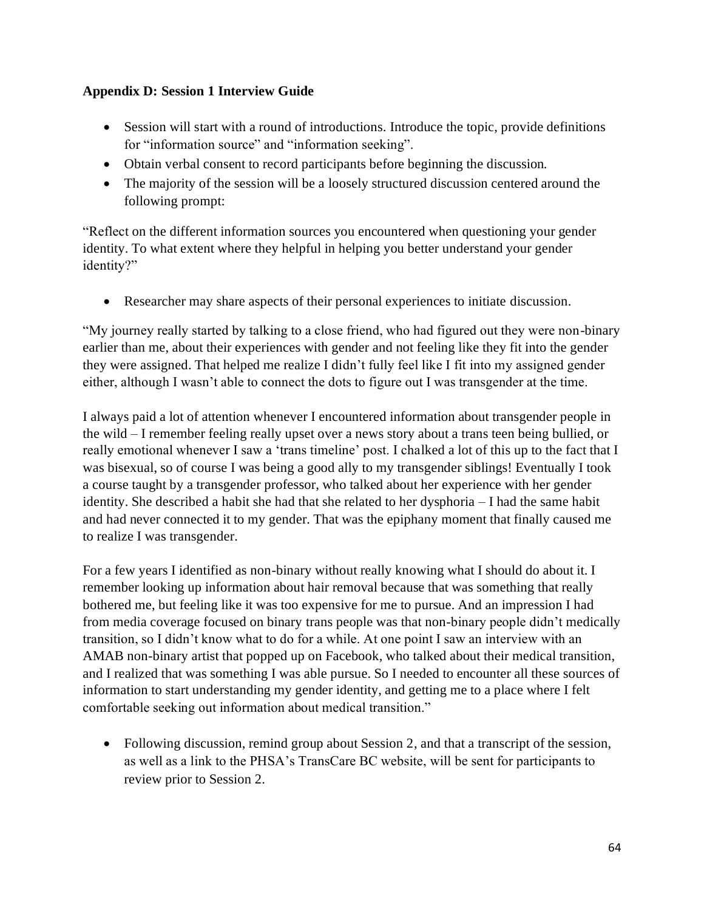## **Appendix D: Session 1 Interview Guide**

- Session will start with a round of introductions. Introduce the topic, provide definitions for "information source" and "information seeking".
- Obtain verbal consent to record participants before beginning the discussion.
- The majority of the session will be a loosely structured discussion centered around the following prompt:

"Reflect on the different information sources you encountered when questioning your gender identity. To what extent where they helpful in helping you better understand your gender identity?"

• Researcher may share aspects of their personal experiences to initiate discussion.

"My journey really started by talking to a close friend, who had figured out they were non-binary earlier than me, about their experiences with gender and not feeling like they fit into the gender they were assigned. That helped me realize I didn't fully feel like I fit into my assigned gender either, although I wasn't able to connect the dots to figure out I was transgender at the time.

I always paid a lot of attention whenever I encountered information about transgender people in the wild – I remember feeling really upset over a news story about a trans teen being bullied, or really emotional whenever I saw a 'trans timeline' post. I chalked a lot of this up to the fact that I was bisexual, so of course I was being a good ally to my transgender siblings! Eventually I took a course taught by a transgender professor, who talked about her experience with her gender identity. She described a habit she had that she related to her dysphoria – I had the same habit and had never connected it to my gender. That was the epiphany moment that finally caused me to realize I was transgender.

For a few years I identified as non-binary without really knowing what I should do about it. I remember looking up information about hair removal because that was something that really bothered me, but feeling like it was too expensive for me to pursue. And an impression I had from media coverage focused on binary trans people was that non-binary people didn't medically transition, so I didn't know what to do for a while. At one point I saw an interview with an AMAB non-binary artist that popped up on Facebook, who talked about their medical transition, and I realized that was something I was able pursue. So I needed to encounter all these sources of information to start understanding my gender identity, and getting me to a place where I felt comfortable seeking out information about medical transition."

• Following discussion, remind group about Session 2, and that a transcript of the session, as well as a link to the PHSA's TransCare BC website, will be sent for participants to review prior to Session 2.